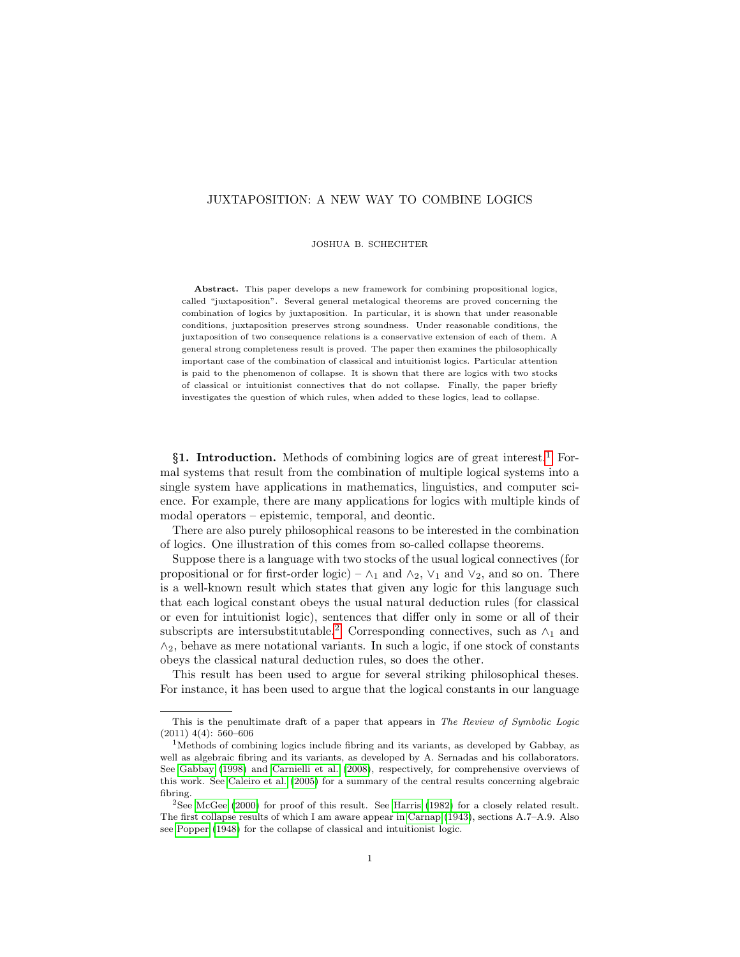# JUXTAPOSITION: A NEW WAY TO COMBINE LOGICS

JOSHUA B. SCHECHTER

Abstract. This paper develops a new framework for combining propositional logics, called "juxtaposition". Several general metalogical theorems are proved concerning the combination of logics by juxtaposition. In particular, it is shown that under reasonable conditions, juxtaposition preserves strong soundness. Under reasonable conditions, the juxtaposition of two consequence relations is a conservative extension of each of them. A general strong completeness result is proved. The paper then examines the philosophically important case of the combination of classical and intuitionist logics. Particular attention is paid to the phenomenon of collapse. It is shown that there are logics with two stocks of classical or intuitionist connectives that do not collapse. Finally, the paper briefly investigates the question of which rules, when added to these logics, lead to collapse.

§[1](#page-0-0). Introduction. Methods of combining logics are of great interest.<sup>1</sup> Formal systems that result from the combination of multiple logical systems into a single system have applications in mathematics, linguistics, and computer science. For example, there are many applications for logics with multiple kinds of modal operators – epistemic, temporal, and deontic.

There are also purely philosophical reasons to be interested in the combination of logics. One illustration of this comes from so-called collapse theorems.

Suppose there is a language with two stocks of the usual logical connectives (for propositional or for first-order logic) –  $\wedge_1$  and  $\wedge_2$ ,  $\vee_1$  and  $\vee_2$ , and so on. There is a well-known result which states that given any logic for this language such that each logical constant obeys the usual natural deduction rules (for classical or even for intuitionist logic), sentences that differ only in some or all of their subscripts are intersubstitutable.<sup>[2](#page-0-1)</sup> Corresponding connectives, such as  $\wedge_1$  and  $\wedge_2$ , behave as mere notational variants. In such a logic, if one stock of constants obeys the classical natural deduction rules, so does the other.

This result has been used to argue for several striking philosophical theses. For instance, it has been used to argue that the logical constants in our language

This is the penultimate draft of a paper that appears in The Review of Symbolic Logic (2011) 4(4): 560–606

<span id="page-0-0"></span><sup>1</sup>Methods of combining logics include fibring and its variants, as developed by Gabbay, as well as algebraic fibring and its variants, as developed by A. Sernadas and his collaborators. See [Gabbay \(1998\)](#page-48-0) and [Carnielli et al. \(2008\)](#page-47-0), respectively, for comprehensive overviews of this work. See [Caleiro et al. \(2005\)](#page-47-1) for a summary of the central results concerning algebraic fibring.

<span id="page-0-1"></span><sup>2</sup>See [McGee \(2000\)](#page-48-1) for proof of this result. See [Harris \(1982\)](#page-48-2) for a closely related result. The first collapse results of which I am aware appear in [Carnap \(1943\)](#page-47-2), sections A.7–A.9. Also see [Popper \(1948\)](#page-48-3) for the collapse of classical and intuitionist logic.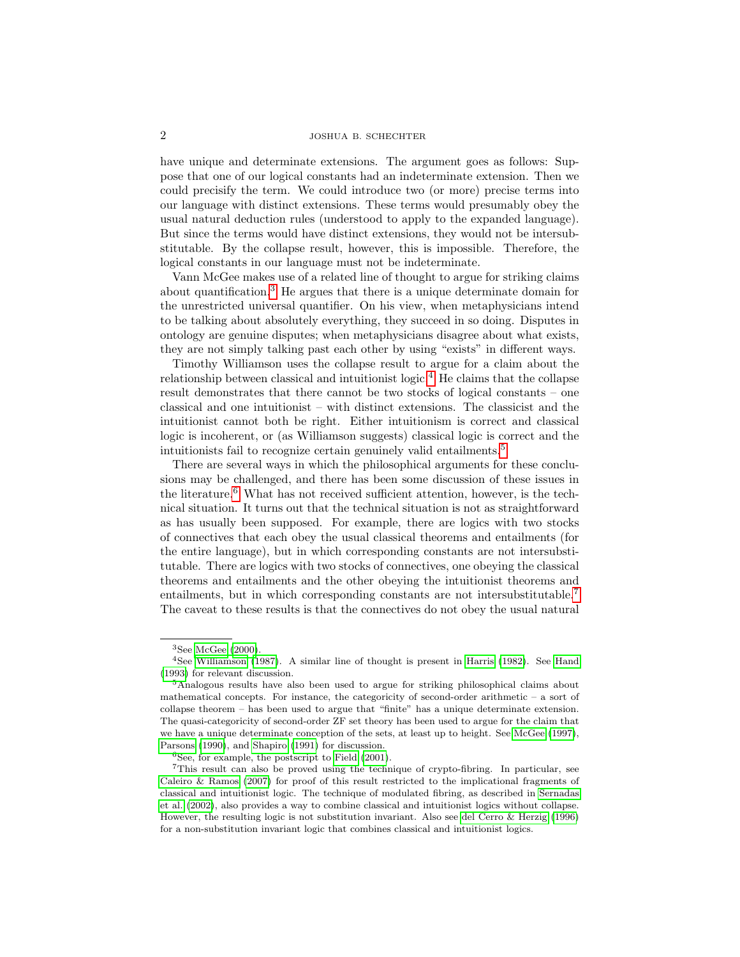have unique and determinate extensions. The argument goes as follows: Suppose that one of our logical constants had an indeterminate extension. Then we could precisify the term. We could introduce two (or more) precise terms into our language with distinct extensions. These terms would presumably obey the usual natural deduction rules (understood to apply to the expanded language). But since the terms would have distinct extensions, they would not be intersubstitutable. By the collapse result, however, this is impossible. Therefore, the logical constants in our language must not be indeterminate.

Vann McGee makes use of a related line of thought to argue for striking claims about quantification.[3](#page-1-0) He argues that there is a unique determinate domain for the unrestricted universal quantifier. On his view, when metaphysicians intend to be talking about absolutely everything, they succeed in so doing. Disputes in ontology are genuine disputes; when metaphysicians disagree about what exists, they are not simply talking past each other by using "exists" in different ways.

Timothy Williamson uses the collapse result to argue for a claim about the relationship between classical and intuitionist logic.<sup>[4](#page-1-1)</sup> He claims that the collapse result demonstrates that there cannot be two stocks of logical constants – one classical and one intuitionist – with distinct extensions. The classicist and the intuitionist cannot both be right. Either intuitionism is correct and classical logic is incoherent, or (as Williamson suggests) classical logic is correct and the intuitionists fail to recognize certain genuinely valid entailments.<sup>[5](#page-1-2)</sup>

There are several ways in which the philosophical arguments for these conclusions may be challenged, and there has been some discussion of these issues in the literature.<sup>[6](#page-1-3)</sup> What has not received sufficient attention, however, is the technical situation. It turns out that the technical situation is not as straightforward as has usually been supposed. For example, there are logics with two stocks of connectives that each obey the usual classical theorems and entailments (for the entire language), but in which corresponding constants are not intersubstitutable. There are logics with two stocks of connectives, one obeying the classical theorems and entailments and the other obeying the intuitionist theorems and entailments, but in which corresponding constants are not intersubstitutable.<sup>[7](#page-1-4)</sup> The caveat to these results is that the connectives do not obey the usual natural

<span id="page-1-1"></span><span id="page-1-0"></span> $3$ See [McGee \(2000\)](#page-48-1).

<sup>4</sup>See [Williamson \(1987\)](#page-48-4). A similar line of thought is present in [Harris \(1982\)](#page-48-2). See [Hand](#page-48-5) [\(1993\)](#page-48-5) for relevant discussion.

<span id="page-1-2"></span><sup>5</sup>Analogous results have also been used to argue for striking philosophical claims about mathematical concepts. For instance, the categoricity of second-order arithmetic – a sort of collapse theorem – has been used to argue that "finite" has a unique determinate extension. The quasi-categoricity of second-order ZF set theory has been used to argue for the claim that we have a unique determinate conception of the sets, at least up to height. See [McGee \(1997\)](#page-48-6), [Parsons \(1990\)](#page-48-7), and [Shapiro \(1991\)](#page-48-8) for discussion.

<span id="page-1-4"></span><span id="page-1-3"></span> ${}^{6}$ See, for example, the postscript to Field  $(2001)$ .

<sup>7</sup>This result can also be proved using the technique of crypto-fibring. In particular, see [Caleiro & Ramos \(2007\)](#page-47-3) for proof of this result restricted to the implicational fragments of classical and intuitionist logic. The technique of modulated fibring, as described in [Sernadas](#page-48-10) [et al. \(2002\)](#page-48-10), also provides a way to combine classical and intuitionist logics without collapse. However, the resulting logic is not substitution invariant. Also see [del Cerro & Herzig \(1996\)](#page-48-11) for a non-substitution invariant logic that combines classical and intuitionist logics.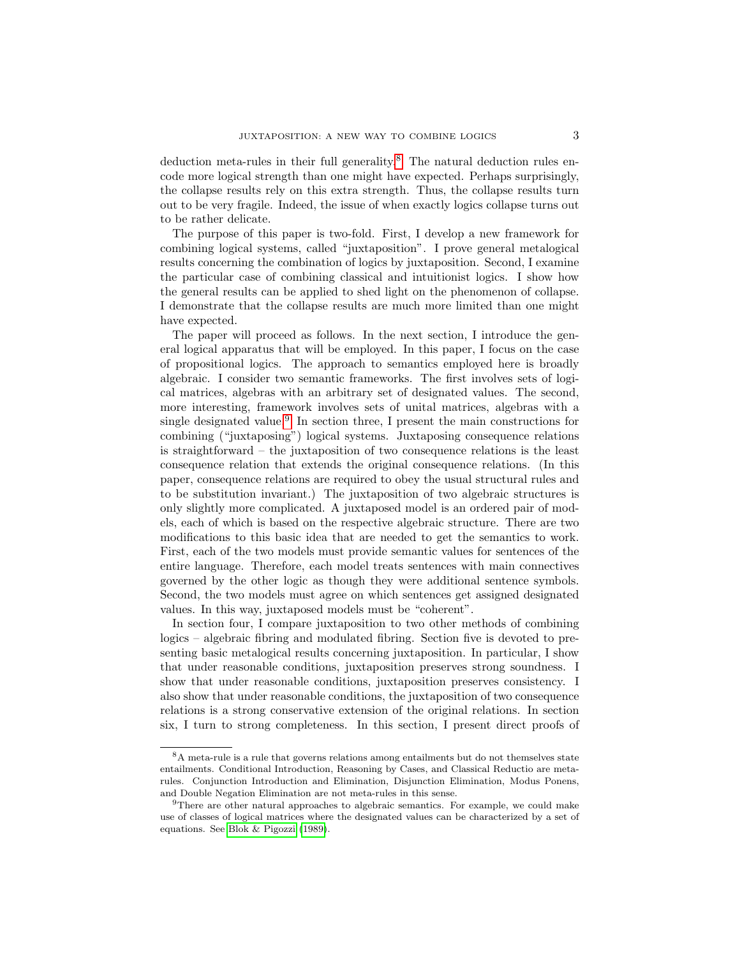deduction meta-rules in their full generality.[8](#page-2-0) The natural deduction rules encode more logical strength than one might have expected. Perhaps surprisingly, the collapse results rely on this extra strength. Thus, the collapse results turn out to be very fragile. Indeed, the issue of when exactly logics collapse turns out to be rather delicate.

The purpose of this paper is two-fold. First, I develop a new framework for combining logical systems, called "juxtaposition". I prove general metalogical results concerning the combination of logics by juxtaposition. Second, I examine the particular case of combining classical and intuitionist logics. I show how the general results can be applied to shed light on the phenomenon of collapse. I demonstrate that the collapse results are much more limited than one might have expected.

The paper will proceed as follows. In the next section, I introduce the general logical apparatus that will be employed. In this paper, I focus on the case of propositional logics. The approach to semantics employed here is broadly algebraic. I consider two semantic frameworks. The first involves sets of logical matrices, algebras with an arbitrary set of designated values. The second, more interesting, framework involves sets of unital matrices, algebras with a single designated value.<sup>[9](#page-2-1)</sup> In section three, I present the main constructions for combining ("juxtaposing") logical systems. Juxtaposing consequence relations is straightforward – the juxtaposition of two consequence relations is the least consequence relation that extends the original consequence relations. (In this paper, consequence relations are required to obey the usual structural rules and to be substitution invariant.) The juxtaposition of two algebraic structures is only slightly more complicated. A juxtaposed model is an ordered pair of models, each of which is based on the respective algebraic structure. There are two modifications to this basic idea that are needed to get the semantics to work. First, each of the two models must provide semantic values for sentences of the entire language. Therefore, each model treats sentences with main connectives governed by the other logic as though they were additional sentence symbols. Second, the two models must agree on which sentences get assigned designated values. In this way, juxtaposed models must be "coherent".

In section four, I compare juxtaposition to two other methods of combining logics – algebraic fibring and modulated fibring. Section five is devoted to presenting basic metalogical results concerning juxtaposition. In particular, I show that under reasonable conditions, juxtaposition preserves strong soundness. I show that under reasonable conditions, juxtaposition preserves consistency. I also show that under reasonable conditions, the juxtaposition of two consequence relations is a strong conservative extension of the original relations. In section six, I turn to strong completeness. In this section, I present direct proofs of

<span id="page-2-0"></span><sup>8</sup>A meta-rule is a rule that governs relations among entailments but do not themselves state entailments. Conditional Introduction, Reasoning by Cases, and Classical Reductio are metarules. Conjunction Introduction and Elimination, Disjunction Elimination, Modus Ponens, and Double Negation Elimination are not meta-rules in this sense.

<span id="page-2-1"></span><sup>&</sup>lt;sup>9</sup>There are other natural approaches to algebraic semantics. For example, we could make use of classes of logical matrices where the designated values can be characterized by a set of equations. See [Blok & Pigozzi \(1989\)](#page-47-4).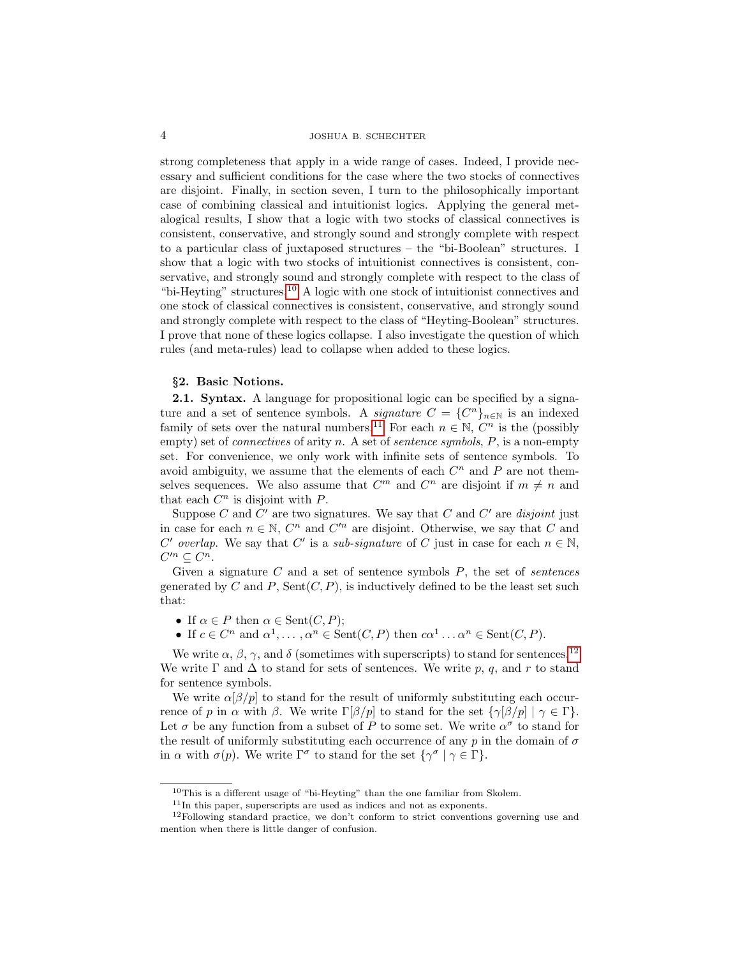strong completeness that apply in a wide range of cases. Indeed, I provide necessary and sufficient conditions for the case where the two stocks of connectives are disjoint. Finally, in section seven, I turn to the philosophically important case of combining classical and intuitionist logics. Applying the general metalogical results, I show that a logic with two stocks of classical connectives is consistent, conservative, and strongly sound and strongly complete with respect to a particular class of juxtaposed structures – the "bi-Boolean" structures. I show that a logic with two stocks of intuitionist connectives is consistent, conservative, and strongly sound and strongly complete with respect to the class of "bi-Heyting" structures.[10](#page-3-0) A logic with one stock of intuitionist connectives and one stock of classical connectives is consistent, conservative, and strongly sound and strongly complete with respect to the class of "Heyting-Boolean" structures. I prove that none of these logics collapse. I also investigate the question of which rules (and meta-rules) lead to collapse when added to these logics.

# §2. Basic Notions.

2.1. Syntax. A language for propositional logic can be specified by a signature and a set of sentence symbols. A *signature*  $C = \{C^n\}_{n \in \mathbb{N}}$  is an indexed family of sets over the natural numbers.<sup>[11](#page-3-1)</sup> For each  $n \in \mathbb{N}$ ,  $C^n$  is the (possibly empty) set of *connectives* of arity n. A set of *sentence symbols*,  $P$ , is a non-empty set. For convenience, we only work with infinite sets of sentence symbols. To avoid ambiguity, we assume that the elements of each  $C<sup>n</sup>$  and P are not themselves sequences. We also assume that  $C^m$  and  $C^n$  are disjoint if  $m \neq n$  and that each  $C^n$  is disjoint with  $P$ .

Suppose  $C$  and  $C'$  are two signatures. We say that  $C$  and  $C'$  are *disjoint* just in case for each  $n \in \mathbb{N}$ ,  $C^n$  and  $C'^n$  are disjoint. Otherwise, we say that C and C' overlap. We say that C' is a sub-signature of C just in case for each  $n \in \mathbb{N}$ ,  $C'^n \subseteq C^n$ .

Given a signature  $C$  and a set of sentence symbols  $P$ , the set of *sentences* generated by C and P, Sent $(C, P)$ , is inductively defined to be the least set such that:

- If  $\alpha \in P$  then  $\alpha \in \text{Sent}(C, P)$ ;
- If  $c \in C^n$  and  $\alpha^1, \ldots, \alpha^n \in \text{Sent}(C, P)$  then  $c\alpha^1 \ldots \alpha^n \in \text{Sent}(C, P)$ .

We write  $\alpha$ ,  $\beta$ ,  $\gamma$ , and  $\delta$  (sometimes with superscripts) to stand for sentences.<sup>[12](#page-3-2)</sup> We write  $\Gamma$  and  $\Delta$  to stand for sets of sentences. We write p, q, and r to stand for sentence symbols.

We write  $\alpha[\beta/p]$  to stand for the result of uniformly substituting each occurrence of p in α with β. We write  $\Gamma[\beta/p]$  to stand for the set  $\{\gamma[\beta/p] | \gamma \in \Gamma\}.$ Let  $\sigma$  be any function from a subset of P to some set. We write  $\alpha^{\sigma}$  to stand for the result of uniformly substituting each occurrence of any p in the domain of  $\sigma$ in  $\alpha$  with  $\sigma(p)$ . We write  $\Gamma^{\sigma}$  to stand for the set  $\{\gamma^{\sigma} \mid \gamma \in \Gamma\}.$ 

<span id="page-3-0"></span> $^{10}\mathrm{This}$  is a different usage of "bi-Heyting" than the one familiar from Skolem.

<span id="page-3-2"></span><span id="page-3-1"></span> $11$ In this paper, superscripts are used as indices and not as exponents.

 $12$ Following standard practice, we don't conform to strict conventions governing use and mention when there is little danger of confusion.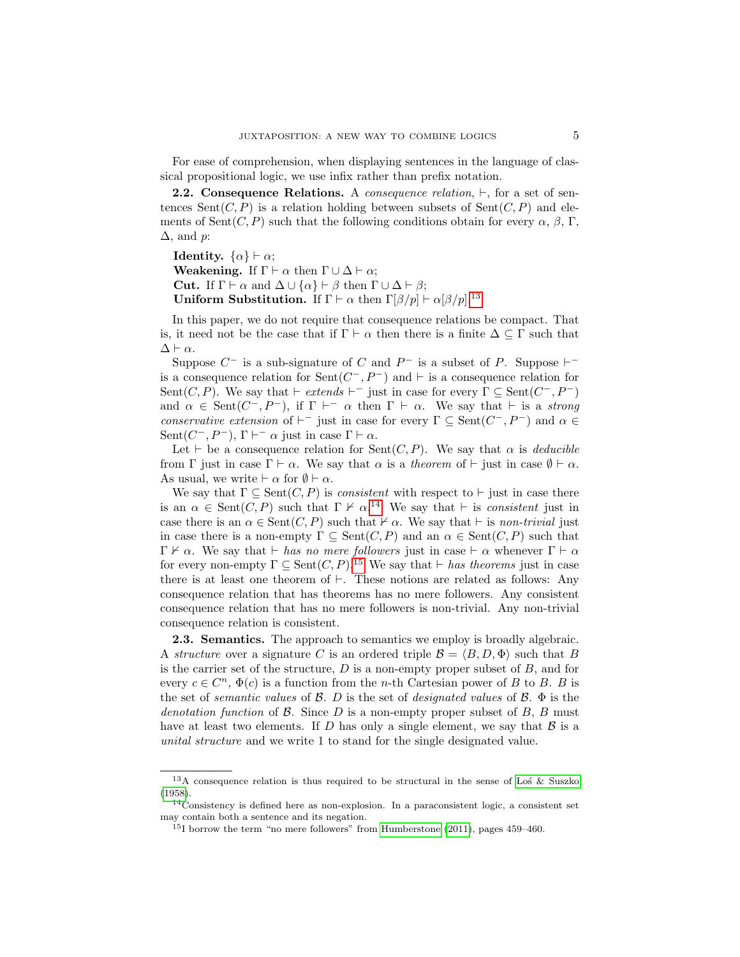For ease of comprehension, when displaying sentences in the language of classical propositional logic, we use infix rather than prefix notation.

**2.2. Consequence Relations.** A *consequence relation*,  $\vdash$ , for a set of sentences Sent $(C, P)$  is a relation holding between subsets of Sent $(C, P)$  and elements of Sent $(C, P)$  such that the following conditions obtain for every  $\alpha, \beta, \Gamma$ ,  $\Delta$ , and p:

**Identity.**  $\{\alpha\} \vdash \alpha;$ **Weakening.** If  $\Gamma \vdash \alpha$  then  $\Gamma \cup \Delta \vdash \alpha$ ; **Cut.** If  $\Gamma \vdash \alpha$  and  $\Delta \cup \{\alpha\} \vdash \beta$  then  $\Gamma \cup \Delta \vdash \beta$ ; Uniform Substitution. If  $\Gamma \vdash \alpha$  then  $\Gamma[\beta/p] \vdash \alpha[\beta/p]$ .<sup>[13](#page-4-0)</sup>

In this paper, we do not require that consequence relations be compact. That is, it need not be the case that if  $\Gamma \vdash \alpha$  then there is a finite  $\Delta \subseteq \Gamma$  such that  $\Delta \vdash \alpha$ .

Suppose  $C^-$  is a sub-signature of C and  $P^-$  is a subset of P. Suppose  $\vdash^$ is a consequence relation for  $\text{Sent}(C^-, P^-)$  and  $\vdash$  is a consequence relation for Sent $(C, P)$ . We say that  $\vdash$  extends  $\vdash^-$  just in case for every  $\Gamma \subseteq \text{Sent}(C^-, P^-)$ and  $\alpha \in \text{Sent}(C^-, P^-)$ , if  $\Gamma \vdash_{\alpha} \alpha$  then  $\Gamma \vdash \alpha$ . We say that  $\vdash$  is a strong conservative extension of  $\vdash^-$  just in case for every  $\Gamma \subseteq \text{Sent}(C^-, P^-)$  and  $\alpha \in$ Sent $(C^-, P^-)$ ,  $\Gamma \vdash^- \alpha$  just in case  $\Gamma \vdash \alpha$ .

Let  $\vdash$  be a consequence relation for Sent(C, P). We say that  $\alpha$  is *deducible* from  $\Gamma$  just in case  $\Gamma \vdash \alpha$ . We say that  $\alpha$  is a theorem of  $\vdash$  just in case  $\emptyset \vdash \alpha$ . As usual, we write  $\vdash \alpha$  for  $\emptyset \vdash \alpha$ .

We say that  $\Gamma \subset \text{Sent}(C, P)$  is consistent with respect to  $\vdash$  just in case there is an  $\alpha \in \text{Sent}(C, P)$  such that  $\Gamma \nvdash \alpha$ .<sup>[14](#page-4-1)</sup> We say that  $\vdash$  is consistent just in case there is an  $\alpha \in \text{Sent}(C, P)$  such that  $\nvdash \alpha$ . We say that  $\vdash$  is non-trivial just in case there is a non-empty  $\Gamma \subseteq \text{Sent}(C, P)$  and an  $\alpha \in \text{Sent}(C, P)$  such that  $\Gamma \nvdash \alpha$ . We say that  $\vdash$  has no mere followers just in case  $\vdash \alpha$  whenever  $\Gamma \vdash \alpha$ for every non-empty  $\Gamma \subseteq \text{Sent}(C, P)$ .<sup>[15](#page-4-2)</sup> We say that  $\vdash$  has theorems just in case there is at least one theorem of  $\vdash$ . These notions are related as follows: Any consequence relation that has theorems has no mere followers. Any consistent consequence relation that has no mere followers is non-trivial. Any non-trivial consequence relation is consistent.

2.3. Semantics. The approach to semantics we employ is broadly algebraic. A structure over a signature C is an ordered triple  $\mathcal{B} = \langle B, D, \Phi \rangle$  such that B is the carrier set of the structure,  $D$  is a non-empty proper subset of  $B$ , and for every  $c \in C<sup>n</sup>$ ,  $\Phi(c)$  is a function from the *n*-th Cartesian power of *B* to *B*. *B* is the set of *semantic values* of  $\mathcal{B}$ . D is the set of *designated values* of  $\mathcal{B}$ .  $\Phi$  is the denotation function of  $\mathcal{B}$ . Since  $D$  is a non-empty proper subset of  $B$ ,  $B$  must have at least two elements. If D has only a single element, we say that  $\beta$  is a unital structure and we write 1 to stand for the single designated value.

<span id="page-4-0"></span> $13A$  consequence relation is thus required to be structural in the sense of Los & Suszko [\(1958\)](#page-48-12).

<span id="page-4-1"></span> $14$ Consistency is defined here as non-explosion. In a paraconsistent logic, a consistent set may contain both a sentence and its negation.

<span id="page-4-2"></span><sup>15</sup>I borrow the term "no mere followers" from [Humberstone \(2011\)](#page-48-13), pages 459–460.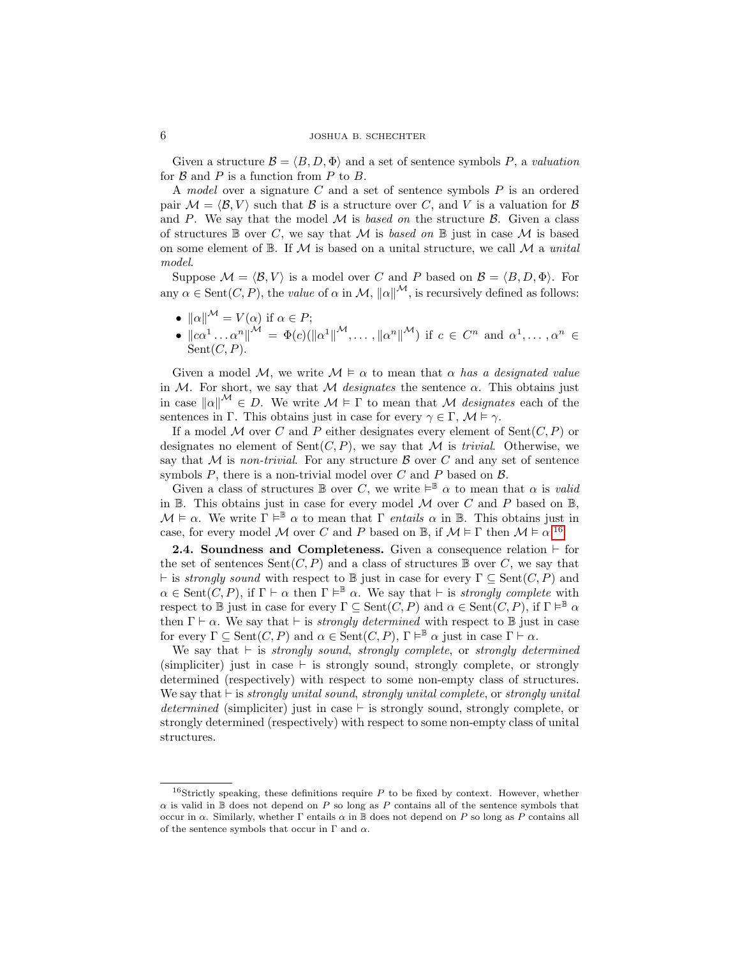Given a structure  $\mathcal{B} = \langle B, D, \Phi \rangle$  and a set of sentence symbols P, a valuation for  $\beta$  and  $P$  is a function from  $P$  to  $B$ .

A model over a signature C and a set of sentence symbols P is an ordered pair  $\mathcal{M} = \langle \mathcal{B}, V \rangle$  such that  $\mathcal{B}$  is a structure over C, and V is a valuation for  $\mathcal{B}$ and P. We say that the model  $M$  is based on the structure  $\beta$ . Given a class of structures  $\mathbb B$  over C, we say that M is based on  $\mathbb B$  just in case M is based on some element of  $\mathbb{B}$ . If M is based on a unital structure, we call M a unital model.

Suppose  $\mathcal{M} = \langle \mathcal{B}, V \rangle$  is a model over C and P based on  $\mathcal{B} = \langle B, D, \Phi \rangle$ . For any  $\alpha \in \text{Sent}(C, P)$ , the value of  $\alpha$  in  $\mathcal{M}, \|\alpha\|^{M}$ , is recursively defined as follows:

- $\|\alpha\|^{\mathcal{M}} = V(\alpha)$  if  $\alpha \in P$ ;
- $\left\| c\alpha^1 \ldots \alpha^n \right\|^{\mathcal{M}} = \Phi(c)(\left\| \alpha^1 \right\|^{\mathcal{M}}, \ldots, \left\| \alpha^n \right\|^{\mathcal{M}})$  if  $c \in \mathbb{C}^n$  and  $\alpha^1, \ldots, \alpha^n \in \mathbb{C}^n$  $Sent(C, P)$ .

Given a model M, we write  $M \models \alpha$  to mean that  $\alpha$  has a designated value in M. For short, we say that M *designates* the sentence  $\alpha$ . This obtains just in case  $\|\alpha\|^{\mathcal{M}} \in D$ . We write  $\mathcal{M} \models \Gamma$  to mean that M designates each of the sentences in Γ. This obtains just in case for every  $\gamma \in \Gamma$ ,  $\mathcal{M} \models \gamma$ .

If a model M over C and P either designates every element of  $Sent(C, P)$  or designates no element of  $Sent(C, P)$ , we say that M is *trivial*. Otherwise, we say that M is non-trivial. For any structure B over C and any set of sentence symbols  $P$ , there is a non-trivial model over  $C$  and  $P$  based on  $\beta$ .

Given a class of structures  $\mathbb B$  over C, we write  $\models^{\mathbb B}\alpha$  to mean that  $\alpha$  is valid in  $\mathbb B$ . This obtains just in case for every model  $\mathcal M$  over  $C$  and  $P$  based on  $\mathbb B$ ,  $\mathcal{M} \models \alpha$ . We write  $\Gamma \models^{\mathbb{B}} \alpha$  to mean that  $\Gamma$  entails  $\alpha$  in  $\mathbb{B}$ . This obtains just in case, for every model M over C and P based on B, if  $\mathcal{M} \models \Gamma$  then  $\mathcal{M} \models \alpha$ .<sup>[16](#page-5-0)</sup>

**2.4. Soundness and Completeness.** Given a consequence relation  $\vdash$  for the set of sentences  $Sent(C, P)$  and a class of structures  $\mathbb B$  over C, we say that  $\vdash$  is strongly sound with respect to B just in case for every  $\Gamma \subseteq \text{Sent}(C, P)$  and  $\alpha \in \text{Sent}(C, P)$ , if  $\Gamma \vdash \alpha$  then  $\Gamma \vDash^{\mathbb{B}} \alpha$ . We say that  $\vdash$  is *strongly complete* with respect to  $\mathbb B$  just in case for every  $\Gamma \subseteq \text{Sent}(C, P)$  and  $\alpha \in \text{Sent}(C, P)$ , if  $\Gamma \vDash^{\mathbb B} \alpha$ then  $\Gamma \vdash \alpha$ . We say that  $\vdash$  is *strongly determined* with respect to B just in case for every  $\Gamma \subseteq \text{Sent}(C, P)$  and  $\alpha \in \text{Sent}(C, P)$ ,  $\Gamma \vDash^{\mathbb{B}} \alpha$  just in case  $\Gamma \vdash \alpha$ .

We say that  $\vdash$  is strongly sound, strongly complete, or strongly determined (simpliciter) just in case  $\vdash$  is strongly sound, strongly complete, or strongly determined (respectively) with respect to some non-empty class of structures. We say that  $\vdash$  is strongly unital sound, strongly unital complete, or strongly unital determined (simpliciter) just in case  $\vdash$  is strongly sound, strongly complete, or strongly determined (respectively) with respect to some non-empty class of unital structures.

<span id="page-5-0"></span><sup>&</sup>lt;sup>16</sup>Strictly speaking, these definitions require  $P$  to be fixed by context. However, whether  $\alpha$  is valid in B does not depend on P so long as P contains all of the sentence symbols that occur in  $\alpha$ . Similarly, whether  $\Gamma$  entails  $\alpha$  in  $\mathbb B$  does not depend on P so long as P contains all of the sentence symbols that occur in  $\Gamma$  and  $\alpha$ .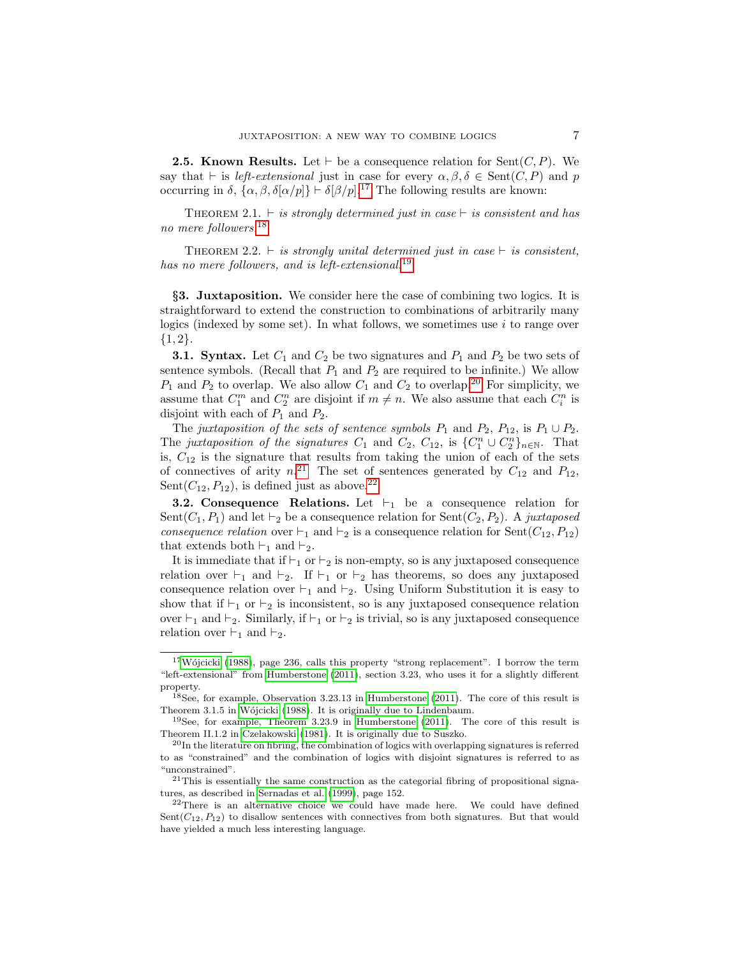**2.5. Known Results.** Let  $\vdash$  be a consequence relation for Sent $(C, P)$ . We say that  $\vdash$  is *left-extensional* just in case for every  $\alpha, \beta, \delta \in \text{Sent}(C, P)$  and p occurring in  $\delta$ ,  $\{\alpha, \beta, \delta[\alpha/p]\} \vdash \delta[\beta/p]$ .<sup>[17](#page-6-0)</sup> The following results are known:

<span id="page-6-7"></span>THEOREM 2.1.  $\vdash$  is strongly determined just in case  $\vdash$  is consistent and has no mere followers.[18](#page-6-1)

<span id="page-6-6"></span>THEOREM 2.2.  $\vdash$  is strongly unital determined just in case  $\vdash$  is consistent, has no mere followers, and is left-extensional.<sup>[19](#page-6-2)</sup>

§3. Juxtaposition. We consider here the case of combining two logics. It is straightforward to extend the construction to combinations of arbitrarily many logics (indexed by some set). In what follows, we sometimes use  $i$  to range over  ${1, 2}.$ 

**3.1. Syntax.** Let  $C_1$  and  $C_2$  be two signatures and  $P_1$  and  $P_2$  be two sets of sentence symbols. (Recall that  $P_1$  and  $P_2$  are required to be infinite.) We allow  $P_1$  and  $P_2$  to overlap. We also allow  $C_1$  and  $C_2$  to overlap.<sup>[20](#page-6-3)</sup> For simplicity, we assume that  $C_1^m$  and  $C_2^n$  are disjoint if  $m \neq n$ . We also assume that each  $C_i^n$  is disjoint with each of  $P_1$  and  $P_2$ .

The juxtaposition of the sets of sentence symbols  $P_1$  and  $P_2$ ,  $P_{12}$ , is  $P_1 \cup P_2$ . The juxtaposition of the signatures  $C_1$  and  $C_2$ ,  $C_{12}$ , is  $\{C_1^n \cup C_2^n\}_{n\in\mathbb{N}}$ . That is,  $C_{12}$  is the signature that results from taking the union of each of the sets of connectives of arity  $n^{21}$  $n^{21}$  $n^{21}$  The set of sentences generated by  $C_{12}$  and  $P_{12}$ , Sent $(C_{12}, P_{12})$ , is defined just as above.<sup>[22](#page-6-5)</sup>

**3.2. Consequence Relations.** Let  $\vdash_1$  be a consequence relation for Sent $(C_1, P_1)$  and let  $\vdash_2$  be a consequence relation for Sent $(C_2, P_2)$ . A juxtaposed consequence relation over  $\vdash_1$  and  $\vdash_2$  is a consequence relation for Sent( $C_{12}, P_{12}$ ) that extends both  $\vdash_1$  and  $\vdash_2$ .

It is immediate that if  $\vdash_1$  or  $\vdash_2$  is non-empty, so is any juxtaposed consequence relation over  $\vdash_1$  and  $\vdash_2$ . If  $\vdash_1$  or  $\vdash_2$  has theorems, so does any juxtaposed consequence relation over  $\vdash_1$  and  $\vdash_2$ . Using Uniform Substitution it is easy to show that if  $\vdash_1$  or  $\vdash_2$  is inconsistent, so is any juxtaposed consequence relation over  $\vdash_1$  and  $\vdash_2$ . Similarly, if  $\vdash_1$  or  $\vdash_2$  is trivial, so is any juxtaposed consequence relation over  $\vdash_1$  and  $\vdash_2$ .

<span id="page-6-0"></span> $17W$ ójcicki (1988), page 236, calls this property "strong replacement". I borrow the term "left-extensional" from [Humberstone \(2011\)](#page-48-13), section 3.23, who uses it for a slightly different property.

<span id="page-6-1"></span><sup>18</sup>See, for example, Observation 3.23.13 in [Humberstone \(2011\)](#page-48-13). The core of this result is Theorem 3.1.5 in Wójcicki (1988). It is originally due to Lindenbaum.

<span id="page-6-2"></span> $19$ See, for example, Theorem 3.23.9 in [Humberstone \(2011\)](#page-48-13). The core of this result is Theorem II.1.2 in [Czelakowski \(1981\)](#page-48-15). It is originally due to Suszko.

<span id="page-6-3"></span> $^{20}$ In the literature on fibring, the combination of logics with overlapping signatures is referred to as "constrained" and the combination of logics with disjoint signatures is referred to as "unconstrained".

<span id="page-6-4"></span> $^{21}$ This is essentially the same construction as the categorial fibring of propositional signatures, as described in [Sernadas et al. \(1999\)](#page-48-16), page 152.

<span id="page-6-5"></span> $2<sup>22</sup>$ There is an alternative choice we could have made here. We could have defined  $Sent(C_{12}, P_{12})$  to disallow sentences with connectives from both signatures. But that would have yielded a much less interesting language.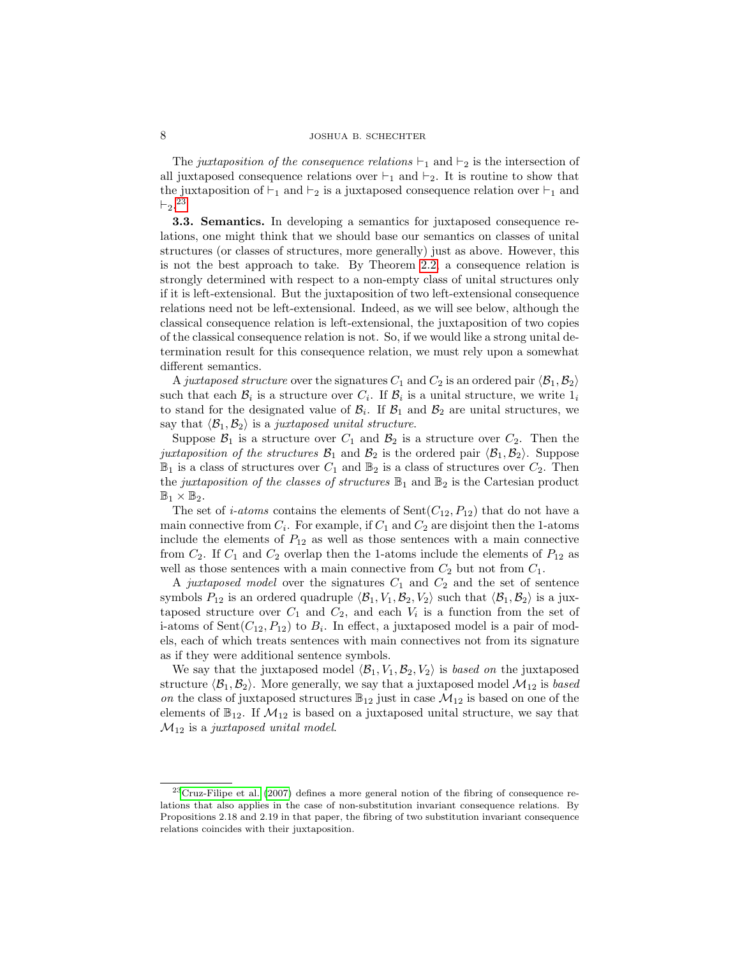# 8 JOSHUA B. SCHECHTER

The juxtaposition of the consequence relations  $\vdash_1$  and  $\vdash_2$  is the intersection of all juxtaposed consequence relations over  $\vdash_1$  and  $\vdash_2$ . It is routine to show that the juxtaposition of  $\vdash_1$  and  $\vdash_2$  is a juxtaposed consequence relation over  $\vdash_1$  and  $\vdash_2$ .<sup>[23](#page-7-0)</sup>

3.3. Semantics. In developing a semantics for juxtaposed consequence relations, one might think that we should base our semantics on classes of unital structures (or classes of structures, more generally) just as above. However, this is not the best approach to take. By Theorem [2.2,](#page-6-6) a consequence relation is strongly determined with respect to a non-empty class of unital structures only if it is left-extensional. But the juxtaposition of two left-extensional consequence relations need not be left-extensional. Indeed, as we will see below, although the classical consequence relation is left-extensional, the juxtaposition of two copies of the classical consequence relation is not. So, if we would like a strong unital determination result for this consequence relation, we must rely upon a somewhat different semantics.

A juxtaposed structure over the signatures  $C_1$  and  $C_2$  is an ordered pair  $\langle \mathcal{B}_1, \mathcal{B}_2 \rangle$ such that each  $\mathcal{B}_i$  is a structure over  $C_i$ . If  $\mathcal{B}_i$  is a unital structure, we write  $1_i$ to stand for the designated value of  $\mathcal{B}_i$ . If  $\mathcal{B}_1$  and  $\mathcal{B}_2$  are unital structures, we say that  $\langle \mathcal{B}_1, \mathcal{B}_2 \rangle$  is a juxtaposed unital structure.

Suppose  $\mathcal{B}_1$  is a structure over  $C_1$  and  $\mathcal{B}_2$  is a structure over  $C_2$ . Then the juxtaposition of the structures  $\mathcal{B}_1$  and  $\mathcal{B}_2$  is the ordered pair  $\langle \mathcal{B}_1, \mathcal{B}_2 \rangle$ . Suppose  $\mathbb{B}_1$  is a class of structures over  $C_1$  and  $\mathbb{B}_2$  is a class of structures over  $C_2$ . Then the juxtaposition of the classes of structures  $\mathbb{B}_1$  and  $\mathbb{B}_2$  is the Cartesian product  $\mathbb{B}_1\times\mathbb{B}_2.$ 

The set of *i-atoms* contains the elements of  $Sent(C_{12}, P_{12})$  that do not have a main connective from  $C_i$ . For example, if  $C_1$  and  $C_2$  are disjoint then the 1-atoms include the elements of  $P_{12}$  as well as those sentences with a main connective from  $C_2$ . If  $C_1$  and  $C_2$  overlap then the 1-atoms include the elements of  $P_{12}$  as well as those sentences with a main connective from  $C_2$  but not from  $C_1$ .

A juxtaposed model over the signatures  $C_1$  and  $C_2$  and the set of sentence symbols  $P_{12}$  is an ordered quadruple  $\langle \mathcal{B}_1, V_1, \mathcal{B}_2, V_2 \rangle$  such that  $\langle \mathcal{B}_1, \mathcal{B}_2 \rangle$  is a juxtaposed structure over  $C_1$  and  $C_2$ , and each  $V_i$  is a function from the set of i-atoms of  $Sent(C_{12}, P_{12})$  to  $B_i$ . In effect, a juxtaposed model is a pair of models, each of which treats sentences with main connectives not from its signature as if they were additional sentence symbols.

We say that the juxtaposed model  $\langle \mathcal{B}_1, V_1, \mathcal{B}_2, V_2 \rangle$  is based on the juxtaposed structure  $\langle \mathcal{B}_1, \mathcal{B}_2 \rangle$ . More generally, we say that a juxtaposed model  $\mathcal{M}_{12}$  is based on the class of juxtaposed structures  $\mathbb{B}_{12}$  just in case  $\mathcal{M}_{12}$  is based on one of the elements of  $\mathbb{B}_{12}$ . If  $\mathcal{M}_{12}$  is based on a juxtaposed unital structure, we say that  $\mathcal{M}_{12}$  is a juxtaposed unital model.

<span id="page-7-0"></span><sup>23</sup>[Cruz-Filipe et al. \(2007\)](#page-48-17) defines a more general notion of the fibring of consequence relations that also applies in the case of non-substitution invariant consequence relations. By Propositions 2.18 and 2.19 in that paper, the fibring of two substitution invariant consequence relations coincides with their juxtaposition.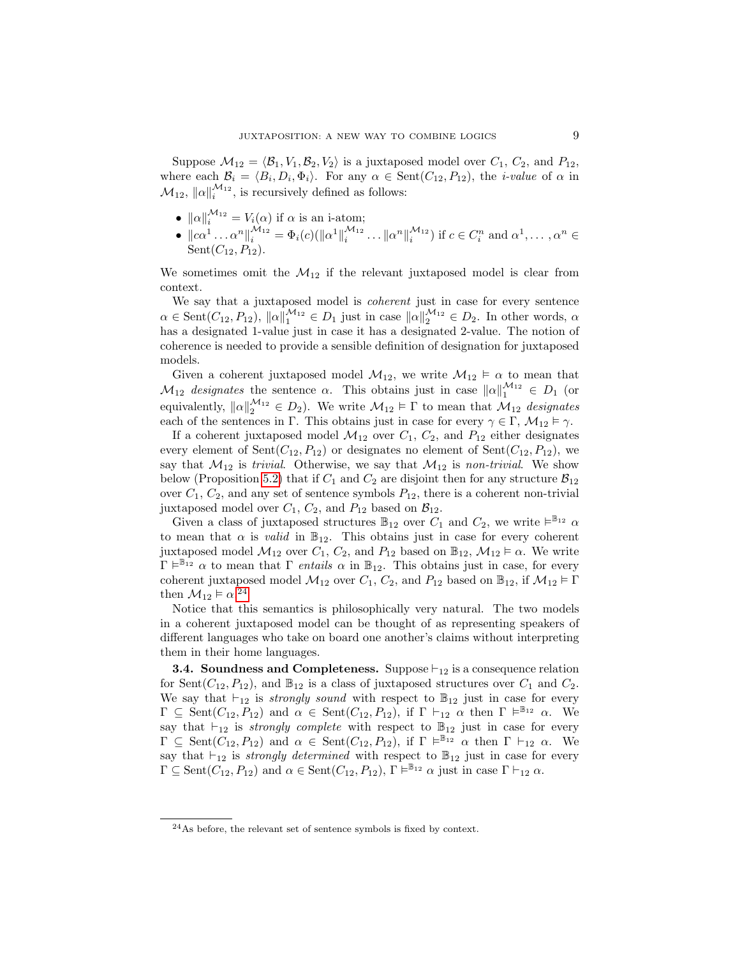Suppose  $\mathcal{M}_{12} = \langle \mathcal{B}_1, V_1, \mathcal{B}_2, V_2 \rangle$  is a juxtaposed model over  $C_1, C_2$ , and  $P_{12}$ , where each  $\mathcal{B}_i = \langle B_i, D_i, \Phi_i \rangle$ . For any  $\alpha \in \text{Sent}(C_{12}, P_{12})$ , the *i-value* of  $\alpha$  in  $\mathcal{M}_{12}$ ,  $\|\alpha\|_{i}^{\mathcal{M}_{12}}$ , is recursively defined as follows:

- $\|\alpha\|_i^{\mathcal{M}_{12}} = V_i(\alpha)$  if  $\alpha$  is an i-atom;
- $\|c\alpha^1 \dots \alpha^n\|_i^{\mathcal{M}_{12}} = \Phi_i(c)(\|\alpha^1\|_i^{\mathcal{M}_{12}})$  $\mathcal{L}_{i}^{M_{12}}\ldots\|\alpha^n\|_{i}^{M_{12}}$ ) if  $c \in C_i^n$  and  $\alpha^1, \ldots, \alpha^n \in$  $Sent(C_{12}, P_{12}).$

We sometimes omit the  $\mathcal{M}_{12}$  if the relevant juxtaposed model is clear from context.

We say that a juxtaposed model is *coherent* just in case for every sentence  $\alpha \in \text{Sent}(C_{12}, P_{12}), ||\alpha||_1^{M_{12}} \in D_1$  just in case  $||\alpha||_2^{M_{12}} \in D_2$ . In other words,  $\alpha$ has a designated 1-value just in case it has a designated 2-value. The notion of coherence is needed to provide a sensible definition of designation for juxtaposed models.

Given a coherent juxtaposed model  $\mathcal{M}_{12}$ , we write  $\mathcal{M}_{12} \models \alpha$  to mean that  $\mathcal{M}_{12}$  designates the sentence  $\alpha$ . This obtains just in case  $\|\alpha\|_1^{M_{12}} \in D_1$  (or equivalently,  $||\alpha||_2^{\mathcal{M}_{12}} \in D_2$ ). We write  $\mathcal{M}_{12} \models \Gamma$  to mean that  $\mathcal{M}_{12}$  designates each of the sentences in Γ. This obtains just in case for every  $\gamma \in \Gamma$ ,  $\mathcal{M}_{12} \models \gamma$ .

If a coherent juxtaposed model  $\mathcal{M}_{12}$  over  $C_1$ ,  $C_2$ , and  $P_{12}$  either designates every element of Sent $(C_{12}, P_{12})$  or designates no element of Sent $(C_{12}, P_{12})$ , we say that  $\mathcal{M}_{12}$  is *trivial.* Otherwise, we say that  $\mathcal{M}_{12}$  is *non-trivial.* We show below (Proposition [5.2\)](#page-14-0) that if  $C_1$  and  $C_2$  are disjoint then for any structure  $\mathcal{B}_{12}$ over  $C_1$ ,  $C_2$ , and any set of sentence symbols  $P_{12}$ , there is a coherent non-trivial juxtaposed model over  $C_1$ ,  $C_2$ , and  $P_{12}$  based on  $\mathcal{B}_{12}$ .

Given a class of juxtaposed structures  $\mathbb{B}_{12}$  over  $C_1$  and  $C_2$ , we write  $\vDash^{\mathbb{B}_{12}} \alpha$ to mean that  $\alpha$  is *valid* in  $\mathbb{B}_{12}$ . This obtains just in case for every coherent juxtaposed model  $\mathcal{M}_{12}$  over  $C_1$ ,  $C_2$ , and  $P_{12}$  based on  $\mathbb{B}_{12}$ ,  $\mathcal{M}_{12} \models \alpha$ . We write  $\Gamma \models^{\mathbb{B}_{12}} \alpha$  to mean that  $\Gamma$  entails  $\alpha$  in  $\mathbb{B}_{12}$ . This obtains just in case, for every coherent juxtaposed model  $\mathcal{M}_{12}$  over  $C_1$ ,  $C_2$ , and  $P_{12}$  based on  $\mathbb{B}_{12}$ , if  $\mathcal{M}_{12} \models \Gamma$ then  $\mathcal{M}_{12} \models \alpha.^{24}$  $\mathcal{M}_{12} \models \alpha.^{24}$  $\mathcal{M}_{12} \models \alpha.^{24}$ 

Notice that this semantics is philosophically very natural. The two models in a coherent juxtaposed model can be thought of as representing speakers of different languages who take on board one another's claims without interpreting them in their home languages.

**3.4. Soundness and Completeness.** Suppose  $\vdash_{12}$  is a consequence relation for Sent( $C_{12}, P_{12}$ ), and  $\mathbb{B}_{12}$  is a class of juxtaposed structures over  $C_1$  and  $C_2$ . We say that  $\vdash_{12}$  is strongly sound with respect to  $\mathbb{B}_{12}$  just in case for every  $\Gamma \subseteq \text{Sent}(C_{12}, P_{12})$  and  $\alpha \in \text{Sent}(C_{12}, P_{12})$ , if  $\Gamma \vdash_{12} \alpha$  then  $\Gamma \models^{\mathbb{B}_{12}} \alpha$ . We say that  $\vdash_{12}$  is *strongly complete* with respect to  $\mathbb{B}_{12}$  just in case for every  $\Gamma \subseteq \operatorname{Sent}(C_{12}, P_{12})$  and  $\alpha \in \operatorname{Sent}(C_{12}, P_{12})$ , if  $\Gamma \models^{\mathbb{B}_{12}} \alpha$  then  $\Gamma \vdash_{12} \alpha$ . We say that  $\vdash_{12}$  is strongly determined with respect to  $\mathbb{B}_{12}$  just in case for every  $\Gamma \subseteq \text{Sent}(C_{12}, P_{12})$  and  $\alpha \in \text{Sent}(C_{12}, P_{12}), \Gamma \models^{\mathbb{B}_{12}} \alpha$  just in case  $\Gamma \vdash_{12} \alpha$ .

<span id="page-8-0"></span> $24$ As before, the relevant set of sentence symbols is fixed by context.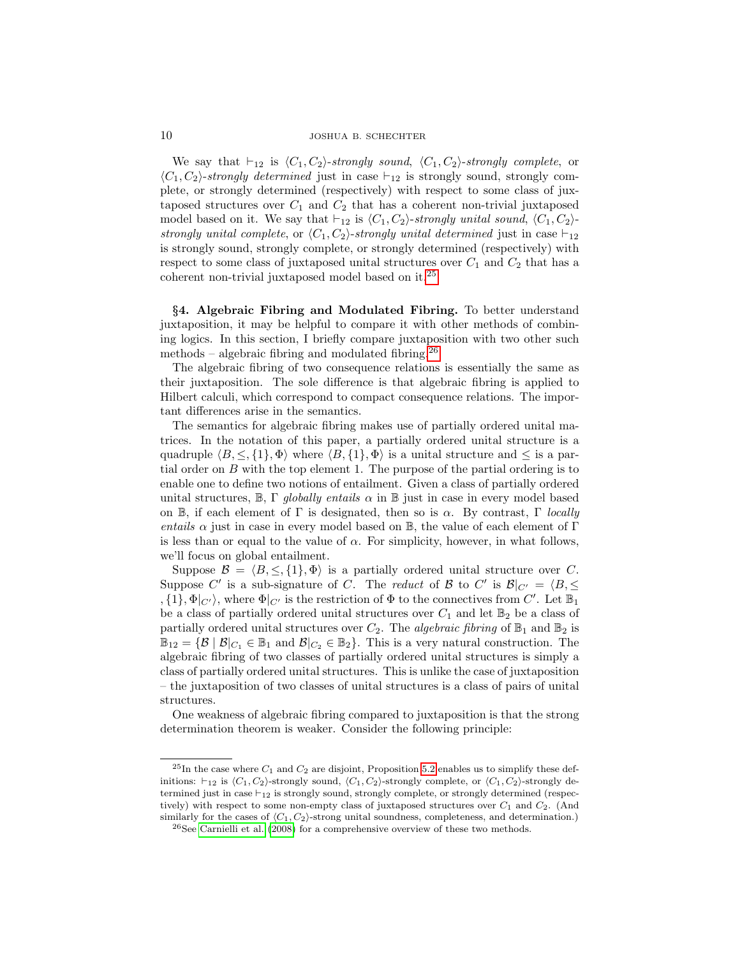We say that  $\vdash_{12}$  is  $\langle C_1, C_2 \rangle$ -strongly sound,  $\langle C_1, C_2 \rangle$ -strongly complete, or  $\langle C_1, C_2 \rangle$ -strongly determined just in case  $\vdash_{12}$  is strongly sound, strongly complete, or strongly determined (respectively) with respect to some class of juxtaposed structures over  $C_1$  and  $C_2$  that has a coherent non-trivial juxtaposed model based on it. We say that  $\vdash_{12}$  is  $\langle C_1, C_2 \rangle$ -strongly unital sound,  $\langle C_1, C_2 \rangle$ strongly unital complete, or  $\langle C_1, C_2 \rangle$ -strongly unital determined just in case  $\vdash_{12}$ is strongly sound, strongly complete, or strongly determined (respectively) with respect to some class of juxtaposed unital structures over  $C_1$  and  $C_2$  that has a coherent non-trivial juxtaposed model based on it.[25](#page-9-0)

§4. Algebraic Fibring and Modulated Fibring. To better understand juxtaposition, it may be helpful to compare it with other methods of combining logics. In this section, I briefly compare juxtaposition with two other such methods – algebraic fibring and modulated fibring.<sup>[26](#page-9-1)</sup>

The algebraic fibring of two consequence relations is essentially the same as their juxtaposition. The sole difference is that algebraic fibring is applied to Hilbert calculi, which correspond to compact consequence relations. The important differences arise in the semantics.

The semantics for algebraic fibring makes use of partially ordered unital matrices. In the notation of this paper, a partially ordered unital structure is a quadruple  $\langle B, \leq, \{1\}, \Phi \rangle$  where  $\langle B, \{1\}, \Phi \rangle$  is a unital structure and  $\leq$  is a partial order on  $B$  with the top element 1. The purpose of the partial ordering is to enable one to define two notions of entailment. Given a class of partially ordered unital structures,  $\mathbb{B}$ ,  $\Gamma$  globally entails  $\alpha$  in  $\mathbb{B}$  just in case in every model based on  $\mathbb{B}$ , if each element of  $\Gamma$  is designated, then so is  $\alpha$ . By contrast,  $\Gamma$  locally entails  $\alpha$  just in case in every model based on  $\mathbb{B}$ , the value of each element of  $\Gamma$ is less than or equal to the value of  $\alpha$ . For simplicity, however, in what follows, we'll focus on global entailment.

Suppose  $\mathcal{B} = \langle B, \leq \{1\}, \Phi \rangle$  is a partially ordered unital structure over C. Suppose C' is a sub-signature of C. The reduct of B to C' is  $\mathcal{B}|_{C'} = \langle B, \leq \rangle$ ,  $\{1\}$ ,  $\Phi|_{C'}$ , where  $\Phi|_{C'}$  is the restriction of  $\Phi$  to the connectives from  $C'$ . Let  $\mathbb{B}_1$ be a class of partially ordered unital structures over  $C_1$  and let  $\mathbb{B}_2$  be a class of partially ordered unital structures over  $C_2$ . The *algebraic fibring* of  $\mathbb{B}_1$  and  $\mathbb{B}_2$  is  $\mathbb{B}_{12} = {\mathcal{B} \mid \mathcal{B}|_{C_1} \in \mathbb{B}_1 \text{ and } \mathcal{B}|_{C_2} \in \mathbb{B}_2}.$  This is a very natural construction. The algebraic fibring of two classes of partially ordered unital structures is simply a class of partially ordered unital structures. This is unlike the case of juxtaposition – the juxtaposition of two classes of unital structures is a class of pairs of unital structures.

One weakness of algebraic fibring compared to juxtaposition is that the strong determination theorem is weaker. Consider the following principle:

<span id="page-9-0"></span><sup>&</sup>lt;sup>25</sup>In the case where  $C_1$  and  $C_2$  are disjoint, Proposition [5.2](#page-14-0) enables us to simplify these definitions:  $\vdash_{12}$  is  $\langle C_1, C_2 \rangle$ -strongly sound,  $\langle C_1, C_2 \rangle$ -strongly complete, or  $\langle C_1, C_2 \rangle$ -strongly determined just in case  $\vdash_{12}$  is strongly sound, strongly complete, or strongly determined (respectively) with respect to some non-empty class of juxtaposed structures over  $C_1$  and  $C_2$ . (And similarly for the cases of  $\langle C_1, C_2 \rangle$ -strong unital soundness, completeness, and determination.)

<span id="page-9-1"></span> $26$ See [Carnielli et al. \(2008\)](#page-47-0) for a comprehensive overview of these two methods.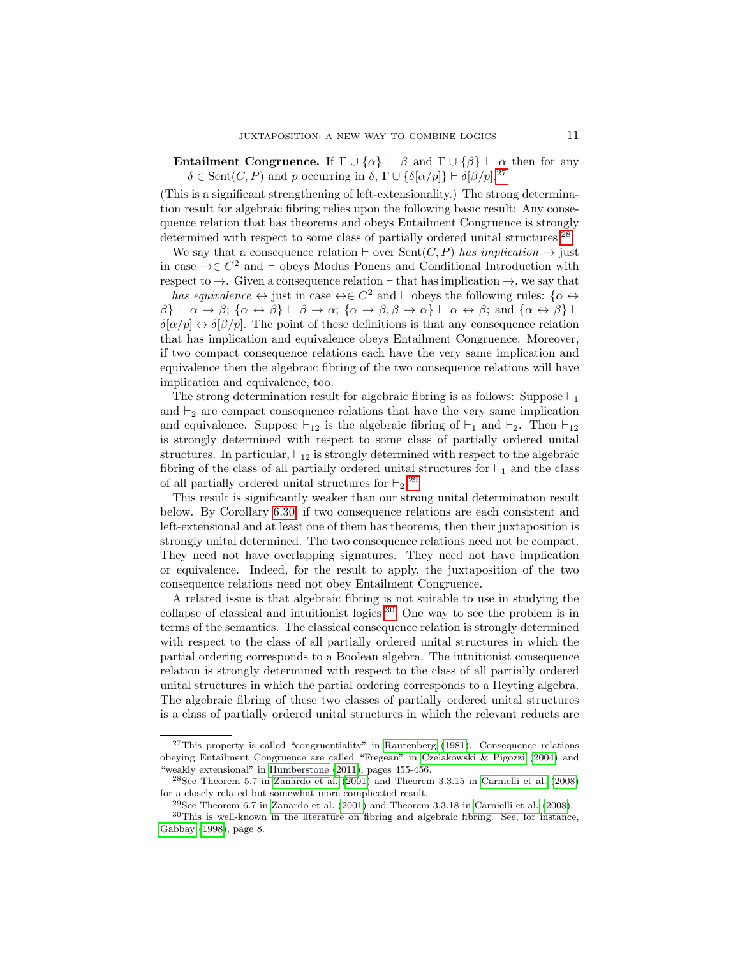**Entailment Congruence.** If  $\Gamma \cup \{\alpha\} \vdash \beta$  and  $\Gamma \cup \{\beta\} \vdash \alpha$  then for any  $\delta \in \text{Sent}(C, P)$  and p occurring in  $\delta, \Gamma \cup \{\delta[\alpha/p]\}\vdash \delta[\beta/p].^{27}$  $\delta, \Gamma \cup \{\delta[\alpha/p]\}\vdash \delta[\beta/p].^{27}$  $\delta, \Gamma \cup \{\delta[\alpha/p]\}\vdash \delta[\beta/p].^{27}$ 

(This is a significant strengthening of left-extensionality.) The strong determination result for algebraic fibring relies upon the following basic result: Any consequence relation that has theorems and obeys Entailment Congruence is strongly determined with respect to some class of partially ordered unital structures.<sup>[28](#page-10-1)</sup>

We say that a consequence relation  $\vdash$  over Sent $(C, P)$  has implication  $\rightarrow$  just in case  $\rightarrow \in \mathbb{C}^2$  and  $\vdash$  obeys Modus Ponens and Conditional Introduction with respect to  $\rightarrow$ . Given a consequence relation  $\vdash$  that has implication  $\rightarrow$ , we say that  $\vdash$  has equivalence  $\leftrightarrow$  just in case  $\leftrightarrow \in C^2$  and  $\vdash$  obeys the following rules:  $\{\alpha \leftrightarrow \beta\}$  $\{\beta\} \vdash \alpha \to \beta$ ;  $\{\alpha \leftrightarrow \beta\} \vdash \beta \to \alpha$ ;  $\{\alpha \to \beta, \beta \to \alpha\} \vdash \alpha \leftrightarrow \beta$ ; and  $\{\alpha \leftrightarrow \beta\} \vdash \alpha$  $\delta[\alpha/p] \leftrightarrow \delta[\beta/p]$ . The point of these definitions is that any consequence relation that has implication and equivalence obeys Entailment Congruence. Moreover, if two compact consequence relations each have the very same implication and equivalence then the algebraic fibring of the two consequence relations will have implication and equivalence, too.

The strong determination result for algebraic fibring is as follows: Suppose  $\vdash_1$ and  $\vdash_2$  are compact consequence relations that have the very same implication and equivalence. Suppose  $\vdash_{12}$  is the algebraic fibring of  $\vdash_1$  and  $\vdash_2$ . Then  $\vdash_{12}$ is strongly determined with respect to some class of partially ordered unital structures. In particular,  $\vdash_{12}$  is strongly determined with respect to the algebraic fibring of the class of all partially ordered unital structures for  $\vdash_1$  and the class of all partially ordered unital structures for  $\vdash_2$ .<sup>[29](#page-10-2)</sup>

This result is significantly weaker than our strong unital determination result below. By Corollary [6.30,](#page-28-0) if two consequence relations are each consistent and left-extensional and at least one of them has theorems, then their juxtaposition is strongly unital determined. The two consequence relations need not be compact. They need not have overlapping signatures. They need not have implication or equivalence. Indeed, for the result to apply, the juxtaposition of the two consequence relations need not obey Entailment Congruence.

A related issue is that algebraic fibring is not suitable to use in studying the collapse of classical and intuitionist logics.<sup>[30](#page-10-3)</sup> One way to see the problem is in terms of the semantics. The classical consequence relation is strongly determined with respect to the class of all partially ordered unital structures in which the partial ordering corresponds to a Boolean algebra. The intuitionist consequence relation is strongly determined with respect to the class of all partially ordered unital structures in which the partial ordering corresponds to a Heyting algebra. The algebraic fibring of these two classes of partially ordered unital structures is a class of partially ordered unital structures in which the relevant reducts are

<span id="page-10-0"></span> $27$ This property is called "congruentiality" in [Rautenberg \(1981\)](#page-48-18). Consequence relations obeying Entailment Congruence are called "Fregean" in [Czelakowski & Pigozzi \(2004\)](#page-48-19) and "weakly extensional" in [Humberstone \(2011\)](#page-48-13), pages 455-456.

<span id="page-10-1"></span> $28$ See Theorem 5.7 in [Zanardo et al. \(2001\)](#page-48-20) and Theorem 3.3.15 in [Carnielli et al. \(2008\)](#page-47-0) for a closely related but somewhat more complicated result.

<span id="page-10-3"></span><span id="page-10-2"></span> $^{29}$ See Theorem 6.7 in [Zanardo et al. \(2001\)](#page-48-20) and Theorem 3.3.18 in [Carnielli et al. \(2008\)](#page-47-0).

 $30$ This is well-known in the literature on fibring and algebraic fibring. See, for instance, [Gabbay \(1998\)](#page-48-0), page 8.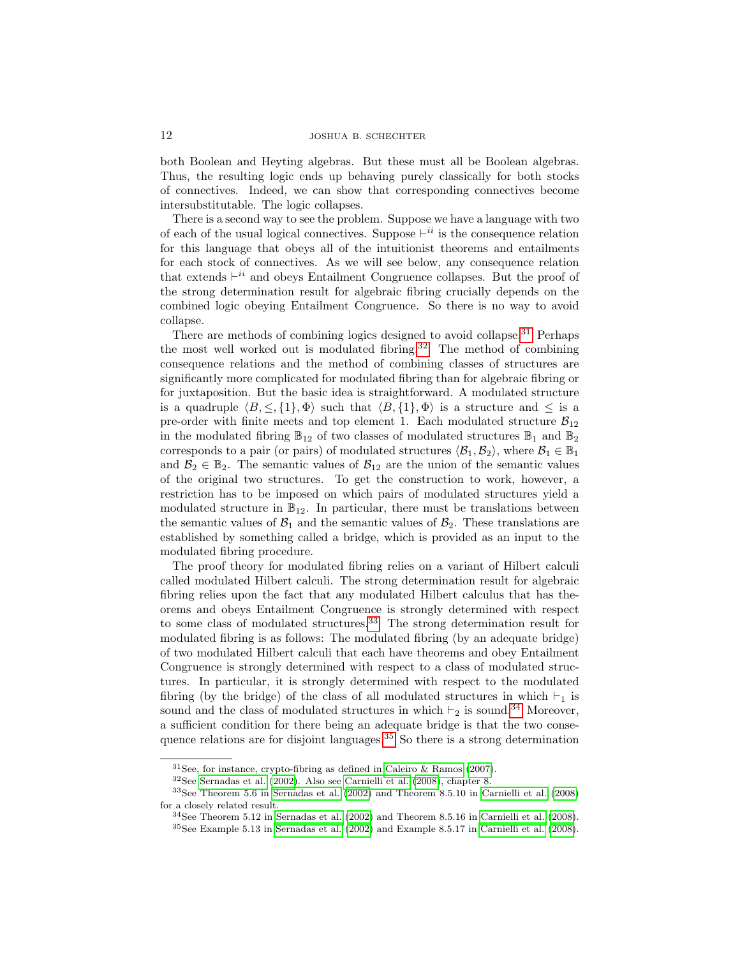both Boolean and Heyting algebras. But these must all be Boolean algebras. Thus, the resulting logic ends up behaving purely classically for both stocks of connectives. Indeed, we can show that corresponding connectives become intersubstitutable. The logic collapses.

There is a second way to see the problem. Suppose we have a language with two of each of the usual logical connectives. Suppose  $\vdash^{ii}$  is the consequence relation for this language that obeys all of the intuitionist theorems and entailments for each stock of connectives. As we will see below, any consequence relation that extends  $\vdash^{ii}$  and obeys Entailment Congruence collapses. But the proof of the strong determination result for algebraic fibring crucially depends on the combined logic obeying Entailment Congruence. So there is no way to avoid collapse.

There are methods of combining logics designed to avoid collapse.<sup>[31](#page-11-0)</sup> Perhaps the most well worked out is modulated fibring.<sup>[32](#page-11-1)</sup> The method of combining consequence relations and the method of combining classes of structures are significantly more complicated for modulated fibring than for algebraic fibring or for juxtaposition. But the basic idea is straightforward. A modulated structure is a quadruple  $\langle B, \leq, \{1\}, \Phi \rangle$  such that  $\langle B, \{1\}, \Phi \rangle$  is a structure and  $\leq$  is a pre-order with finite meets and top element 1. Each modulated structure  $B_{12}$ in the modulated fibring  $\mathbb{B}_{12}$  of two classes of modulated structures  $\mathbb{B}_1$  and  $\mathbb{B}_2$ corresponds to a pair (or pairs) of modulated structures  $\langle B_1, B_2 \rangle$ , where  $B_1 \in \mathbb{B}_1$ and  $\mathcal{B}_2 \in \mathbb{B}_2$ . The semantic values of  $\mathcal{B}_{12}$  are the union of the semantic values of the original two structures. To get the construction to work, however, a restriction has to be imposed on which pairs of modulated structures yield a modulated structure in  $\mathbb{B}_{12}$ . In particular, there must be translations between the semantic values of  $\mathcal{B}_1$  and the semantic values of  $\mathcal{B}_2$ . These translations are established by something called a bridge, which is provided as an input to the modulated fibring procedure.

The proof theory for modulated fibring relies on a variant of Hilbert calculi called modulated Hilbert calculi. The strong determination result for algebraic fibring relies upon the fact that any modulated Hilbert calculus that has theorems and obeys Entailment Congruence is strongly determined with respect to some class of modulated structures.<sup>[33](#page-11-2)</sup> The strong determination result for modulated fibring is as follows: The modulated fibring (by an adequate bridge) of two modulated Hilbert calculi that each have theorems and obey Entailment Congruence is strongly determined with respect to a class of modulated structures. In particular, it is strongly determined with respect to the modulated fibring (by the bridge) of the class of all modulated structures in which  $\vdash_1$  is sound and the class of modulated structures in which  $\vdash_2$  is sound.<sup>[34](#page-11-3)</sup> Moreover, a sufficient condition for there being an adequate bridge is that the two conse-quence relations are for disjoint languages.<sup>[35](#page-11-4)</sup> So there is a strong determination

<span id="page-11-1"></span><span id="page-11-0"></span> $31$ See, for instance, crypto-fibring as defined in [Caleiro & Ramos \(2007\)](#page-47-3).

<span id="page-11-2"></span> $32$ See [Sernadas et al. \(2002\)](#page-48-10). Also see [Carnielli et al. \(2008\)](#page-47-0), chapter 8.

<sup>33</sup>See Theorem 5.6 in [Sernadas et al. \(2002\)](#page-48-10) and Theorem 8.5.10 in [Carnielli et al. \(2008\)](#page-47-0) for a closely related result.

<span id="page-11-4"></span><span id="page-11-3"></span> $34$ See Theorem 5.12 in [Sernadas et al. \(2002\)](#page-48-10) and Theorem 8.5.16 in [Carnielli et al. \(2008\)](#page-47-0). <sup>35</sup>See Example 5.13 in [Sernadas et al. \(2002\)](#page-48-10) and Example 8.5.17 in [Carnielli et al. \(2008\)](#page-47-0).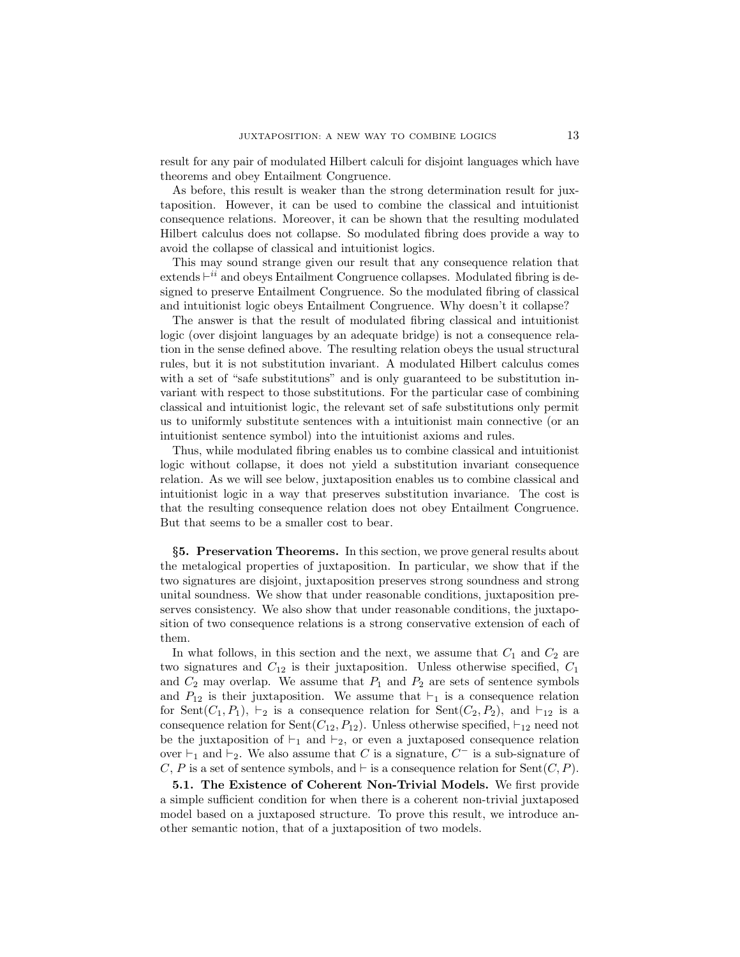result for any pair of modulated Hilbert calculi for disjoint languages which have theorems and obey Entailment Congruence.

As before, this result is weaker than the strong determination result for juxtaposition. However, it can be used to combine the classical and intuitionist consequence relations. Moreover, it can be shown that the resulting modulated Hilbert calculus does not collapse. So modulated fibring does provide a way to avoid the collapse of classical and intuitionist logics.

This may sound strange given our result that any consequence relation that  $extends \vdash^{ii}$  and obeys Entailment Congruence collapses. Modulated fibring is designed to preserve Entailment Congruence. So the modulated fibring of classical and intuitionist logic obeys Entailment Congruence. Why doesn't it collapse?

The answer is that the result of modulated fibring classical and intuitionist logic (over disjoint languages by an adequate bridge) is not a consequence relation in the sense defined above. The resulting relation obeys the usual structural rules, but it is not substitution invariant. A modulated Hilbert calculus comes with a set of "safe substitutions" and is only guaranteed to be substitution invariant with respect to those substitutions. For the particular case of combining classical and intuitionist logic, the relevant set of safe substitutions only permit us to uniformly substitute sentences with a intuitionist main connective (or an intuitionist sentence symbol) into the intuitionist axioms and rules.

Thus, while modulated fibring enables us to combine classical and intuitionist logic without collapse, it does not yield a substitution invariant consequence relation. As we will see below, juxtaposition enables us to combine classical and intuitionist logic in a way that preserves substitution invariance. The cost is that the resulting consequence relation does not obey Entailment Congruence. But that seems to be a smaller cost to bear.

§5. Preservation Theorems. In this section, we prove general results about the metalogical properties of juxtaposition. In particular, we show that if the two signatures are disjoint, juxtaposition preserves strong soundness and strong unital soundness. We show that under reasonable conditions, juxtaposition preserves consistency. We also show that under reasonable conditions, the juxtaposition of two consequence relations is a strong conservative extension of each of them.

In what follows, in this section and the next, we assume that  $C_1$  and  $C_2$  are two signatures and  $C_{12}$  is their juxtaposition. Unless otherwise specified,  $C_1$ and  $C_2$  may overlap. We assume that  $P_1$  and  $P_2$  are sets of sentence symbols and  $P_{12}$  is their juxtaposition. We assume that  $\vdash_1$  is a consequence relation for Sent $(C_1, P_1)$ ,  $\vdash_2$  is a consequence relation for Sent $(C_2, P_2)$ , and  $\vdash_{12}$  is a consequence relation for Sent $(C_{12}, P_{12})$ . Unless otherwise specified,  $\vdash_{12}$  need not be the juxtaposition of  $\vdash_1$  and  $\vdash_2$ , or even a juxtaposed consequence relation over  $\vdash_1$  and  $\vdash_2$ . We also assume that C is a signature, C<sup>-</sup> is a sub-signature of C, P is a set of sentence symbols, and  $\vdash$  is a consequence relation for Sent $(C, P)$ .

5.1. The Existence of Coherent Non-Trivial Models. We first provide a simple sufficient condition for when there is a coherent non-trivial juxtaposed model based on a juxtaposed structure. To prove this result, we introduce another semantic notion, that of a juxtaposition of two models.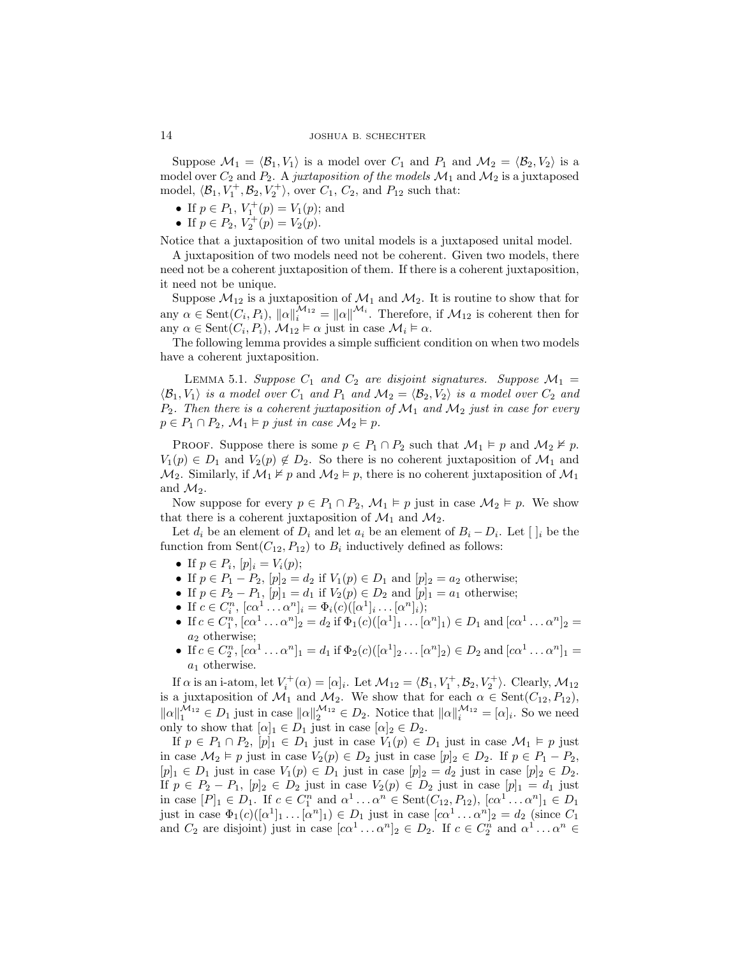Suppose  $\mathcal{M}_1 = \langle \mathcal{B}_1, V_1 \rangle$  is a model over  $C_1$  and  $P_1$  and  $\mathcal{M}_2 = \langle \mathcal{B}_2, V_2 \rangle$  is a model over  $C_2$  and  $P_2$ . A juxtaposition of the models  $\mathcal{M}_1$  and  $\mathcal{M}_2$  is a juxtaposed model,  $\langle \mathcal{B}_1, V_1^+, \mathcal{B}_2, V_2^+ \rangle$ , over  $C_1$ ,  $C_2$ , and  $P_{12}$  such that:

- If  $p \in P_1$ ,  $V_1^+(p) = V_1(p)$ ; and
- If  $p \in P_2$ ,  $V_2^+(p) = V_2(p)$ .

Notice that a juxtaposition of two unital models is a juxtaposed unital model.

A juxtaposition of two models need not be coherent. Given two models, there need not be a coherent juxtaposition of them. If there is a coherent juxtaposition, it need not be unique.

Suppose  $\mathcal{M}_{12}$  is a juxtaposition of  $\mathcal{M}_1$  and  $\mathcal{M}_2$ . It is routine to show that for any  $\alpha \in \text{Sent}(C_i, P_i)$ ,  $\|\alpha\|_i^{M_{12}} = \|\alpha\|_i^{M_i}$ . Therefore, if  $M_{12}$  is coherent then for any  $\alpha \in \text{Sent}(C_i, P_i)$ ,  $\mathcal{M}_{12} \models \alpha$  just in case  $\mathcal{M}_i \models \alpha$ .

The following lemma provides a simple sufficient condition on when two models have a coherent juxtaposition.

<span id="page-13-0"></span>LEMMA 5.1. Suppose  $C_1$  and  $C_2$  are disjoint signatures. Suppose  $\mathcal{M}_1$  =  $\langle \mathcal{B}_1, V_1 \rangle$  is a model over  $C_1$  and  $P_1$  and  $\mathcal{M}_2 = \langle \mathcal{B}_2, V_2 \rangle$  is a model over  $C_2$  and  $P_2$ . Then there is a coherent juxtaposition of  $\mathcal{M}_1$  and  $\mathcal{M}_2$  just in case for every  $p \in P_1 \cap P_2$ ,  $\mathcal{M}_1 \models p$  just in case  $\mathcal{M}_2 \models p$ .

PROOF. Suppose there is some  $p \in P_1 \cap P_2$  such that  $\mathcal{M}_1 \models p$  and  $\mathcal{M}_2 \not\models p$ .  $V_1(p) \in D_1$  and  $V_2(p) \notin D_2$ . So there is no coherent juxtaposition of  $\mathcal{M}_1$  and  $\mathcal{M}_2$ . Similarly, if  $\mathcal{M}_1 \not\models p$  and  $\mathcal{M}_2 \models p$ , there is no coherent juxtaposition of  $\mathcal{M}_1$ and  $\mathcal{M}_2$ .

Now suppose for every  $p \in P_1 \cap P_2$ ,  $\mathcal{M}_1 \models p$  just in case  $\mathcal{M}_2 \models p$ . We show that there is a coherent juxtaposition of  $\mathcal{M}_1$  and  $\mathcal{M}_2$ .

Let  $d_i$  be an element of  $D_i$  and let  $a_i$  be an element of  $B_i - D_i$ . Let  $[~]_i$  be the function from  $Sent(C_{12}, P_{12})$  to  $B_i$  inductively defined as follows:

- If  $p \in P_i$ ,  $[p]_i = V_i(p)$ ;
- If  $p \in P_1 P_2$ ,  $[p]_2 = d_2$  if  $V_1(p) \in D_1$  and  $[p]_2 = a_2$  otherwise;
- If  $p \in P_2 P_1$ ,  $[p]_1 = d_1$  if  $V_2(p) \in D_2$  and  $[p]_1 = a_1$  otherwise;
- If  $c \in C_i^n$ ,  $[c\alpha^1 \dots \alpha^n]_i = \Phi_i(c) ([\alpha^1]_i \dots [\alpha^n]_i);$
- If  $c \in C_1^n$ ,  $[c\alpha^1 \dots \alpha^n]_2 = d_2$  if  $\Phi_1(c)([\alpha^1]_1 \dots [\alpha^n]_1) \in D_1$  and  $[c\alpha^1 \dots \alpha^n]_2 =$  $a_2$  otherwise;
- If  $c \in C_2^n$ ,  $[c\alpha^1 \dots \alpha^n]_1 = d_1$  if  $\Phi_2(c)([\alpha^1]_2 \dots [\alpha^n]_2) \in D_2$  and  $[c\alpha^1 \dots \alpha^n]_1 =$  $a_1$  otherwise.

If  $\alpha$  is an i-atom, let  $V_i^+(\alpha) = [\alpha]_i$ . Let  $\mathcal{M}_{12} = \langle \mathcal{B}_1, V_1^+, \mathcal{B}_2, V_2^+ \rangle$ . Clearly,  $\mathcal{M}_{12}$ is a juxtaposition of  $\mathcal{M}_1$  and  $\mathcal{M}_2$ . We show that for each  $\alpha \in \text{Sent}(C_{12}, P_{12}),$  $||\alpha||_1^{M_{12}} \in D_1$  just in case  $||\alpha||_2^{M_{12}} \in D_2$ . Notice that  $||\alpha||_i^{M_{12}} = [\alpha]_i$ . So we need only to show that  $[\alpha]_1 \in D_1$  just in case  $[\alpha]_2 \in D_2$ .

If  $p \in P_1 \cap P_2$ ,  $[p]_1 \in D_1$  just in case  $V_1(p) \in D_1$  just in case  $\mathcal{M}_1 \models p$  just in case  $\mathcal{M}_2 \models p$  just in case  $V_2(p) \in D_2$  just in case  $[p]_2 \in D_2$ . If  $p \in P_1 - P_2$ ,  $[p]_1 \in D_1$  just in case  $V_1(p) \in D_1$  just in case  $[p]_2 = d_2$  just in case  $[p]_2 \in D_2$ . If  $p \in P_2 - P_1$ ,  $[p]_2 \in D_2$  just in case  $V_2(p) \in D_2$  just in case  $[p]_1 = d_1$  just in case  $[P]_1 \in D_1$ . If  $c \in C_1^n$  and  $\alpha^1 \dots \alpha^n \in \text{Sent}(C_{12}, P_{12}), [c\alpha^1 \dots \alpha^n]_1 \in D_1$ just in case  $\Phi_1(c)([\alpha^1]_1 \dots [\alpha^n]_1) \in D_1$  just in case  $[c\alpha^1 \dots \alpha^n]_2 = d_2$  (since  $C_1$ and  $C_2$  are disjoint) just in case  $[c\alpha^1 \dots \alpha^n]_2 \in D_2$ . If  $c \in C_2^n$  and  $\alpha^1 \dots \alpha^n \in$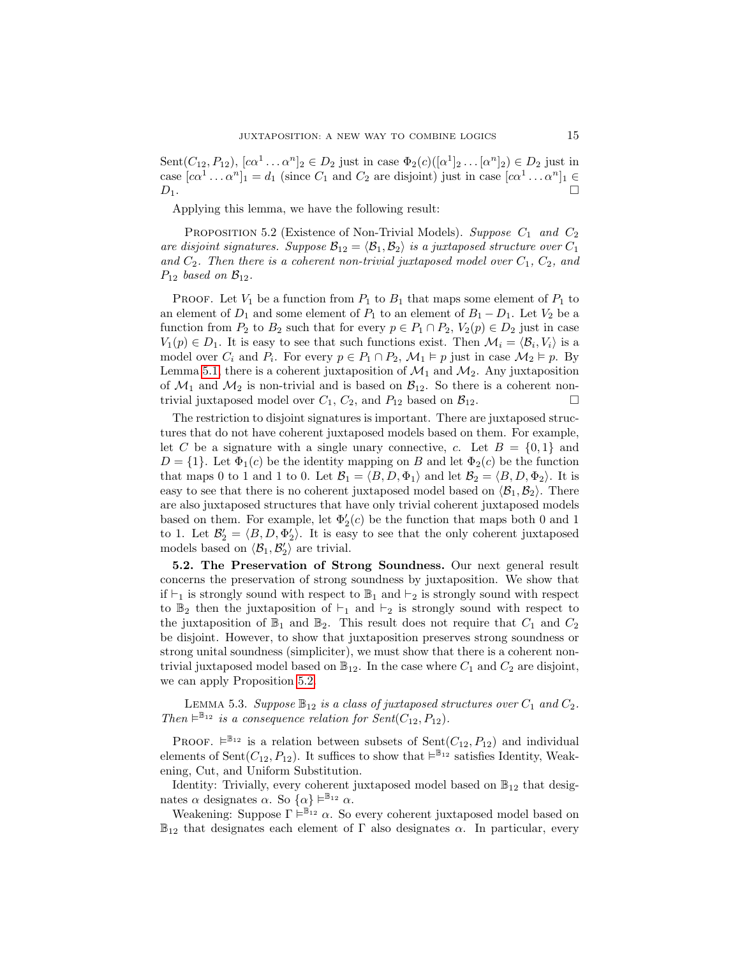Sent $(C_{12}, P_{12})$ ,  $[c\alpha^1 \dots \alpha^n]_2 \in D_2$  just in case  $\Phi_2(c)([\alpha^1]_2 \dots [\alpha^n]_2) \in D_2$  just in case  $[c\alpha^1 \dots \alpha^n]_1 = d_1$  (since  $C_1$  and  $C_2$  are disjoint) just in case  $[c\alpha^1 \dots \alpha^n]_1 \in$  $D_1$ .

Applying this lemma, we have the following result:

<span id="page-14-0"></span>PROPOSITION 5.2 (Existence of Non-Trivial Models). Suppose  $C_1$  and  $C_2$ are disjoint signatures. Suppose  $\mathcal{B}_{12} = \langle \mathcal{B}_1, \mathcal{B}_2 \rangle$  is a juxtaposed structure over  $C_1$ and  $C_2$ . Then there is a coherent non-trivial juxtaposed model over  $C_1$ ,  $C_2$ , and  $P_{12}$  based on  $\mathcal{B}_{12}$ .

PROOF. Let  $V_1$  be a function from  $P_1$  to  $B_1$  that maps some element of  $P_1$  to an element of  $D_1$  and some element of  $P_1$  to an element of  $B_1 - D_1$ . Let  $V_2$  be a function from  $P_2$  to  $B_2$  such that for every  $p \in P_1 \cap P_2$ ,  $V_2(p) \in D_2$  just in case  $V_1(p) \in D_1$ . It is easy to see that such functions exist. Then  $\mathcal{M}_i = \langle \mathcal{B}_i, V_i \rangle$  is a model over  $C_i$  and  $P_i$ . For every  $p \in P_1 \cap P_2$ ,  $\mathcal{M}_1 \models p$  just in case  $\mathcal{M}_2 \models p$ . By Lemma [5.1,](#page-13-0) there is a coherent juxtaposition of  $\mathcal{M}_1$  and  $\mathcal{M}_2$ . Any juxtaposition of  $\mathcal{M}_1$  and  $\mathcal{M}_2$  is non-trivial and is based on  $\mathcal{B}_{12}$ . So there is a coherent nontrivial juxtaposed model over  $C_1$ ,  $C_2$ , and  $P_{12}$  based on  $\mathcal{B}_{12}$ .

The restriction to disjoint signatures is important. There are juxtaposed structures that do not have coherent juxtaposed models based on them. For example, let C be a signature with a single unary connective, c. Let  $B = \{0, 1\}$  and  $D = \{1\}$ . Let  $\Phi_1(c)$  be the identity mapping on B and let  $\Phi_2(c)$  be the function that maps 0 to 1 and 1 to 0. Let  $\mathcal{B}_1 = \langle B, D, \Phi_1 \rangle$  and let  $\mathcal{B}_2 = \langle B, D, \Phi_2 \rangle$ . It is easy to see that there is no coherent juxtaposed model based on  $\langle B_1, B_2 \rangle$ . There are also juxtaposed structures that have only trivial coherent juxtaposed models based on them. For example, let  $\Phi_2'(c)$  be the function that maps both  $0$  and  $1$ to 1. Let  $\mathcal{B}'_2 = \langle B, D, \Phi'_2 \rangle$ . It is easy to see that the only coherent juxtaposed models based on  $\langle \mathcal{B}_1, \mathcal{B}'_2 \rangle$  are trivial.

5.2. The Preservation of Strong Soundness. Our next general result concerns the preservation of strong soundness by juxtaposition. We show that if  $\vdash_1$  is strongly sound with respect to  $\mathbb{B}_1$  and  $\vdash_2$  is strongly sound with respect to  $\mathbb{B}_2$  then the juxtaposition of  $\vdash_1$  and  $\vdash_2$  is strongly sound with respect to the juxtaposition of  $\mathbb{B}_1$  and  $\mathbb{B}_2$ . This result does not require that  $C_1$  and  $C_2$ be disjoint. However, to show that juxtaposition preserves strong soundness or strong unital soundness (simpliciter), we must show that there is a coherent nontrivial juxtaposed model based on  $\mathbb{B}_{12}$ . In the case where  $C_1$  and  $C_2$  are disjoint, we can apply Proposition [5.2.](#page-14-0)

<span id="page-14-1"></span>LEMMA 5.3. Suppose  $\mathbb{B}_{12}$  is a class of juxtaposed structures over  $C_1$  and  $C_2$ . Then  $\vDash^{\mathbb{B}_{12}}$  is a consequence relation for  $\text{Sent}(C_{12}, P_{12})$ .

PROOF.  $\vdash^{\mathbb{B}_{12}}$  is a relation between subsets of  $\text{Sent}(C_{12}, P_{12})$  and individual elements of Sent $(C_{12}, P_{12})$ . It suffices to show that  $\models^{\mathbb{B}_{12}}$  satisfies Identity, Weakening, Cut, and Uniform Substitution.

Identity: Trivially, every coherent juxtaposed model based on  $\mathbb{B}_{12}$  that designates  $\alpha$  designates  $\alpha$ . So  $\{\alpha\} \vDash^{\mathbb{B}_{12}} \alpha$ .

Weakening: Suppose  $\Gamma \models^{\mathbb{B}_{12}} \alpha$ . So every coherent juxtaposed model based on  $\mathbb{B}_{12}$  that designates each element of  $\Gamma$  also designates  $\alpha$ . In particular, every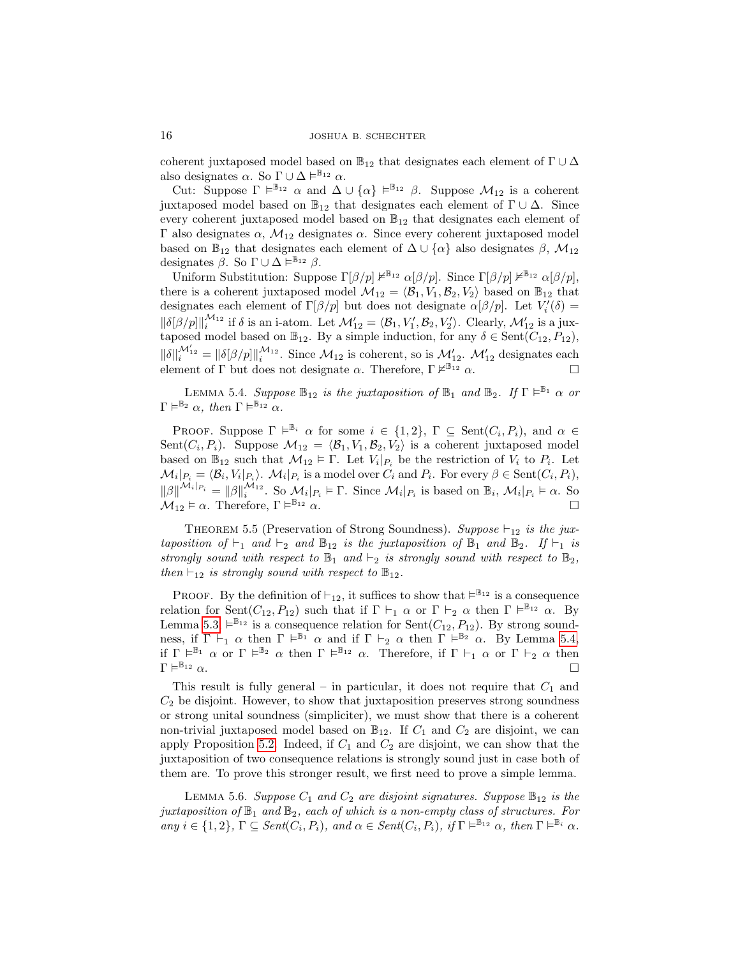coherent juxtaposed model based on  $\mathbb{B}_{12}$  that designates each element of  $\Gamma \cup \Delta$ also designates  $\alpha$ . So  $\Gamma \cup \Delta \vDash^{\mathbb{B}_{12}} \alpha$ .

Cut: Suppose  $\Gamma \models^{\mathbb{B}_{12}} \alpha$  and  $\Delta \cup \{\alpha\} \models^{\mathbb{B}_{12}} \beta$ . Suppose  $\mathcal{M}_{12}$  is a coherent juxtaposed model based on  $\mathbb{B}_{12}$  that designates each element of  $\Gamma \cup \Delta$ . Since every coherent juxtaposed model based on  $\mathbb{B}_{12}$  that designates each element of  $Γ$  also designates  $α$ ,  $M_{12}$  designates  $α$ . Since every coherent juxtaposed model based on  $\mathbb{B}_{12}$  that designates each element of  $\Delta \cup {\alpha}$  also designates  $\beta$ ,  $\mathcal{M}_{12}$ designates  $\beta$ . So  $\Gamma \cup \Delta \vDash^{\mathbb{B}_{12}} \beta$ .

Uniform Substitution: Suppose  $\Gamma[\beta/p] \nvDash^{\mathbb{B}_{12}} \alpha[\beta/p]$ . Since  $\Gamma[\beta/p] \nvDash^{\mathbb{B}_{12}} \alpha[\beta/p]$ , there is a coherent juxtaposed model  $\mathcal{M}_{12} = \langle \mathcal{B}_1, V_1, \mathcal{B}_2, V_2 \rangle$  based on  $\mathbb{B}_{12}$  that designates each element of  $\Gamma[\beta/p]$  but does not designate  $\alpha[\beta/p]$ . Let  $V_i'(\delta)$  =  $\|\delta[\beta/p]\|_i^{\mathcal{M}_{12}}$  if  $\delta$  is an i-atom. Let  $\mathcal{M}_{12}' = \langle \mathcal{B}_1, V_1', \mathcal{B}_2, V_2'\rangle$ . Clearly,  $\mathcal{M}_{12}'$  is a juxtaposed model based on  $\mathbb{B}_{12}$ . By a simple induction, for any  $\delta \in \text{Sent}(C_{12}, P_{12}),$  $\|\delta\|_i^{\mathcal{M}_{12}'} = \|\delta[\beta/p]\|_i^{\mathcal{M}_{12}}$ . Since  $\mathcal{M}_{12}$  is coherent, so is  $\mathcal{M}_{12}'$ .  $\mathcal{M}_{12}'$  designates each element of Γ but does not designate  $\alpha$ . Therefore, Γ  $\nvdash^{\mathbb{B}_{12}} \alpha$ .

<span id="page-15-0"></span>LEMMA 5.4. Suppose  $\mathbb{B}_{12}$  is the juxtaposition of  $\mathbb{B}_1$  and  $\mathbb{B}_2$ . If  $\Gamma \models^{\mathbb{B}_1} \alpha$  or  $\Gamma \models^{\mathbb{B}_2} \alpha$ , then  $\Gamma \models^{\mathbb{B}_{12}} \alpha$ .

PROOF. Suppose  $\Gamma \models^{\mathbb{B}_i} \alpha$  for some  $i \in \{1,2\}$ ,  $\Gamma \subseteq \text{Sent}(C_i, P_i)$ , and  $\alpha \in$ Sent $(C_i, P_i)$ . Suppose  $\mathcal{M}_{12} = \langle \mathcal{B}_1, V_1, \mathcal{B}_2, V_2 \rangle$  is a coherent juxtaposed model based on  $\mathbb{B}_{12}$  such that  $\mathcal{M}_{12} \models \Gamma$ . Let  $V_i|_{P_i}$  be the restriction of  $V_i$  to  $P_i$ . Let  $\mathcal{M}_i|_{P_i} = \langle \mathcal{B}_i, V_i|_{P_i} \rangle$ .  $\mathcal{M}_i|_{P_i}$  is a model over  $C_i$  and  $P_i$ . For every  $\beta \in \text{Sent}(C_i, P_i)$ ,  $\|\beta\|^{M_i|_{P_i}} = \|\beta\|_i^{M_{12}}$ . So  $\mathcal{M}_i|_{P_i} \models \Gamma$ . Since  $\mathcal{M}_i|_{P_i}$  is based on  $\mathbb{B}_i$ ,  $\mathcal{M}_i|_{P_i} \models \alpha$ . So  $\mathcal{M}_{12} \models \alpha$ . Therefore,  $\Gamma \models^{\mathbb{B}_{12}} \alpha$ .  $\mathbb{B}_{12}$   $\alpha$ .

<span id="page-15-1"></span>THEOREM 5.5 (Preservation of Strong Soundness). Suppose  $\vdash_{12}$  is the juxtaposition of  $\vdash_1$  and  $\vdash_2$  and  $\mathbb{B}_{12}$  is the juxtaposition of  $\mathbb{B}_1$  and  $\mathbb{B}_2$ . If  $\vdash_1$  is strongly sound with respect to  $\mathbb{B}_1$  and  $\vdash_2$  is strongly sound with respect to  $\mathbb{B}_2$ , then  $\vdash_{12}$  is strongly sound with respect to  $\mathbb{B}_{12}$ .

**PROOF.** By the definition of  $\vdash_{12}$ , it suffices to show that  $\models^{\mathbb{B}_{12}}$  is a consequence relation for Sent $(C_{12}, P_{12})$  such that if  $\Gamma \vdash_1 \alpha$  or  $\Gamma \vdash_2 \alpha$  then  $\Gamma \models^{\mathbb{B}_{12}} \alpha$ . By Lemma [5.3,](#page-14-1)  $\models^{\mathbb{B}_{12}}$  is a consequence relation for Sent $(C_{12}, P_{12})$ . By strong soundness, if  $\Gamma \vdash_1 \alpha$  then  $\Gamma \models^{\mathbb{B}_1} \alpha$  and if  $\Gamma \vdash_2 \alpha$  then  $\Gamma \models^{\mathbb{B}_2} \alpha$ . By Lemma [5.4,](#page-15-0) if  $\Gamma \models^{\mathbb{B}_1} \alpha$  or  $\Gamma \models^{\mathbb{B}_2} \alpha$  then  $\Gamma \models^{\mathbb{B}_{12}} \alpha$ . Therefore, if  $\Gamma \vdash_1 \alpha$  or  $\Gamma \vdash_2 \alpha$  then  $\Gamma \models^{\mathbb{B}_{12}} \alpha$  $\mathbb{B}_{12}$   $\alpha$ .

This result is fully general – in particular, it does not require that  $C_1$  and  $C_2$  be disjoint. However, to show that juxtaposition preserves strong soundness or strong unital soundness (simpliciter), we must show that there is a coherent non-trivial juxtaposed model based on  $\mathbb{B}_{12}$ . If  $C_1$  and  $C_2$  are disjoint, we can apply Proposition [5.2.](#page-14-0) Indeed, if  $C_1$  and  $C_2$  are disjoint, we can show that the juxtaposition of two consequence relations is strongly sound just in case both of them are. To prove this stronger result, we first need to prove a simple lemma.

<span id="page-15-2"></span>LEMMA 5.6. Suppose  $C_1$  and  $C_2$  are disjoint signatures. Suppose  $\mathbb{B}_{12}$  is the juxtaposition of  $\mathbb{B}_1$  and  $\mathbb{B}_2$ , each of which is a non-empty class of structures. For  $\mathcal{L}_{any}$   $i \in \{1,2\}, \Gamma \subseteq \mathcal{S}ent(\overline{C_i}, P_i), \text{ and } \alpha \in \mathcal{S}ent(C_i, P_i), \text{ if } \Gamma \vDash^{\mathbb{B}_{12}} \alpha, \text{ then } \Gamma \vDash^{\mathbb{B}_i} \alpha.$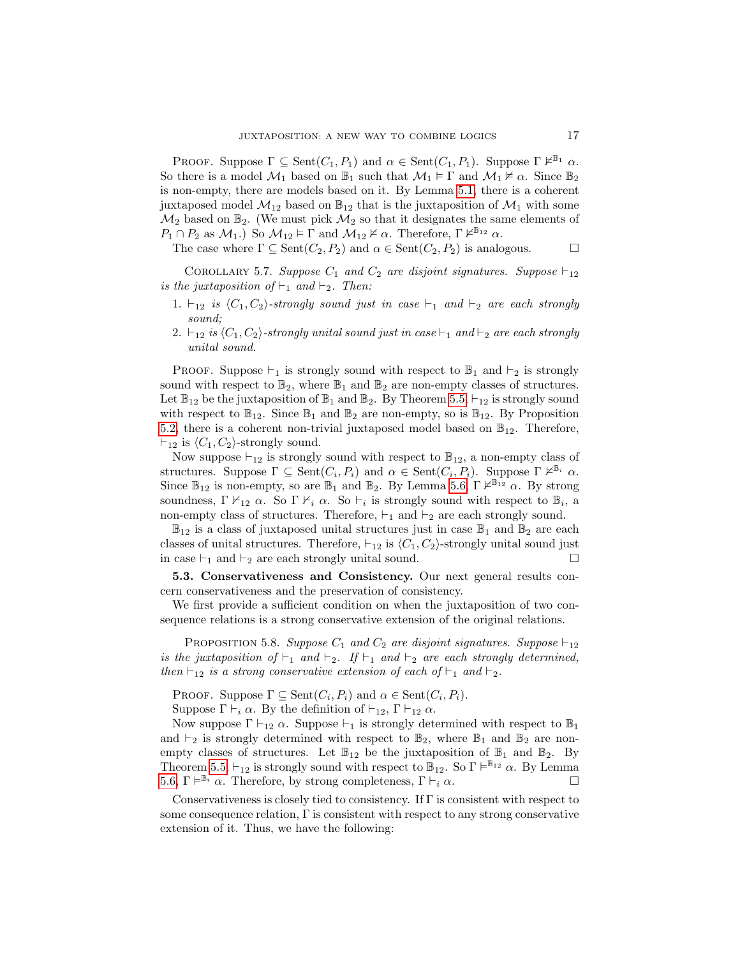PROOF. Suppose  $\Gamma \subseteq \text{Sent}(C_1, P_1)$  and  $\alpha \in \text{Sent}(C_1, P_1)$ . Suppose  $\Gamma \nvDash^{\mathbb{B}_1} \alpha$ . So there is a model  $\mathcal{M}_1$  based on  $\mathbb{B}_1$  such that  $\mathcal{M}_1 \models \Gamma$  and  $\mathcal{M}_1 \not\vDash \alpha$ . Since  $\mathbb{B}_2$ is non-empty, there are models based on it. By Lemma [5.1,](#page-13-0) there is a coherent juxtaposed model  $\mathcal{M}_{12}$  based on  $\mathbb{B}_{12}$  that is the juxtaposition of  $\mathcal{M}_1$  with some  $\mathcal{M}_2$  based on  $\mathbb{B}_2$ . (We must pick  $\mathcal{M}_2$  so that it designates the same elements of  $P_1 \cap P_2$  as  $\mathcal{M}_1$ .) So  $\mathcal{M}_{12} \models \Gamma$  and  $\mathcal{M}_{12} \not\models \alpha$ . Therefore,  $\Gamma \not\models^{\mathbb{B}_{12}} \alpha$ .

The case where  $\Gamma \subseteq \text{Sent}(C_2, P_2)$  and  $\alpha \in \text{Sent}(C_2, P_2)$  is analogous.

COROLLARY 5.7. Suppose  $C_1$  and  $C_2$  are disjoint signatures. Suppose  $\vdash_{12}$ is the juxtaposition of  $\vdash_1$  and  $\vdash_2$ . Then:

- 1.  $\vdash_{12}$  is  $\langle C_1, C_2 \rangle$ -strongly sound just in case  $\vdash_1$  and  $\vdash_2$  are each strongly sound;
- 2.  $\vdash_{12}$  is  $\langle C_1, C_2 \rangle$ -strongly unital sound just in case  $\vdash_1$  and  $\vdash_2$  are each strongly unital sound.

PROOF. Suppose  $\vdash_1$  is strongly sound with respect to  $\mathbb{B}_1$  and  $\vdash_2$  is strongly sound with respect to  $\mathbb{B}_2$ , where  $\mathbb{B}_1$  and  $\mathbb{B}_2$  are non-empty classes of structures. Let  $\mathbb{B}_{12}$  be the juxtaposition of  $\mathbb{B}_1$  and  $\mathbb{B}_2$ . By Theorem [5.5,](#page-15-1)  $\vdash_{12}$  is strongly sound with respect to  $\mathbb{B}_{12}$ . Since  $\mathbb{B}_1$  and  $\mathbb{B}_2$  are non-empty, so is  $\mathbb{B}_{12}$ . By Proposition [5.2,](#page-14-0) there is a coherent non-trivial juxtaposed model based on  $\mathbb{B}_{12}$ . Therefore,  $\vdash_{12}$  is  $\langle C_1, C_2 \rangle$ -strongly sound.

Now suppose  $\vdash_{12}$  is strongly sound with respect to  $\mathbb{B}_{12}$ , a non-empty class of structures. Suppose  $\Gamma \subseteq \text{Sent}(C_i, P_i)$  and  $\alpha \in \text{Sent}(C_i, P_i)$ . Suppose  $\Gamma \nvDash^{\mathbb{B}_i} \alpha$ . Since  $\mathbb{B}_{12}$  is non-empty, so are  $\mathbb{B}_1$  and  $\mathbb{B}_2$ . By Lemma [5.6,](#page-15-2)  $\Gamma \nvDash^{\mathbb{B}_{12}} \alpha$ . By strong soundness,  $\Gamma \nvdash_{12} \alpha$ . So  $\Gamma \nvdash_i \alpha$ . So  $\vdash_i$  is strongly sound with respect to  $\mathbb{B}_i$ , a non-empty class of structures. Therefore,  $\vdash_1$  and  $\vdash_2$  are each strongly sound.

 $\mathbb{B}_{12}$  is a class of juxtaposed unital structures just in case  $\mathbb{B}_1$  and  $\mathbb{B}_2$  are each classes of unital structures. Therefore,  $\vdash_{12}$  is  $\langle C_1, C_2 \rangle$ -strongly unital sound just in case  $\vdash_1$  and  $\vdash_2$  are each strongly unital sound.

5.3. Conservativeness and Consistency. Our next general results concern conservativeness and the preservation of consistency.

We first provide a sufficient condition on when the juxtaposition of two consequence relations is a strong conservative extension of the original relations.

PROPOSITION 5.8. Suppose  $C_1$  and  $C_2$  are disjoint signatures. Suppose  $\vdash_{12}$ is the juxtaposition of  $\vdash_1$  and  $\vdash_2$ . If  $\vdash_1$  and  $\vdash_2$  are each strongly determined, then  $\vdash_{12}$  is a strong conservative extension of each of  $\vdash_1$  and  $\vdash_2$ .

PROOF. Suppose  $\Gamma \subseteq \text{Sent}(C_i, P_i)$  and  $\alpha \in \text{Sent}(C_i, P_i)$ .

Suppose  $\Gamma \vdash_i \alpha$ . By the definition of  $\vdash_{12}$ ,  $\Gamma \vdash_{12} \alpha$ .

Now suppose  $\Gamma \vdash_{12} \alpha$ . Suppose  $\vdash_1$  is strongly determined with respect to  $\mathbb{B}_1$ and  $\vdash_2$  is strongly determined with respect to  $\mathbb{B}_2$ , where  $\mathbb{B}_1$  and  $\mathbb{B}_2$  are nonempty classes of structures. Let  $\mathbb{B}_{12}$  be the juxtaposition of  $\mathbb{B}_1$  and  $\mathbb{B}_2$ . By Theorem [5.5,](#page-15-1)  $\vdash_{12}$  is strongly sound with respect to  $\mathbb{B}_{12}$ . So  $\Gamma \vDash^{\mathbb{B}_{12}} \alpha$ . By Lemma [5.6,](#page-15-2) Γ  $\vDash^{\mathbb{B}_{i}} \alpha$ . Therefore, by strong completeness, Γ  $\vDash_{i} \alpha$ .

Conservativeness is closely tied to consistency. If  $\Gamma$  is consistent with respect to some consequence relation, Γ is consistent with respect to any strong conservative extension of it. Thus, we have the following: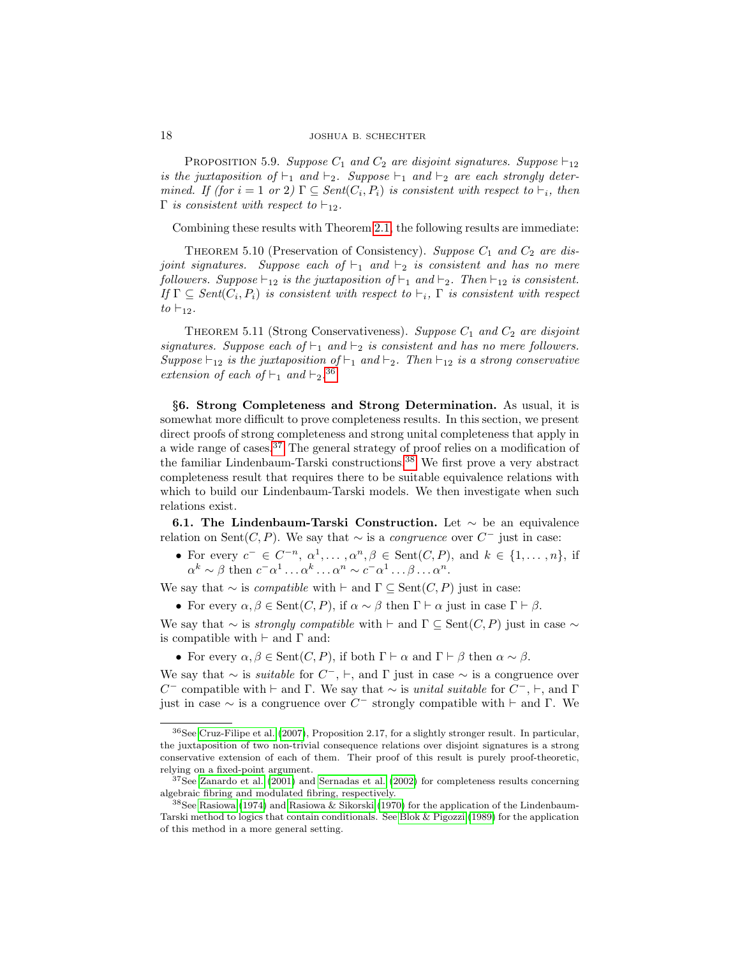PROPOSITION 5.9. Suppose  $C_1$  and  $C_2$  are disjoint signatures. Suppose  $\vdash_{12}$ is the juxtaposition of  $\vdash_1$  and  $\vdash_2$ . Suppose  $\vdash_1$  and  $\vdash_2$  are each strongly determined. If (for  $i = 1$  or  $2 \in \text{Sent}(C_i, P_i)$  is consistent with respect to  $\vdash_i$ , then  $\Gamma$  is consistent with respect to  $\vdash_{12}$ .

Combining these results with Theorem [2.1,](#page-6-7) the following results are immediate:

<span id="page-17-3"></span>THEOREM 5.10 (Preservation of Consistency). Suppose  $C_1$  and  $C_2$  are disjoint signatures. Suppose each of  $\vdash_1$  and  $\vdash_2$  is consistent and has no mere followers. Suppose  $\vdash_{12}$  is the juxtaposition of  $\vdash_1$  and  $\vdash_2$ . Then  $\vdash_{12}$  is consistent. If  $\Gamma \subseteq Sent(C_i, P_i)$  is consistent with respect to  $\vdash_i$ ,  $\Gamma$  is consistent with respect to  $\vdash_{12}$ .

<span id="page-17-4"></span>THEOREM 5.11 (Strong Conservativeness). Suppose  $C_1$  and  $C_2$  are disjoint signatures. Suppose each of  $\vdash_1$  and  $\vdash_2$  is consistent and has no mere followers. Suppose  $\vdash_{12}$  is the juxtaposition of  $\vdash_1$  and  $\vdash_2$ . Then  $\vdash_{12}$  is a strong conservative extension of each of  $\vdash_1$  and  $\vdash_2$ .<sup>[36](#page-17-0)</sup>

§6. Strong Completeness and Strong Determination. As usual, it is somewhat more difficult to prove completeness results. In this section, we present direct proofs of strong completeness and strong unital completeness that apply in a wide range of cases.<sup>[37](#page-17-1)</sup> The general strategy of proof relies on a modification of the familiar Lindenbaum-Tarski constructions.[38](#page-17-2) We first prove a very abstract completeness result that requires there to be suitable equivalence relations with which to build our Lindenbaum-Tarski models. We then investigate when such relations exist.

6.1. The Lindenbaum-Tarski Construction. Let  $\sim$  be an equivalence relation on Sent $(C, P)$ . We say that  $\sim$  is a *congruence* over  $C^-$  just in case:

• For every  $c^- \in C^{-n}, \alpha^1, \ldots, \alpha^n, \beta \in \text{Sent}(C, P)$ , and  $k \in \{1, \ldots, n\}$ , if  $\alpha^k \sim \beta$  then  $c^- \alpha^1 \dots \alpha^k \dots \alpha^n \sim c^- \alpha^1 \dots \beta \dots \alpha^n$ .

We say that  $\sim$  is *compatible* with  $\vdash$  and  $\Gamma \subseteq \text{Sent}(C, P)$  just in case:

• For every  $\alpha, \beta \in \text{Sent}(C, P)$ , if  $\alpha \sim \beta$  then  $\Gamma \vdash \alpha$  just in case  $\Gamma \vdash \beta$ .

We say that  $\sim$  is *strongly compatible* with  $\vdash$  and  $\Gamma \subseteq \text{Sent}(C, P)$  just in case  $\sim$ is compatible with  $\vdash$  and  $\Gamma$  and:

• For every  $\alpha, \beta \in \text{Sent}(C, P)$ , if both  $\Gamma \vdash \alpha$  and  $\Gamma \vdash \beta$  then  $\alpha \sim \beta$ .

We say that  $\sim$  is *suitable* for  $C^-$ ,  $\vdash$ , and  $\Gamma$  just in case  $\sim$  is a congruence over C<sup>-</sup> compatible with  $\vdash$  and Γ. We say that  $\sim$  is *unital suitable* for C<sup>-</sup>,  $\vdash$ , and Γ just in case  $\sim$  is a congruence over  $C^-$  strongly compatible with  $\vdash$  and  $\Gamma$ . We

<span id="page-17-0"></span><sup>36</sup>See [Cruz-Filipe et al. \(2007\)](#page-48-17), Proposition 2.17, for a slightly stronger result. In particular, the juxtaposition of two non-trivial consequence relations over disjoint signatures is a strong conservative extension of each of them. Their proof of this result is purely proof-theoretic, relying on a fixed-point argument.

<span id="page-17-1"></span> $37$ See [Zanardo et al. \(2001\)](#page-48-20) and [Sernadas et al. \(2002\)](#page-48-10) for completeness results concerning algebraic fibring and modulated fibring, respectively.

<span id="page-17-2"></span><sup>38</sup>See [Rasiowa \(1974\)](#page-48-21) and [Rasiowa & Sikorski \(1970\)](#page-48-22) for the application of the Lindenbaum-Tarski method to logics that contain conditionals. See [Blok & Pigozzi \(1989\)](#page-47-4) for the application of this method in a more general setting.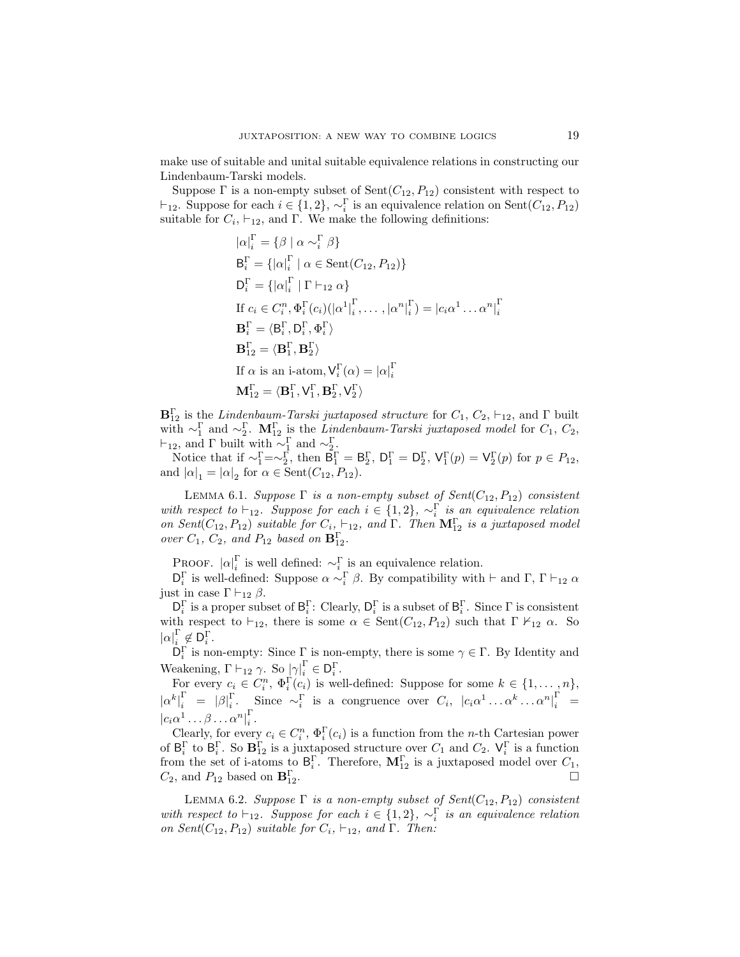make use of suitable and unital suitable equivalence relations in constructing our Lindenbaum-Tarski models.

Suppose  $\Gamma$  is a non-empty subset of  $Sent(C_{12}, P_{12})$  consistent with respect to  $\vdash_{12}$ . Suppose for each  $i \in \{1, 2\}, \sim_i^{\Gamma}$  is an equivalence relation on Sent $(C_{12}, P_{12})$ suitable for  $C_i$ ,  $\vdash_{12}$ , and  $\Gamma$ . We make the following definitions:

$$
|\alpha|_{i}^{\Gamma} = \{ \beta \mid \alpha \sim_{i}^{\Gamma} \beta \}
$$
  
\n
$$
B_{i}^{\Gamma} = \{ |\alpha|_{i}^{\Gamma} \mid \alpha \in \text{Sent}(C_{12}, P_{12}) \}
$$
  
\n
$$
D_{i}^{\Gamma} = \{ |\alpha|_{i}^{\Gamma} \mid \Gamma \vdash_{12} \alpha \}
$$
  
\nIf  $c_{i} \in C_{i}^{n}$ ,  $\Phi_{i}^{\Gamma}(c_{i}) (|\alpha^{1}|_{i}^{\Gamma}, \dots, |\alpha^{n}|_{i}^{\Gamma}) = |c_{i} \alpha^{1} \dots \alpha^{n}|_{i}^{\Gamma}$   
\n
$$
B_{i}^{\Gamma} = \langle B_{i}^{\Gamma}, D_{i}^{\Gamma}, \Phi_{i}^{\Gamma} \rangle
$$
  
\n
$$
B_{12}^{\Gamma} = \langle B_{1}^{\Gamma}, B_{2}^{\Gamma} \rangle
$$
  
\nIf  $\alpha$  is an i-atom,  $V_{i}^{\Gamma}(\alpha) = |\alpha|_{i}^{\Gamma}$   
\n
$$
M_{12}^{\Gamma} = \langle B_{1}^{\Gamma}, V_{1}^{\Gamma}, B_{2}^{\Gamma}, V_{2}^{\Gamma} \rangle
$$

 $\mathbf{B}_{12}^{\Gamma}$  is the Lindenbaum-Tarski juxtaposed structure for  $C_1, C_2, \vdash_{12}$ , and  $\Gamma$  built with  $\sim_1^{\Gamma}$  and  $\sim_2^{\Gamma}$ .  $\mathbf{M}_{12}^{\Gamma}$  is the *Lindenbaum-Tarski juxtaposed model* for  $C_1, C_2,$  $\vdash_{12}$ , and Γ built with  $\sim_{1}^{\Gamma}$  and  $\sim_{2}^{\Gamma}$ .

Notice that if  $\sim_{1}^{\Gamma} = \sim_{2}^{\Gamma}$ , then  $B_{1}^{\Gamma} = B_{2}^{\Gamma}$ ,  $D_{1}^{\Gamma} = D_{2}^{\Gamma}$ ,  $V_{1}^{\Gamma}(p) = V_{2}^{\Gamma}(p)$  for  $p \in P_{12}$ , and  $|\alpha|_1 = |\alpha|_2$  for  $\alpha \in \text{Sent}(C_{12}, P_{12})$ .

<span id="page-18-0"></span>LEMMA 6.1. Suppose  $\Gamma$  is a non-empty subset of  $Sent(C_{12}, P_{12})$  consistent with respect to  $\vdash_{12}$ . Suppose for each  $i \in \{1,2\}$ ,  $\sim_i^{\Gamma}$  is an equivalence relation on Sent $(C_{12}, P_{12})$  suitable for  $C_i$ ,  $\vdash_{12}$ , and  $\Gamma$ . Then  $\mathbf{M}_{12}^{\Gamma}$  is a juxtaposed model over  $C_1$ ,  $C_2$ , and  $P_{12}$  based on  $\mathbf{B}_{12}^{\Gamma}$ .

PROOF.  $|\alpha|_i^{\Gamma}$  is well defined:  $\sim_i^{\Gamma}$  is an equivalence relation.

 $\mathsf{D}_i^{\Gamma}$  is well-defined: Suppose  $\alpha \sim_i^{\Gamma} \beta$ . By compatibility with  $\vdash$  and  $\Gamma$ ,  $\Gamma \vdash_{12} \alpha$ just in case  $\Gamma \vdash_{12} \beta$ .

 $\mathsf{D}_i^{\Gamma}$  is a proper subset of  $\mathsf{B}_i^{\Gamma}$ : Clearly,  $\mathsf{D}_i^{\Gamma}$  is a subset of  $\mathsf{B}_i^{\Gamma}$ . Since  $\Gamma$  is consistent with respect to  $\vdash_{12}$ , there is some  $\alpha \in \text{Sent}(C_{12}, P_{12})$  such that  $\Gamma \nvdash_{12} \alpha$ . So  $|\alpha|_i^{\Gamma} \notin \mathsf{D}_i^{\Gamma}$ .

 $\mathsf{D}_i^{\Gamma}$  is non-empty: Since  $\Gamma$  is non-empty, there is some  $\gamma \in \Gamma$ . By Identity and Weakening,  $\Gamma \vdash_{12} \gamma$ . So  $\left[\gamma\right]_i^{\Gamma} \in \mathsf{D}_i^{\Gamma}$ .

For every  $c_i \in C_i^n$ ,  $\Phi_i^{\Gamma}(c_i)$  is well-defined: Suppose for some  $k \in \{1, \ldots, n\}$ ,  $|\alpha^k|^{\Gamma}_{i} = |\beta|^{\Gamma}_{i}$ . Since  $\sim_i^{\Gamma}$  is a congruence over  $C_i$ ,  $|c_i \alpha^1 \dots \alpha^k \dots \alpha^n|^{\Gamma}_{i}$  =  $|c_i\alpha^1\ldots\beta\ldots\alpha^n|_i^{\Gamma}$ i .

Clearly, for every  $c_i \in C_i^n$ ,  $\Phi_i^{\Gamma}(c_i)$  is a function from the *n*-th Cartesian power of  $B_i^{\Gamma}$  to  $B_i^{\Gamma}$ . So  $B_{12}^{\Gamma}$  is a juxtaposed structure over  $C_1$  and  $C_2$ .  $V_i^{\Gamma}$  is a function from the set of i-atoms to  $B_i^{\Gamma}$ . Therefore,  $M_{12}^{\Gamma}$  is a juxtaposed model over  $C_1$ ,  $C_2$ , and  $P_{12}$  based on  $\mathbf{B}_{12}^{\Gamma}$ .  $\Gamma$ <br>12.

<span id="page-18-1"></span>LEMMA 6.2. Suppose  $\Gamma$  is a non-empty subset of  $Sent(C_{12}, P_{12})$  consistent with respect to  $\vdash_{12}$ . Suppose for each  $i \in \{1,2\}$ ,  $\sim_i^{\Gamma}$  is an equivalence relation on Sent $(C_{12}, P_{12})$  suitable for  $C_i$ ,  $\vdash_{12}$ , and  $\Gamma$ . Then: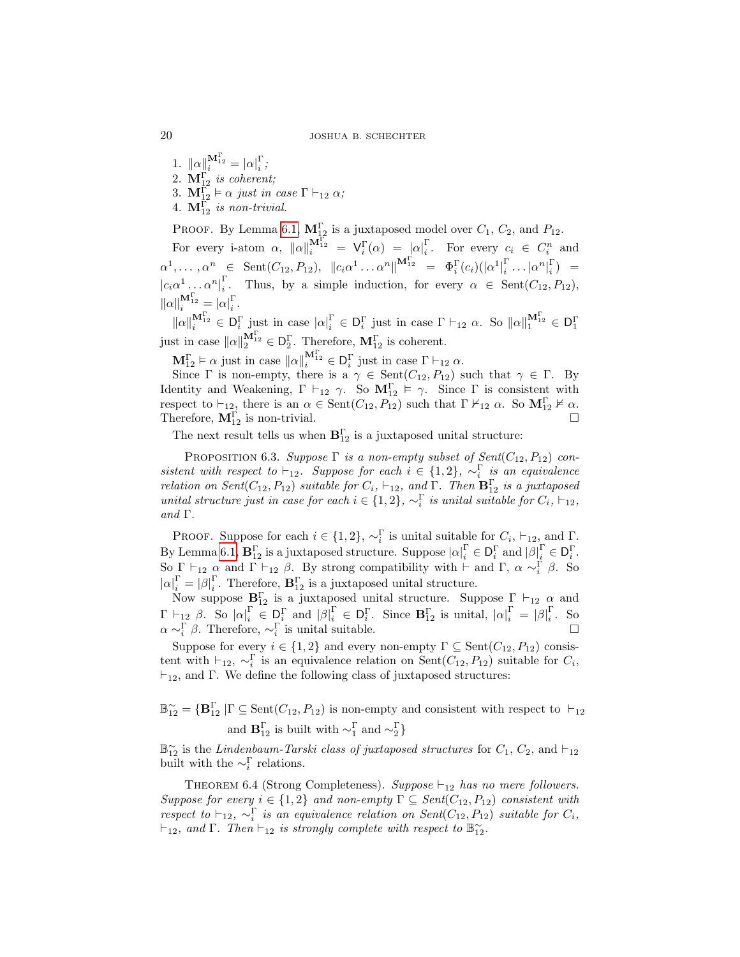20 JOSHUA B. SCHECHTER

1.  $\|\alpha\|_{i}^{\mathbf{M}_{12}^{\Gamma}} = |\alpha|_{i}^{\Gamma};$ 2.  $\mathbf{M}^{\Gamma}_{12}$  is coherent; 3.  $\mathbf{M}_{12}^{\tilde{\Gamma}} \models \alpha$  just in case  $\Gamma \vdash_{12} \alpha$ ; 4.  $\mathbf{M}_{12}^{\Gamma}$  is non-trivial.

PROOF. By Lemma [6.1,](#page-18-0)  $\mathbf{M}_{12}^{\Gamma}$  is a juxtaposed model over  $C_1$ ,  $C_2$ , and  $P_{12}$ .

For every i-atom  $\alpha$ ,  $\|\alpha\|_i^{\mathbf{M}_{12}^{\Gamma}} = \mathbf{V}_i^{\Gamma}(\alpha) = |\alpha|_i^{\Gamma}$ . For every  $c_i \in C_i^n$  and  $\alpha^1, \ldots, \alpha^n \in \text{Sent}(C_{12}, P_{12}), ||c_i\alpha^1 \ldots \alpha^n||^{\mathbf{M}_{12}^{\Gamma}} = \Phi_i^{\Gamma}(c_i)(|\alpha^1|_i^{\Gamma})$  $\frac{\Gamma}{i} \ldots |\alpha^n|_i^{\Gamma}$  =  $|c_i\alpha^1\ldots\alpha^n|_i^{\Gamma}$ <sup>1</sup><sub>i</sub>. Thus, by a simple induction, for every  $\alpha \in \text{Sent}(C_{12}, P_{12}),$  $\|\alpha\|_i^{\mathbf{M}_{12}^{\boldsymbol{\Gamma}}} = |\alpha|_i^{\boldsymbol{\Gamma}}.$ 

 $||\alpha||_i^{\mathbf{M}_{12}^{\Gamma}} \in D_i^{\Gamma}$  just in case  $|\alpha|_i^{\Gamma} \in D_i^{\Gamma}$  just in case  $\Gamma \vdash_{12} \alpha$ . So  $||\alpha||_1^{\mathbf{M}_{12}^{\Gamma}} \in D_i^{\Gamma}$ just in case  $\|\alpha\|_2^{\mathbf{M}_{12}^{\Gamma}} \in \mathsf{D}_2^{\Gamma}$ . Therefore,  $\mathbf{M}_{12}^{\Gamma}$  is coherent.

 $\mathbf{M}_{12}^{\Gamma} \models \alpha$  just in case  $\|\alpha\|_{i}^{\mathbf{M}_{12}^{\Gamma}} \in \mathsf{D}_{i}^{\Gamma}$  just in case  $\Gamma \vdash_{12} \alpha$ .

Since  $\Gamma$  is non-empty, there is a  $\gamma \in \text{Sent}(C_{12}, P_{12})$  such that  $\gamma \in \Gamma$ . By Identity and Weakening,  $\Gamma \vdash_{12} \gamma$ . So  $\mathbf{M}_{12}^{\Gamma} \models \gamma$ . Since  $\Gamma$  is consistent with respect to  $\vdash_{12}$ , there is an  $\alpha \in \text{Sent}(C_{12}, P_{12})$  such that  $\Gamma \nvdash_{12} \alpha$ . So  $\mathbf{M}_{12}^{\Gamma} \nvdash \alpha$ . Therefore,  $M_{12}^{\Gamma}$  is non-trivial.

The next result tells us when  $\mathbf{B}_{12}^{\Gamma}$  is a juxtaposed unital structure:

PROPOSITION 6.3. Suppose  $\Gamma$  is a non-empty subset of Sent $(C_{12}, P_{12})$  consistent with respect to  $\vdash_{12}$ . Suppose for each  $i \in \{1,2\}$ ,  $\sim_i^{\Gamma}$  is an equivalence relation on Sent( $C_{12}, P_{12}$ ) suitable for  $C_i$ ,  $\vdash_{12}$ , and  $\Gamma$ . Then  $\mathbf{B}_{12}^{\Gamma}$  is a juxtaposed unital structure just in case for each  $i \in \{1,2\}$ ,  $\sim_i^{\Gamma}$  is unital suitable for  $C_i$ ,  $\vdash_{12}$ , and Γ.

PROOF. Suppose for each  $i \in \{1, 2\}$ ,  $\sim_i^{\Gamma}$  is unital suitable for  $C_i$ ,  $\vdash_{12}$ , and  $\Gamma$ . By Lemma [6.1,](#page-18-0)  $\mathbf{B}_{12}^{\Gamma}$  is a juxtaposed structure. Suppose  $|\alpha|_i^{\Gamma} \in D_i^{\Gamma}$  and  $|\beta|_i^{\Gamma} \in D_i^{\Gamma}$ . So  $\Gamma \vdash_{12} \alpha$  and  $\Gamma \vdash_{12} \beta$ . By strong compatibility with  $\vdash$  and  $\Gamma$ ,  $\alpha \sim_i^{\Gamma} \beta$ . So  $|\alpha|_i^{\Gamma} = |\beta|_i^{\Gamma}$ . Therefore,  $\mathbf{B}_{12}^{\Gamma}$  is a juxtaposed unital structure.

Now suppose  $\mathbf{B}_{12}^{\Gamma}$  is a juxtaposed unital structure. Suppose  $\Gamma \vdash_{12} \alpha$  and  $\Gamma \vdash_{12} \beta$ . So  $|\alpha|_i^{\Gamma} \in D_i^{\Gamma}$  and  $|\beta|_i^{\Gamma} \in D_i^{\Gamma}$ . Since  $\mathbf{B}_{12}^{\Gamma}$  is unital,  $|\alpha|_i^{\Gamma} = |\beta|_i^{\Gamma}$ . So  $\alpha \sim_i^{\Gamma} \beta$ . Therefore,  $\sim_i^{\Gamma}$  is unital suitable.  $\Box$ 

Suppose for every  $i \in \{1,2\}$  and every non-empty  $\Gamma \subseteq \text{Sent}(C_{12}, P_{12})$  consistent with  $\vdash_{12}$ ,  $\sim_i^{\Gamma}$  is an equivalence relation on Sent $(C_{12}, P_{12})$  suitable for  $C_i$ ,  $\vdash_{12}$ , and Γ. We define the following class of juxtaposed structures:

 $\mathbb{B}_{12}^{\sim} = {\bf B}_{12}^{\Gamma} | \Gamma \subseteq \text{Sent}(C_{12}, P_{12})$  is non-empty and consistent with respect to  $\vdash_{12}$ and  $\mathbf{B}_{12}^{\Gamma}$  is built with  $\sim_{1}^{\Gamma}$  and  $\sim_{2}^{\Gamma}$ }

 $\mathbb{B}_{12}^{\sim}$  is the *Lindenbaum-Tarski class of juxtaposed structures* for  $C_1$ ,  $C_2$ , and  $\vdash_{12}$ built with the  $\sim_i^{\Gamma}$  relations.

THEOREM 6.4 (Strong Completeness). Suppose  $\vdash_{12}$  has no mere followers. Suppose for every  $i \in \{1,2\}$  and non-empty  $\Gamma \subseteq Sent(C_{12}, P_{12})$  consistent with respect to  $\vdash_{12}$ ,  $\sim_i^{\Gamma}$  is an equivalence relation on Sent(C<sub>12</sub>, P<sub>12</sub>) suitable for C<sub>i</sub>,  $\vdash_{12}$ , and  $\Gamma$ . Then  $\vdash_{12}$  is strongly complete with respect to  $\mathbb{B}_{12}^{\sim}$ .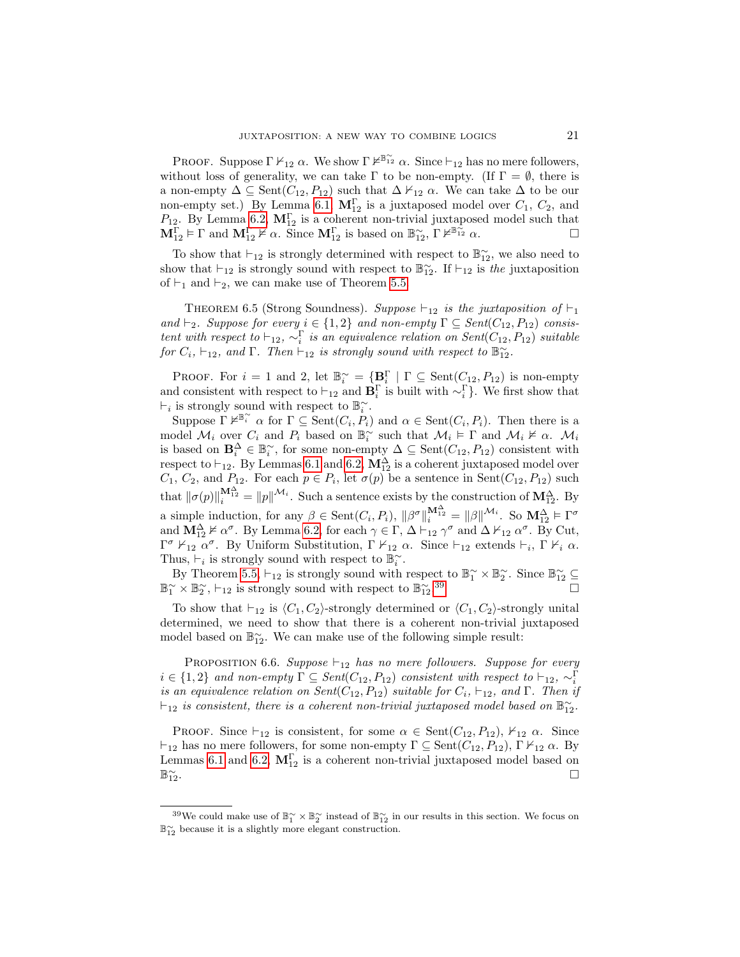PROOF. Suppose  $\Gamma \nvdash_{12} \alpha$ . We show  $\Gamma \nvdash^{\mathbb{B}^{\infty}_{12}} \alpha$ . Since  $\vdash_{12}$  has no mere followers, without loss of generality, we can take  $\Gamma$  to be non-empty. (If  $\Gamma = \emptyset$ , there is a non-empty  $\Delta \subseteq \text{Sent}(C_{12}, P_{12})$  such that  $\Delta \nvdash_{12} \alpha$ . We can take  $\Delta$  to be our non-empty set.) By Lemma [6.1,](#page-18-0)  $\mathbf{M}_{12}^{\Gamma}$  is a juxtaposed model over  $C_1$ ,  $C_2$ , and P<sub>12</sub>. By Lemma [6.2,](#page-18-1)  $\mathbf{M}_{12}^{\Gamma}$  is a coherent non-trivial juxtaposed model such that  $\mathbf{M}_{12}^{\Gamma} \models \Gamma$  and  $\mathbf{M}_{12}^{\Gamma} \not\models \alpha$ . Since  $\mathbf{M}_{12}^{\Gamma}$  is based on  $\mathbb{B}_{12}^{\infty}$ ,  $\Gamma \not\models^{\mathbb{B}_{12}^{\infty}} \alpha$ .  $\mathbf{M}_{12}^{\Gamma} \models \Gamma$  and  $\mathbf{M}_{12}^{\Gamma} \not\models \alpha$ . Since  $\mathbf{M}_{12}^{\Gamma}$  is based on  $\mathbb{B}_{12}^{\sim}$ ,  $\Gamma \not\models^{\mathbb{B}}$ 

To show that  $\vdash_{12}$  is strongly determined with respect to  $\mathbb{B}_{12}^{\sim}$ , we also need to show that  $\vdash_{12}$  is strongly sound with respect to  $\mathbb{B}_{12}^{\sim}$ . If  $\vdash_{12}$  is the juxtaposition of  $\vdash_1$  and  $\vdash_2$ , we can make use of Theorem [5.5.](#page-15-1)

THEOREM 6.5 (Strong Soundness). Suppose  $\vdash_{12}$  is the juxtaposition of  $\vdash_1$ and  $\vdash_2$ . Suppose for every  $i \in \{1,2\}$  and non-empty  $\Gamma \subseteq Sent(C_{12}, P_{12})$  consistent with respect to  $\vdash_{12}, \sim_i^{\Gamma}$  is an equivalence relation on Sent $(C_{12}, P_{12})$  suitable for  $C_i$ ,  $\vdash_{12}$ , and  $\Gamma$ . Then  $\vdash_{12}$  is strongly sound with respect to  $\mathbb{B}_{12}^{\sim}$ .

PROOF. For  $i = 1$  and 2, let  $\mathbb{B}_i^{\sim} = {\mathbf{B}_i^{\Gamma} \mid \Gamma \subseteq \text{Sent}(C_{12}, P_{12})}$  is non-empty and consistent with respect to  $\vdash_{12}$  and  $\mathbf{B}_i^{\Gamma}$  is built with  $\sim_i^{\Gamma}$ . We first show that  $\vdash_i$  is strongly sound with respect to  $\mathbb{B}_i^{\sim}$ .

Suppose  $\Gamma \nvDash^{\mathbb{B}^{\sim}}_{i} \alpha$  for  $\Gamma \subseteq \text{Sent}(C_i, P_i)$  and  $\alpha \in \text{Sent}(C_i, P_i)$ . Then there is a model  $\mathcal{M}_i$  over  $C_i$  and  $P_i$  based on  $\mathbb{B}_i^{\sim}$  such that  $\mathcal{M}_i \models \Gamma$  and  $\mathcal{M}_i \not\models \alpha$ .  $\mathcal{M}_i$ is based on  $\mathbf{B}_i^{\Delta} \in \mathbb{B}_i^{\sim}$ , for some non-empty  $\Delta \subseteq \text{Sent}(C_{12}, P_{12})$  consistent with respect to  $\vdash_{12}$ . By Lemmas [6.1](#page-18-0) and [6.2,](#page-18-1)  $\mathbf{M}_{12}^{\Delta}$  is a coherent juxtaposed model over  $C_1, C_2$ , and  $P_{12}$ . For each  $p \in P_i$ , let  $\sigma(p)$  be a sentence in Sent $(C_{12}, P_{12})$  such that  $\|\sigma(p)\|_{i}^{\mathbf{M}_{12}^{\Delta}} = \|p\|^{\mathcal{M}_{i}}$ . Such a sentence exists by the construction of  $\mathbf{M}_{12}^{\Delta}$ . By a simple induction, for any  $\beta \in \text{Sent}(C_i, P_i)$ ,  $\|\beta^{\sigma}\|_{i}^{\mathbf{M}_{12}^{\Delta}} = \|\beta\|^{M_i}$ . So  $\mathbf{M}_{12}^{\Delta} \models \Gamma^{\sigma}$ and  $\mathbf{M}_{12}^{\Delta} \not\vDash \alpha^{\sigma}$ . By Lemma [6.2,](#page-18-1) for each  $\gamma \in \Gamma$ ,  $\Delta \vdash_{12} \gamma^{\sigma}$  and  $\Delta \not\vDash_{12} \alpha^{\sigma}$ . By Cut, Γ<sup>σ</sup>  $\overline{\vphantom{F}}$   $\overline{\vphantom{F}}$   $\overline{\vphantom{F}}$  By Uniform Substitution, Γ  $\overline{\vphantom{F}}$   $\overline{\vphantom{F}}$   $\overline{\vphantom{F}}$   $\overline{\vphantom{F}}$   $\overline{\vphantom{F}}$  a. Since  $\overline{\vphantom{F}}$  a. Thus,  $\vdash_i$  is strongly sound with respect to  $\mathbb{B}_i^{\sim}$ .

By Theorem [5.5,](#page-15-1)  $\vdash_{12}$  is strongly sound with respect to  $\mathbb{B}_1^{\sim} \times \mathbb{B}_2^{\sim}$ . Since  $\mathbb{B}_{12}^{\sim} \subseteq$  $\mathbb{B}_{1}^{\sim} \times \mathbb{B}_{2}^{\sim}$ ,  $\vdash_{12}$  is strongly sound with respect to  $\mathbb{B}_{12}^{\sim}$ .  $39$ 

To show that  $\vdash_{12}$  is  $\langle C_1, C_2 \rangle$ -strongly determined or  $\langle C_1, C_2 \rangle$ -strongly unital determined, we need to show that there is a coherent non-trivial juxtaposed model based on  $\mathbb{B}_{12}^{\sim}$ . We can make use of the following simple result:

PROPOSITION 6.6. Suppose  $\vdash_{12}$  has no mere followers. Suppose for every  $i \in \{1,2\}$  and non-empty  $\Gamma \subseteq Sent(C_{12}, P_{12})$  consistent with respect to  $\vdash_{12}, \sim_i^{\Gamma}$ is an equivalence relation on Sent( $C_{12}, P_{12}$ ) suitable for  $C_i$ ,  $\vdash_{12}$ , and  $\Gamma$ . Then if  $\vdash_{12}$  is consistent, there is a coherent non-trivial juxtaposed model based on  $\mathbb{B}_{12}^{\sim}$ .

PROOF. Since  $\vdash_{12}$  is consistent, for some  $\alpha \in \text{Sent}(C_{12}, P_{12}), \nvdash_{12} \alpha$ . Since  $\vdash_{12}$  has no mere followers, for some non-empty  $\Gamma \subseteq \text{Sent}(C_{12}, P_{12}), \Gamma \nvdash_{12} \alpha$ . By Lemmas [6.1](#page-18-0) and [6.2,](#page-18-1)  $\mathbf{M}_{12}^{\Gamma}$  is a coherent non-trivial juxtaposed model based on ®∼  $\frac{1}{12}$ .

<span id="page-20-0"></span><sup>&</sup>lt;sup>39</sup>We could make use of  $\mathbb{B}_1^{\sim} \times \mathbb{B}_2^{\sim}$  instead of  $\mathbb{B}_{12}^{\sim}$  in our results in this section. We focus on B∼ <sup>12</sup> because it is a slightly more elegant construction.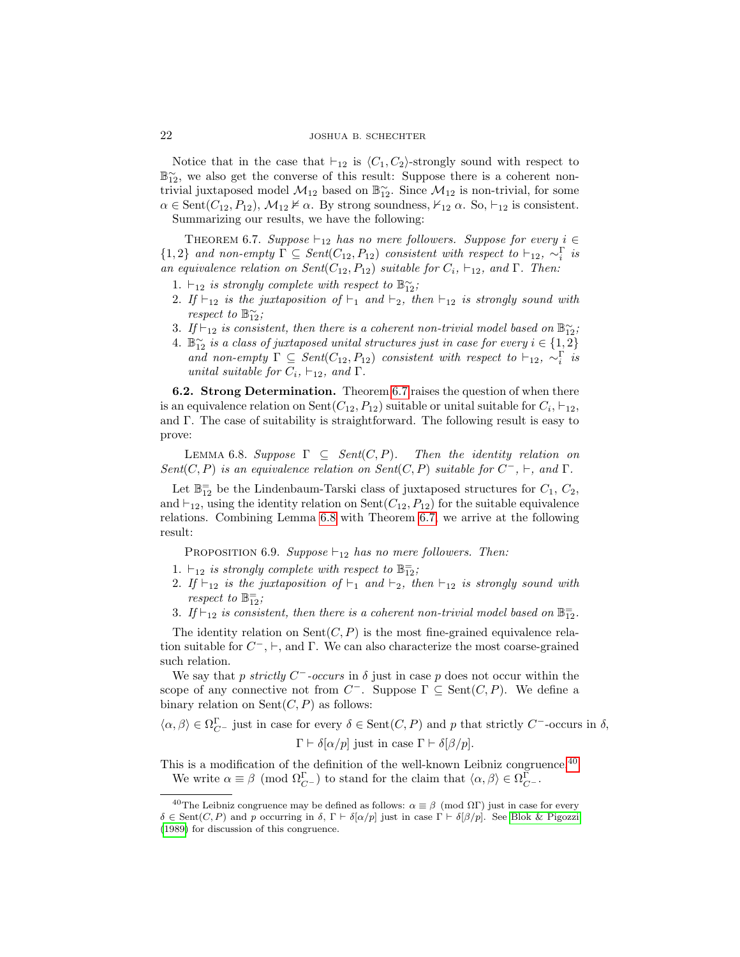Notice that in the case that  $\vdash_{12}$  is  $\langle C_1, C_2 \rangle$ -strongly sound with respect to  $\mathbb{B}_{12}^{\sim}$ , we also get the converse of this result: Suppose there is a coherent nontrivial juxtaposed model  $\mathcal{M}_{12}$  based on  $\mathbb{B}_{12}^{\sim}$ . Since  $\mathcal{M}_{12}$  is non-trivial, for some  $\alpha \in \text{Sent}(C_{12}, P_{12}), \mathcal{M}_{12} \nvDash \alpha$ . By strong soundness,  $\nvDash_{12} \alpha$ . So,  $\vdash_{12}$  is consistent. Summarizing our results, we have the following:

<span id="page-21-0"></span>THEOREM 6.7. Suppose  $\vdash_{12}$  has no mere followers. Suppose for every  $i \in$  $\{1,2\}$  and non-empty  $\Gamma \subseteq \text{Sent}(C_{12}, P_{12})$  consistent with respect to  $\vdash_{12}$ ,  $\sim_i^{\Gamma}$  is an equivalence relation on  $Sent(C_{12}, P_{12})$  suitable for  $C_i$ ,  $\vdash_{12}$ , and  $\Gamma$ . Then:

- 1.  $\vdash_{12}$  is strongly complete with respect to  $\mathbb{B}_{12}^{\sim}$ ;
- 2. If  $\vdash_{12}$  is the juxtaposition of  $\vdash_1$  and  $\vdash_2$ , then  $\vdash_{12}$  is strongly sound with respect to  $\mathbb{B}_{12}^{\sim}$ ;
- 3. If  $\vdash_{12}$  is consistent, then there is a coherent non-trivial model based on  $\mathbb{B}_{12}^{\sim}$ ;
- 4.  $\mathbb{B}_{12}^{\sim}$  is a class of juxtaposed unital structures just in case for every  $i \in \{1,2\}$ and non-empty  $\Gamma \subseteq Sent(C_{12}, P_{12})$  consistent with respect to  $\vdash_{12}$ ,  $\sim_i^{\Gamma}$  is unital suitable for  $C_i$ ,  $\vdash_{12}$ , and  $\Gamma$ .

6.2. Strong Determination. Theorem [6.7](#page-21-0) raises the question of when there is an equivalence relation on Sent $(C_{12}, P_{12})$  suitable or unital suitable for  $C_i$ ,  $\vdash_{12}$ , and  $\Gamma$ . The case of suitability is straightforward. The following result is easy to prove:

<span id="page-21-1"></span>LEMMA 6.8. Suppose  $\Gamma \subseteq \text{Sent}(C, P)$ . Then the identity relation on Sent(C, P) is an equivalence relation on Sent(C, P) suitable for  $C^-$ ,  $\vdash$ , and  $\Gamma$ .

Let  $\mathbb{B}^{\pm}_{12}$  be the Lindenbaum-Tarski class of juxtaposed structures for  $C_1, C_2$ , and  $\vdash_{12}$ , using the identity relation on Sent $(C_{12}, P_{12})$  for the suitable equivalence relations. Combining Lemma [6.8](#page-21-1) with Theorem [6.7,](#page-21-0) we arrive at the following result:

<span id="page-21-4"></span>PROPOSITION 6.9. Suppose  $\vdash_{12}$  has no mere followers. Then:

- 1.  $\vdash_{12}$  is strongly complete with respect to  $\mathbb{B}^{\pm}_{12}$ ;
- 2. If  $\vdash_{12}$  is the juxtaposition of  $\vdash_1$  and  $\vdash_2$ , then  $\vdash_{12}$  is strongly sound with respect to  $\mathbb{B}_{12}^=$ ;
- 3. If  $\vdash_{12}$  is consistent, then there is a coherent non-trivial model based on  $\mathbb{B}^-_{12}$ .

The identity relation on  $Sent(C, P)$  is the most fine-grained equivalence relation suitable for  $C^-$ ,  $\vdash$ , and  $\Gamma$ . We can also characterize the most coarse-grained such relation.

We say that p strictly  $C^-$ -occurs in  $\delta$  just in case p does not occur within the scope of any connective not from  $C^-$ . Suppose  $\Gamma \subseteq \text{Sent}(C, P)$ . We define a binary relation on  $Sent(C, P)$  as follows:

 $\langle \alpha, \beta \rangle \in \Omega_{C^-}^{\Gamma}$  just in case for every  $\delta \in \text{Sent}(C, P)$  and p that strictly  $C^-$ -occurs in  $\delta$ , Γ  $\vdash \delta[\alpha/p]$  just in case  $\Gamma \vdash \delta[\beta/p]$ .

This is a modification of the definition of the well-known Leibniz congruence.<sup>[40](#page-21-2)</sup> We write  $\alpha \equiv \beta \pmod{\Omega_{C^-}^{\Gamma}}$  to stand for the claim that  $\langle \alpha, \beta \rangle \in \Omega_{C^-}^{\Gamma}$ .

<span id="page-21-3"></span><span id="page-21-2"></span><sup>&</sup>lt;sup>40</sup>The Leibniz congruence may be defined as follows:  $\alpha \equiv \beta \pmod{\Omega\Gamma}$  just in case for every  $\delta \in \text{Sent}(C, P)$  and p occurring in  $\delta$ ,  $\Gamma \vdash \delta[\alpha/p]$  just in case  $\Gamma \vdash \delta[\beta/p]$ . See [Blok & Pigozzi](#page-47-4) [\(1989\)](#page-47-4) for discussion of this congruence.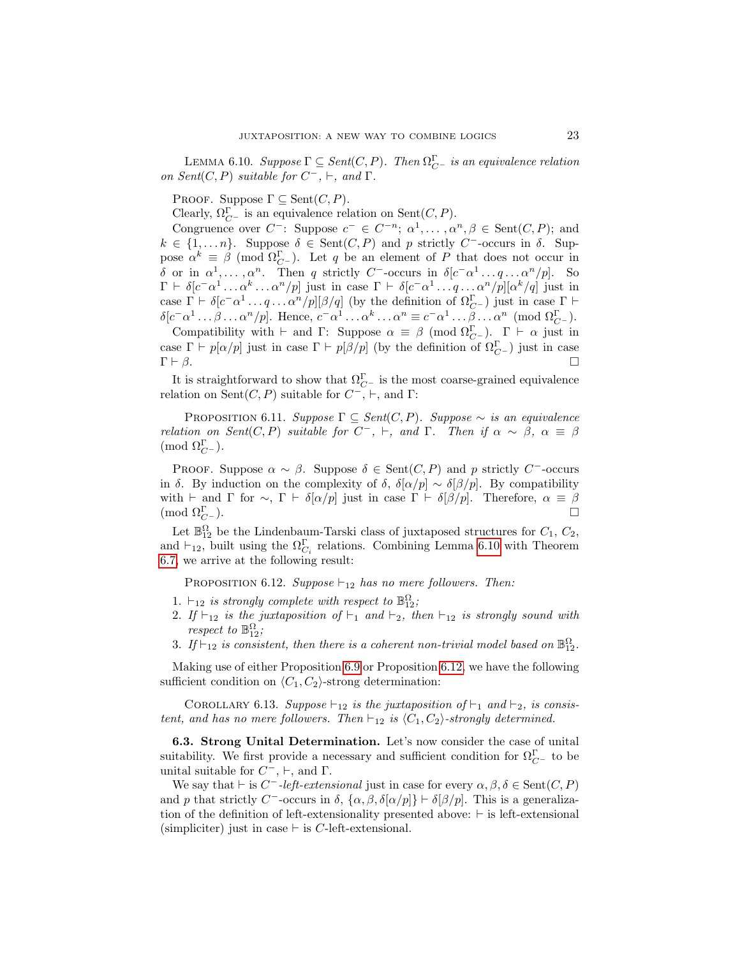LEMMA 6.10. Suppose  $\Gamma \subseteq Sent(C, P)$ . Then  $\Omega_{C}^{\Gamma}$  is an equivalence relation on Sent $(C, P)$  suitable for  $C^-$ ,  $\vdash$ , and  $\Gamma$ .

PROOF. Suppose  $\Gamma \subseteq \text{Sent}(C, P)$ .

Clearly,  $\Omega_{C}^{\Gamma}$  is an equivalence relation on Sent $(C, P)$ .

Congruence over  $C^-$ : Suppose  $c^- \in C^{-n}$ ;  $\alpha^1, \dots, \alpha^n, \beta \in \text{Sent}(C, P)$ ; and  $k \in \{1, \ldots n\}$ . Suppose  $\delta \in \text{Sent}(C, P)$  and p strictly C<sup>-</sup>-occurs in  $\delta$ . Suppose  $\alpha^k \equiv \beta \pmod{\Omega^{\Gamma}_{C^{-}}}$ . Let q be an element of P that does not occur in δ or in  $\alpha^1, \ldots, \alpha^n$ . Then q strictly C<sup>-</sup>-occurs in  $\delta[c^-\alpha^1 \ldots q \ldots \alpha^n/p]$ . So  $\Gamma \vdash \delta[c^- \alpha^1 \ldots \alpha^k \ldots \alpha^n/p]$  just in case  $\Gamma \vdash \delta[c^- \alpha^1 \ldots q \ldots \alpha^n/p][\alpha^k/q]$  just in case  $\Gamma \vdash \delta[c^- \alpha^1 \ldots q \ldots \alpha^n/p][\beta/q]$  (by the definition of  $\Omega_{C^-}^{\Gamma}$ ) just in case  $\Gamma \vdash$  $\delta[c^- \alpha^1 \dots \beta \dots \alpha^n/p]$ . Hence,  $c^- \alpha^1 \dots \alpha^k \dots \alpha^n \equiv c^- \alpha^1 \dots \beta \dots \alpha^n \pmod{\Omega_{C^-}^{\Gamma}}$ .

Compatibility with  $\vdash$  and  $\Gamma$ : Suppose  $\alpha \equiv \beta \pmod{\Omega_{C}^{\Gamma}}$ .  $\Gamma \vdash \alpha$  just in case  $\Gamma \vdash p[\alpha/p]$  just in case  $\Gamma \vdash p[\beta/p]$  (by the definition of  $\Omega_{C-}^{\Gamma}$ ) just in case  $\Gamma \vdash \beta$ .

It is straightforward to show that  $\Omega_{C-}^{\Gamma}$  is the most coarse-grained equivalence relation on Sent $(C, P)$  suitable for  $C^-$ ,  $\vdash$ , and  $\Gamma$ :

<span id="page-22-2"></span>PROPOSITION 6.11. Suppose  $\Gamma \subseteq Sent(C, P)$ . Suppose ∼ is an equivalence relation on Sent(C, P) suitable for  $C^-$ ,  $\vdash$ , and  $\Gamma$ . Then if  $\alpha \sim \beta$ ,  $\alpha \equiv \beta$  $\pmod{\Omega^{\Gamma}_{C^{-}}}$ .

PROOF. Suppose  $\alpha \sim \beta$ . Suppose  $\delta \in \text{Sent}(C, P)$  and p strictly C<sup>-</sup>-occurs in δ. By induction on the complexity of  $\delta$ ,  $\delta[\alpha/p] \sim \delta[\beta/p]$ . By compatibility with  $\vdash$  and  $\Gamma$  for  $\sim$ ,  $\Gamma \vdash \delta[\alpha/p]$  just in case  $\Gamma \vdash \delta[\beta/p]$ . Therefore,  $\alpha \equiv \beta$ (mod  $\Omega_{C}^{\Gamma}$ ).  $\Gamma C^{\text{}}$ ).

Let  $\mathbb{B}_{12}^{\Omega}$  be the Lindenbaum-Tarski class of juxtaposed structures for  $C_1$ ,  $C_2$ , and  $\vdash_{12}$ , built using the  $\Omega_{C_i}^{\Gamma}$  relations. Combining Lemma [6.10](#page-21-3) with Theorem [6.7,](#page-21-0) we arrive at the following result:

<span id="page-22-0"></span>PROPOSITION 6.12. Suppose  $\vdash_{12}$  has no mere followers. Then:

- 1.  $\vdash_{12}$  is strongly complete with respect to  $\mathbb{B}^{\Omega}_{12}$ ;
- 2. If  $\vdash_{12}$  is the juxtaposition of  $\vdash_1$  and  $\vdash_2$ , then  $\vdash_{12}$  is strongly sound with respect to  $\mathbb{B}^{\Omega}_{12}$ ;
- 3. If  $\vdash_{12}$  is consistent, then there is a coherent non-trivial model based on  $\mathbb{B}^{\Omega}_{12}$ .

Making use of either Proposition [6.9](#page-21-4) or Proposition [6.12,](#page-22-0) we have the following sufficient condition on  $\langle C_1, C_2 \rangle$ -strong determination:

<span id="page-22-1"></span>COROLLARY 6.13. Suppose  $\vdash_{12}$  is the juxtaposition of  $\vdash_1$  and  $\vdash_2$ , is consistent, and has no mere followers. Then  $\vdash_{12}$  is  $\langle C_1, C_2 \rangle$ -strongly determined.

6.3. Strong Unital Determination. Let's now consider the case of unital suitability. We first provide a necessary and sufficient condition for  $\Omega_{C^-}^{\Gamma}$  to be unital suitable for  $C^-$ ,  $\vdash$ , and  $\Gamma$ .

<span id="page-22-3"></span>We say that  $\vdash$  is  $C^-$ -left-extensional just in case for every  $\alpha, \beta, \delta \in \text{Sent}(C, P)$ and p that strictly C<sup>-</sup>-occurs in  $\delta$ ,  $\{\alpha, \beta, \delta[\alpha/p]\} \vdash \delta[\beta/p]$ . This is a generalization of the definition of left-extensionality presented above:  $\vdash$  is left-extensional (simpliciter) just in case  $\vdash$  is C-left-extensional.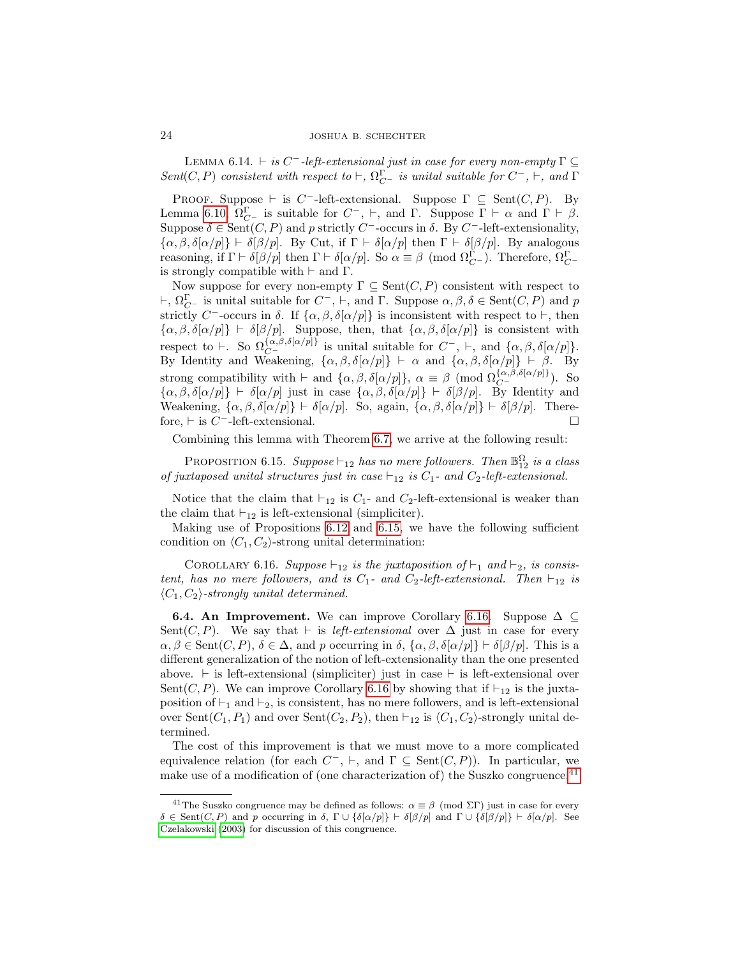LEMMA 6.14.  $\vdash$  is C<sup>-</sup>-left-extensional just in case for every non-empty  $\Gamma \subseteq$ Sent(C, P) consistent with respect to  $\vdash$ ,  $\Omega_{C}^{\Gamma}$  is unital suitable for  $C^{-}$ ,  $\vdash$ , and  $\Gamma$ 

PROOF. Suppose  $\vdash$  is C<sup>-</sup>-left-extensional. Suppose  $\Gamma \subseteq \text{Sent}(C, P)$ . By Lemma [6.10,](#page-21-3)  $\Omega_{C}^{\Gamma}$  is suitable for  $C^{-}$ ,  $\vdash$ , and  $\Gamma$ . Suppose  $\Gamma \vdash \alpha$  and  $\Gamma \vdash \beta$ . Suppose  $\delta \in \text{Sent}(C, P)$  and p strictly C<sup>-</sup>-occurs in  $\delta$ . By C<sup>-</sup>-left-extensionality,  $\{\alpha,\beta,\delta[\alpha/p]\}\vdash \delta[\beta/p]$ . By Cut, if  $\Gamma\vdash \delta[\alpha/p]$  then  $\Gamma\vdash \delta[\beta/p]$ . By analogous reasoning, if  $\Gamma \vdash \delta[\beta/p]$  then  $\Gamma \vdash \delta[\alpha/p]$ . So  $\alpha \equiv \beta \pmod{\Omega^{\Gamma}_{C^{-}}}$ . Therefore,  $\Omega^{\Gamma}_{C^{-}}$ is strongly compatible with  $\vdash$  and  $\Gamma$ .

Now suppose for every non-empty  $\Gamma \subseteq \text{Sent}(C, P)$  consistent with respect to  $\vdash$ ,  $\Omega_{C}^{\Gamma}$  is unital suitable for  $C^-$ ,  $\vdash$ , and  $\Gamma$ . Suppose  $\alpha, \beta, \delta \in \text{Sent}(C, P)$  and p strictly C<sup>-</sup>-occurs in δ. If  $\{\alpha, \beta, \delta[\alpha/p]\}$  is inconsistent with respect to  $\vdash$ , then  $\{\alpha,\beta,\delta[\alpha/p]\}\vdash \delta[\beta/p].$  Suppose, then, that  $\{\alpha,\beta,\delta[\alpha/p]\}\$ is consistent with respect to  $\vdash$ . So  $\Omega_{C}^{\{\alpha,\beta,\delta[\alpha/p]\}}$  is unital suitable for  $C^-$ ,  $\vdash$ , and  $\{\alpha,\beta,\delta[\alpha/p]\}.$ By Identity and Weakening,  $\{\alpha, \beta, \delta[\alpha/p]\}$   $\vdash \alpha$  and  $\{\alpha, \beta, \delta[\alpha/p]\}$   $\vdash \beta$ . By strong compatibility with  $\vdash$  and  $\{\alpha, \beta, \delta[\alpha/p]\}, \alpha \equiv \beta \pmod{\Omega_{C^-}^{\{\alpha,\beta,\delta[\alpha/p]\}}}.$  So  $\{\alpha,\beta,\delta[\alpha/p]\}\vdash \delta[\alpha/p]$  just in case  $\{\alpha,\beta,\delta[\alpha/p]\}\vdash \delta[\beta/p]$ . By Identity and Weakening,  $\{\alpha, \beta, \delta[\alpha/p]\} \vdash \delta[\alpha/p]$ . So, again,  $\{\alpha, \beta, \delta[\alpha/p]\} \vdash \delta[\beta/p]$ . Therefore,  $\vdash$  is  $C^-$ -left-extensional.

Combining this lemma with Theorem [6.7,](#page-21-0) we arrive at the following result:

<span id="page-23-0"></span>PROPOSITION 6.15. Suppose  $\vdash_{12}$  has no mere followers. Then  $\mathbb{B}_{12}^{\Omega}$  is a class of juxtaposed unital structures just in case  $\vdash_{12}$  is  $C_1$ - and  $C_2$ -left-extensional.

Notice that the claim that  $\vdash_{12}$  is  $C_1$ - and  $C_2$ -left-extensional is weaker than the claim that  $\vdash_{12}$  is left-extensional (simpliciter).

Making use of Propositions [6.12](#page-22-0) and [6.15,](#page-23-0) we have the following sufficient condition on  $\langle C_1, C_2 \rangle$ -strong unital determination:

<span id="page-23-1"></span>COROLLARY 6.16. Suppose  $\vdash_{12}$  is the juxtaposition of  $\vdash_1$  and  $\vdash_2$ , is consistent, has no mere followers, and is  $C_1$ - and  $C_2$ -left-extensional. Then  $\vdash_{12}$  is  $\langle C_1, C_2 \rangle$ -strongly unital determined.

**6.4. An Improvement.** We can improve Corollary [6.16.](#page-23-1) Suppose  $\Delta \subseteq$ Sent(C, P). We say that  $\vdash$  is left-extensional over  $\Delta$  just in case for every  $\alpha, \beta \in \text{Sent}(C, P), \delta \in \Delta$ , and p occurring in  $\delta$ ,  $\{\alpha, \beta, \delta[\alpha/p]\}\vdash \delta[\beta/p]$ . This is a different generalization of the notion of left-extensionality than the one presented above.  $\vdash$  is left-extensional (simpliciter) just in case  $\vdash$  is left-extensional over Sent(C, P). We can improve Corollary [6.16](#page-23-1) by showing that if  $\vdash_{12}$  is the juxtaposition of  $\vdash_1$  and  $\vdash_2$ , is consistent, has no mere followers, and is left-extensional over Sent $(C_1, P_1)$  and over Sent $(C_2, P_2)$ , then  $\vdash_{12}$  is  $\langle C_1, C_2 \rangle$ -strongly unital determined.

The cost of this improvement is that we must move to a more complicated equivalence relation (for each  $C^-$ ,  $\vdash$ , and  $\Gamma \subseteq \text{Sent}(C, P)$ ). In particular, we make use of a modification of (one characterization of) the Suszko congruence.<sup>[41](#page-23-2)</sup>

<span id="page-23-2"></span><sup>&</sup>lt;sup>41</sup>The Suszko congruence may be defined as follows:  $\alpha \equiv \beta \pmod{\Sigma\Gamma}$  just in case for every  $\delta \in \text{Sent}(C, P)$  and p occurring in  $\delta$ ,  $\Gamma \cup {\delta[\alpha/p]}$   $\vdash \delta[\beta/p]$  and  $\Gamma \cup {\delta[\beta/p]}$   $\vdash \delta[\alpha/p]$ . See [Czelakowski \(2003\)](#page-48-23) for discussion of this congruence.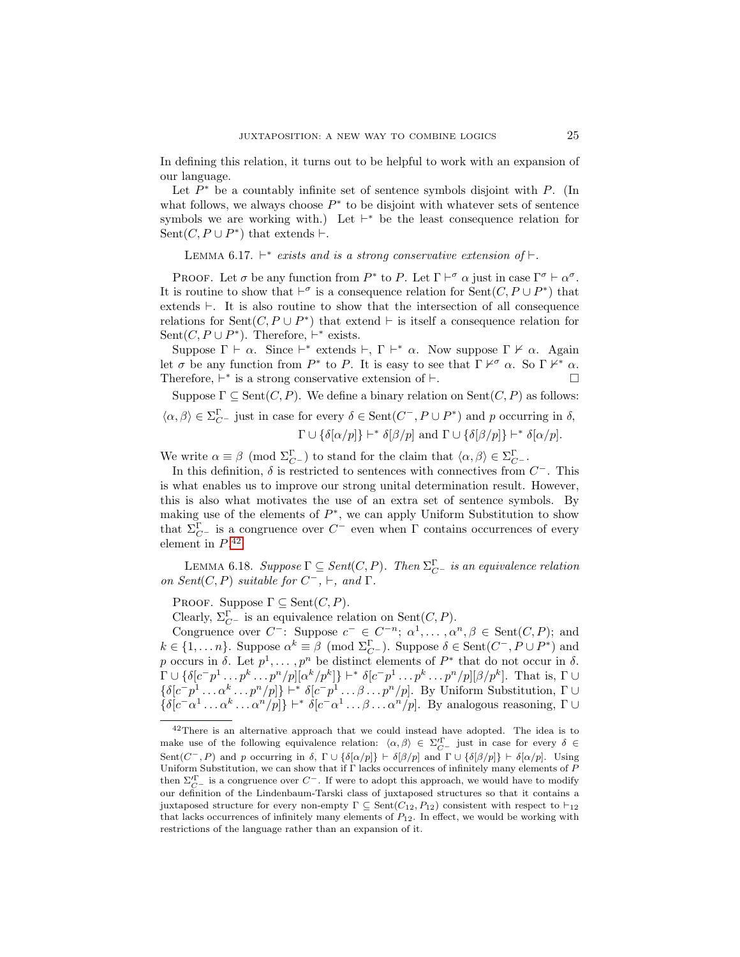In defining this relation, it turns out to be helpful to work with an expansion of our language.

Let  $P^*$  be a countably infinite set of sentence symbols disjoint with  $P$ . (In what follows, we always choose  $P^*$  to be disjoint with whatever sets of sentence symbols we are working with.) Let  $\vdash^*$  be the least consequence relation for Sent $(C, P \cup P^*)$  that extends  $\vdash$ .

<span id="page-24-1"></span>LEMMA 6.17.  $\vdash^*$  exists and is a strong conservative extension of  $\vdash$ .

PROOF. Let  $\sigma$  be any function from  $P^*$  to P. Let  $\Gamma \vdash^{\sigma} \alpha$  just in case  $\Gamma^{\sigma} \vdash \alpha^{\sigma}$ . It is routine to show that  $\vdash^{\sigma}$  is a consequence relation for  $\text{Sent}(C, P \cup P^*)$  that extends  $\vdash$ . It is also routine to show that the intersection of all consequence relations for  $\text{Sent}(C, P \cup P^*)$  that extend  $\vdash$  is itself a consequence relation for Sent $(C, P \cup P^*)$ . Therefore,  $\vdash^*$  exists.

Suppose  $\Gamma \vdash \alpha$ . Since  $\vdash^*$  extends  $\vdash, \Gamma \vdash^* \alpha$ . Now suppose  $\Gamma \not\vdash \alpha$ . Again let  $\sigma$  be any function from  $P^*$  to P. It is easy to see that  $\Gamma \nvdash^{\sigma} \alpha$ . So  $\Gamma \nvdash^* \alpha$ . Therefore,  $\vdash^*$  is a strong conservative extension of  $\vdash$ . Suppose  $\Gamma \subset \text{Sent}(C, P)$ . We define a binary relation on  $\text{Sent}(C, P)$  as follows:

Suppose 
$$
I \subseteq \text{gen}(C, I)
$$
. We define a binary relation on  $\text{gen}(C, I)$  as shows:\n $\langle \alpha, \beta \rangle \in \Sigma_{C^{-}}$  just in case for every  $\delta \in \text{Sent}(C^{-}, P \cup P^{*})$  and  $p$  occurring in  $\delta$ ,\n
$$
\Gamma \cup \{\delta[\alpha/p]\} \vdash^{*} \delta[\beta/p]
$$
 and  $\Gamma \cup \{\delta[\beta/p]\} \vdash^{*} \delta[\alpha/p]$ .

We write  $\alpha \equiv \beta \pmod{\Sigma_{C^-}^{\Gamma}}$  to stand for the claim that  $\langle \alpha, \beta \rangle \in \Sigma_{C^-}^{\Gamma}$ .

In this definition,  $\delta$  is restricted to sentences with connectives from  $C^-$ . This is what enables us to improve our strong unital determination result. However, this is also what motivates the use of an extra set of sentence symbols. By making use of the elements of  $P^*$ , we can apply Uniform Substitution to show that  $\Sigma_{C}^{\Gamma}$  is a congruence over  $C^{-}$  even when Γ contains occurrences of every element in  $P^{42}$  $P^{42}$  $P^{42}$ 

<span id="page-24-2"></span>LEMMA 6.18. Suppose  $\Gamma \subseteq Sent(C, P)$ . Then  $\Sigma_{C}^{\Gamma}$  is an equivalence relation on Sent $(C, P)$  suitable for  $C^-$ ,  $\vdash$ , and  $\Gamma$ .

PROOF. Suppose  $\Gamma \subseteq \text{Sent}(C, P)$ .

Clearly,  $\Sigma_{C}^{\Gamma}$  is an equivalence relation on Sent $(C, P)$ .

Congruence over  $C^-$ : Suppose  $c^- \in C^{-n}$ ;  $\alpha^1, \dots, \alpha^n, \beta \in \text{Sent}(C, P)$ ; and  $k \in \{1, ..., n\}$ . Suppose  $\alpha^k \equiv \beta \pmod{\Sigma_{C}^{\Gamma}}$ . Suppose  $\delta \in \text{Sent}(C^-, P \cup P^*)$  and p occurs in  $\delta$ . Let  $p^1, \ldots, p^n$  be distinct elements of  $P^*$  that do not occur in  $\delta$ .  $\Gamma \cup \{\delta[c^-p^1\dots p^k\dots p^n/p][\alpha^k/p^k]\}\vdash^* \delta[c^-p^1\dots p^k\dots p^n/p][\beta/p^k].$  That is,  $\Gamma \cup$  $\{\delta[c^-p^1 \dots \alpha^k \dots p^n/p]\}\vdash^* \delta[c^-p^1 \dots \beta \dots p^n/p].$  By Uniform Substitution,  $\Gamma \cup$  $\{\delta[c^-\alpha^1 \dots \alpha^k \dots \alpha^n/p]\}\vdash^* \delta[c^-\alpha^1 \dots \beta \dots \alpha^n/p]$ . By analogous reasoning,  $\Gamma \cup$ 

<span id="page-24-0"></span><sup>42</sup>There is an alternative approach that we could instead have adopted. The idea is to make use of the following equivalence relation:  $\langle \alpha, \beta \rangle \in \Sigma_{C^-}^{\prime \Gamma}$  just in case for every  $\delta \in$ Sent( $C^-, P$ ) and p occurring in  $\delta$ ,  $\Gamma \cup {\delta[\alpha/p]}$   $\vdash \delta[\beta/p]$  and  $\Gamma \cup {\delta[\beta/p]}$   $\vdash \delta[\alpha/p]$ . Using Uniform Substitution, we can show that if  $\Gamma$  lacks occurrences of infinitely many elements of  $P$ then  $\Sigma_{C}^{\Gamma}$  is a congruence over  $C^{\top}$ . If were to adopt this approach, we would have to modify our definition of the Lindenbaum-Tarski class of juxtaposed structures so that it contains a juxtaposed structure for every non-empty  $\Gamma \subseteq \text{Sent}(C_{12}, P_{12})$  consistent with respect to  $\vdash_{12}$ that lacks occurrences of infinitely many elements of  $P_{12}$ . In effect, we would be working with restrictions of the language rather than an expansion of it.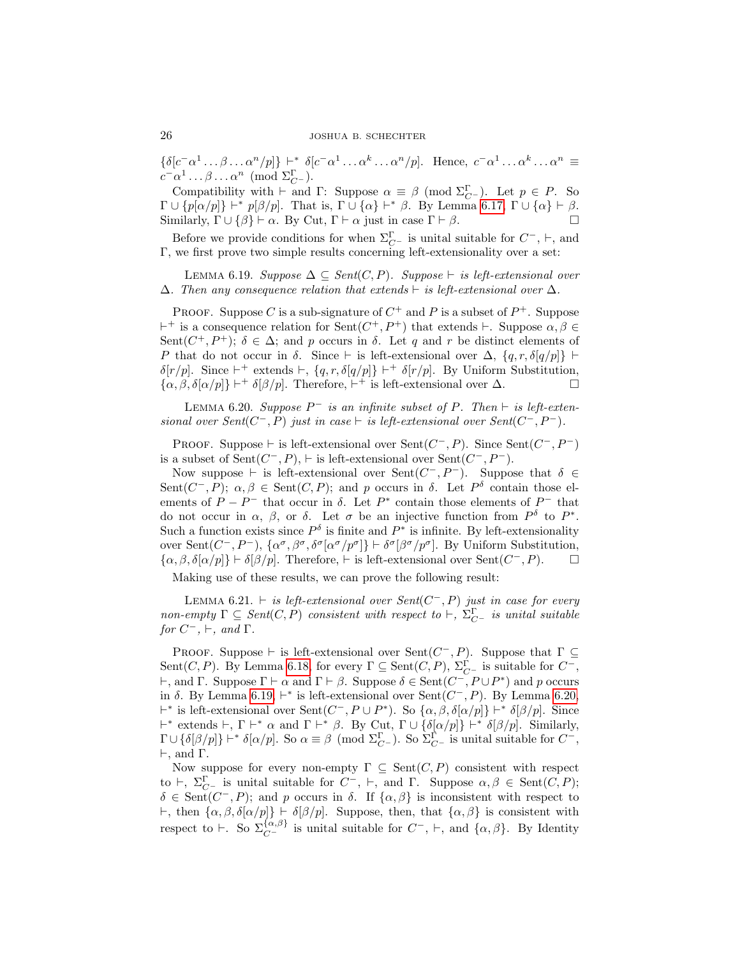$\{\delta[c^-\alpha^1 \dots \beta \dots \alpha^n/p]\}\vdash^* \delta[c^-\alpha^1 \dots \alpha^k \dots \alpha^n/p].$  Hence,  $c^-\alpha^1 \dots \alpha^k \dots \alpha^n \equiv$  $c^- \alpha^1 \dots \beta \dots \alpha^n \pmod{\Sigma_{C^-}^{\Gamma}}$ .

Compatibility with  $\vdash$  and  $\Gamma$ : Suppose  $\alpha \equiv \beta \pmod{\Sigma_{C}^{\Gamma}}$ . Let  $p \in P$ . So  $\Gamma \cup \{p[\alpha/p]\}\vdash^* p[\beta/p].$  That is,  $\Gamma \cup \{\alpha\}\vdash^* \beta$ . By Lemma [6.17,](#page-24-1)  $\Gamma \cup \{\alpha\}\vdash \beta.$ Similarly,  $\Gamma \cup {\{\beta\}} \vdash \alpha$ . By Cut,  $\Gamma \vdash \alpha$  just in case  $\Gamma \vdash \beta$ .

Before we provide conditions for when  $\Sigma_{C}^{\Gamma}$  is unital suitable for  $C^{-}$ ,  $\vdash$ , and Γ, we first prove two simple results concerning left-extensionality over a set:

<span id="page-25-0"></span>LEMMA 6.19. Suppose  $\Delta \subseteq Sent(C, P)$ . Suppose  $\vdash$  is left-extensional over  $\Delta$ . Then any consequence relation that extends  $\vdash$  is left-extensional over  $\Delta$ .

PROOF. Suppose C is a sub-signature of  $C^+$  and P is a subset of  $P^+$ . Suppose  $+$  is a consequence relation for Sent $(C^+, P^+)$  that extends  $\vdash$ . Suppose  $\alpha, \beta \in$ Sent( $C^+$ ,  $P^+$ );  $\delta \in \Delta$ ; and p occurs in  $\delta$ . Let q and r be distinct elements of P that do not occur in  $\delta$ . Since  $\vdash$  is left-extensional over  $\Delta$ ,  $\{q, r, \delta[q/p]\}\vdash$  $\delta[r/p]$ . Since  $\vdash^+$  extends  $\vdash$ ,  $\{q, r, \delta[q/p]\}\vdash^+ \delta[r/p]$ . By Uniform Substitution,  $\{\alpha, \beta, \delta[\alpha/p]\}\$  +  $\delta[\beta/p]$ . Therefore,  $\vdash^+$  is left-extensional over  $\Delta$ .

<span id="page-25-1"></span>LEMMA 6.20. Suppose  $P^-$  is an infinite subset of P. Then  $\vdash$  is left-extensional over Sent $(C^-, P)$  just in case  $\vdash$  is left-extensional over Sent $(C^-, P^-)$ .

PROOF. Suppose  $\vdash$  is left-extensional over Sent $(C^-, P)$ . Since Sent $(C^-, P^-)$ is a subset of Sent $(C^-, P)$ ,  $\vdash$  is left-extensional over Sent $(C^-, P^-)$ .

Now suppose  $\vdash$  is left-extensional over Sent $(C^-, P^-)$ . Suppose that  $\delta \in$ Sent $(C^-, P)$ ;  $\alpha, \beta \in \text{Sent}(C, P)$ ; and p occurs in  $\delta$ . Let  $P^{\delta}$  contain those elements of  $P - P^-$  that occur in  $\delta$ . Let  $P^*$  contain those elements of  $P^-$  that do not occur in  $\alpha$ ,  $\beta$ , or  $\delta$ . Let  $\sigma$  be an injective function from  $P^{\delta}$  to  $P^*$ . Such a function exists since  $P^{\delta}$  is finite and  $P^*$  is infinite. By left-extensionality over Sent $(C^-, P^-)$ ,  $\{\alpha^{\sigma}, \beta^{\sigma}, \delta^{\sigma}[\alpha^{\sigma}/p^{\sigma}]\} \vdash \delta^{\sigma}[\beta^{\sigma}/p^{\sigma}]$ . By Uniform Substitution,  $\{\alpha, \beta, \delta[\alpha/p]\}\vdash \delta[\beta/p]$ . Therefore,  $\vdash$  is left-extensional over Sent $(C^-, P)$ .  $\Box$ 

Making use of these results, we can prove the following result:

<span id="page-25-2"></span>LEMMA 6.21.  $\vdash$  is left-extensional over Sent(C<sup>-</sup>, P) just in case for every non-empty  $\Gamma \subseteq Sent(C, P)$  consistent with respect to  $\vdash, \Sigma_{C}^{\Gamma}$  is unital suitable for  $C^-$ ,  $\vdash$ , and  $\Gamma$ .

PROOF. Suppose  $\vdash$  is left-extensional over Sent $(C^{-}, P)$ . Suppose that  $\Gamma \subseteq$ Sent $(C, P)$ . By Lemma [6.18,](#page-24-2) for every  $\Gamma \subseteq \text{Sent}(C, P)$ ,  $\Sigma_{C}^{\Gamma}$  is suitable for  $C^{-}$ ,  $\vdash$ , and Γ. Suppose Γ  $\vdash$   $\alpha$  and Γ  $\vdash$   $\beta$ . Suppose δ ∈ Sent( $C^-$ ,  $P \cup P^*$ ) and p occurs in  $\delta$ . By Lemma [6.19,](#page-25-0)  $\vdash^*$  is left-extensional over Sent $(C^-, P)$ . By Lemma [6.20,](#page-25-1) <sup>+∗</sup> is left-extensional over Sent(C<sup>-</sup>, P ∪ P<sup>\*</sup>). So {α, β, δ[α/p]} <sup>+\*</sup> δ[β/p]. Since  $\vdash^*$  extends  $\vdash$ , Γ  $\vdash^*$  α and Γ  $\vdash^*$  β. By Cut, Γ ∪ {δ[α/p]}  $\vdash^*$  δ[β/p]. Similarly,  $\Gamma \cup \{\delta[\beta/p]\} \vdash^* \delta[\alpha/p]$ . So  $\alpha \equiv \beta \pmod{\Sigma_{C^-}^{\Gamma}}$ . So  $\Sigma_{C^-}^{\Gamma}$  is unital suitable for  $C^-$ ,  $\vdash$ , and  $\Gamma$ .

Now suppose for every non-empty  $\Gamma \subseteq \text{Sent}(C, P)$  consistent with respect to  $\vdash, \Sigma_{C}^{\Gamma}$  is unital suitable for  $C^-$ ,  $\vdash$ , and  $\Gamma$ . Suppose  $\alpha, \beta \in \text{Sent}(C, P)$ ;  $\delta \in \text{Sent}(C^-, P)$ ; and p occurs in  $\delta$ . If  $\{\alpha, \beta\}$  is inconsistent with respect to  $\vdash$ , then  $\{\alpha, \beta, \delta[\alpha/p]\} \vdash \delta[\beta/p]$ . Suppose, then, that  $\{\alpha, \beta\}$  is consistent with respect to  $\vdash$ . So  $\Sigma_{C}^{\{\alpha,\beta\}}$  is unital suitable for  $C^-$ ,  $\vdash$ , and  $\{\alpha,\beta\}$ . By Identity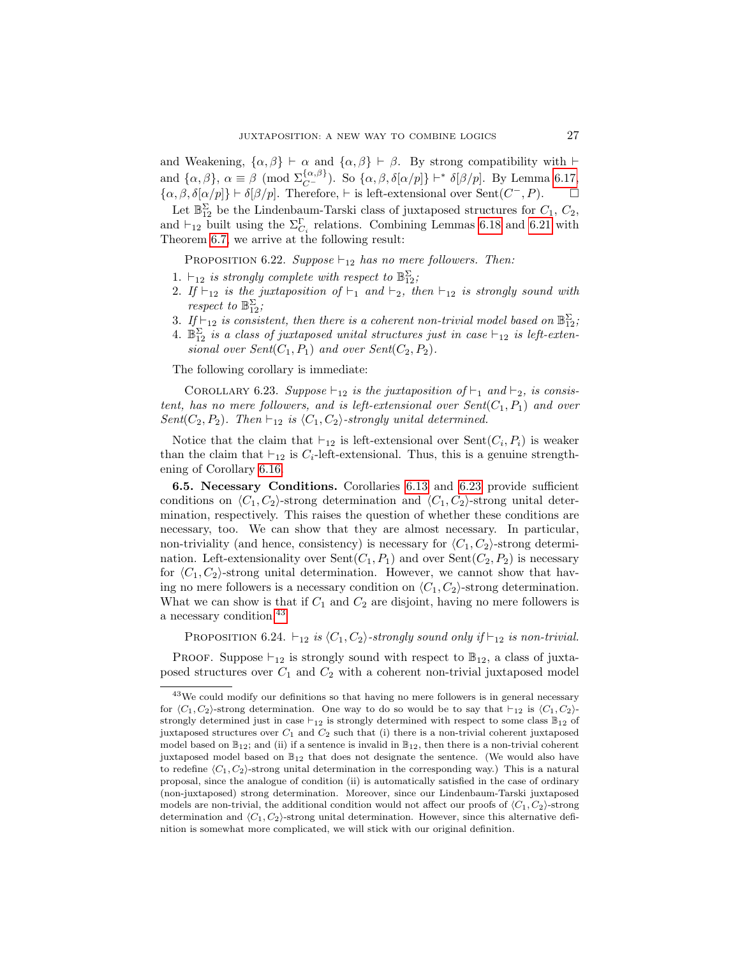and Weakening,  $\{\alpha,\beta\} \vdash \alpha$  and  $\{\alpha,\beta\} \vdash \beta$ . By strong compatibility with  $\vdash$ and  $\{\alpha, \beta\}$ ,  $\alpha \equiv \beta \pmod{\sum_{C}^{\{\alpha,\beta\}}}$ . So  $\{\alpha, \beta, \delta[\alpha/p]\}\vdash^* \delta[\beta/p]$ . By Lemma [6.17,](#page-24-1)  $\{\alpha, \beta, \delta[\alpha/p]\}\vdash \delta[\beta/p]$ . Therefore,  $\vdash$  is left-extensional over Sent $(C^-, P)$ .  $\Box$ 

Let  $\mathbb{B}_{12}^{\Sigma}$  be the Lindenbaum-Tarski class of juxtaposed structures for  $C_1$ ,  $C_2$ , and  $\vdash_{12}$  built using the  $\Sigma_{C_i}^{\Gamma}$  relations. Combining Lemmas [6.18](#page-24-2) and [6.21](#page-25-2) with Theorem [6.7,](#page-21-0) we arrive at the following result:

<span id="page-26-3"></span>PROPOSITION 6.22. Suppose  $\vdash_{12}$  has no mere followers. Then:

- 1.  $\vdash_{12}$  is strongly complete with respect to  $\mathbb{B}^{\Sigma}_{12}$ ;
- 2. If  $\vdash_{12}$  is the juxtaposition of  $\vdash_1$  and  $\vdash_2$ , then  $\vdash_{12}$  is strongly sound with respect to  $\mathbb{B}_{12}^{\Sigma}$ ;
- 3. If  $\vdash_{12}$  is consistent, then there is a coherent non-trivial model based on  $\mathbb{B}^{\Sigma}_{12}$ ;
- 4.  $\mathbb{B}_{12}^{\Sigma}$  is a class of juxtaposed unital structures just in case  $\vdash_{12}$  is left-extensional over  $Sent(C_1, P_1)$  and over  $Sent(C_2, P_2)$ .

The following corollary is immediate:

<span id="page-26-0"></span>COROLLARY 6.23. Suppose  $\vdash_{12}$  is the juxtaposition of  $\vdash_1$  and  $\vdash_2$ , is consistent, has no mere followers, and is left-extensional over  $Sent(C_1, P_1)$  and over Sent( $C_2, P_2$ ). Then  $\vdash_{12}$  is  $\langle C_1, C_2 \rangle$ -strongly unital determined.

Notice that the claim that  $\vdash_{12}$  is left-extensional over  $\text{Sent}(C_i, P_i)$  is weaker than the claim that  $\vdash_{12}$  is  $C_i$ -left-extensional. Thus, this is a genuine strengthening of Corollary [6.16.](#page-23-1)

6.5. Necessary Conditions. Corollaries [6.13](#page-22-1) and [6.23](#page-26-0) provide sufficient conditions on  $\langle C_1, C_2 \rangle$ -strong determination and  $\langle C_1, C_2 \rangle$ -strong unital determination, respectively. This raises the question of whether these conditions are necessary, too. We can show that they are almost necessary. In particular, non-triviality (and hence, consistency) is necessary for  $\langle C_1, C_2 \rangle$ -strong determination. Left-extensionality over  $\text{Sent}(C_1, P_1)$  and over  $\text{Sent}(C_2, P_2)$  is necessary for  $\langle C_1, C_2 \rangle$ -strong unital determination. However, we cannot show that having no mere followers is a necessary condition on  $\langle C_1, C_2 \rangle$ -strong determination. What we can show is that if  $C_1$  and  $C_2$  are disjoint, having no mere followers is a necessary condition.<sup>[43](#page-26-1)</sup>

<span id="page-26-2"></span>PROPOSITION 6.24.  $\vdash_{12}$  is  $\langle C_1, C_2 \rangle$ -strongly sound only if  $\vdash_{12}$  is non-trivial.

PROOF. Suppose  $\vdash_{12}$  is strongly sound with respect to  $\mathbb{B}_{12}$ , a class of juxtaposed structures over  $C_1$  and  $C_2$  with a coherent non-trivial juxtaposed model

<span id="page-26-1"></span><sup>&</sup>lt;sup>43</sup>We could modify our definitions so that having no mere followers is in general necessary for  $\langle C_1, C_2 \rangle$ -strong determination. One way to do so would be to say that  $\vdash_{12}$  is  $\langle C_1, C_2 \rangle$ strongly determined just in case  $\vdash_{12}$  is strongly determined with respect to some class  $\mathbb{B}_{12}$  of juxtaposed structures over  $C_1$  and  $C_2$  such that (i) there is a non-trivial coherent juxtaposed model based on  $\mathbb{B}_{12}$ ; and (ii) if a sentence is invalid in  $\mathbb{B}_{12}$ , then there is a non-trivial coherent juxtaposed model based on  $\mathbb{B}_{12}$  that does not designate the sentence. (We would also have to redefine  $\langle C_1, C_2 \rangle$ -strong unital determination in the corresponding way.) This is a natural proposal, since the analogue of condition (ii) is automatically satisfied in the case of ordinary (non-juxtaposed) strong determination. Moreover, since our Lindenbaum-Tarski juxtaposed models are non-trivial, the additional condition would not affect our proofs of  $\langle C_1, C_2 \rangle$ -strong determination and  $\langle C_1, C_2 \rangle$ -strong unital determination. However, since this alternative definition is somewhat more complicated, we will stick with our original definition.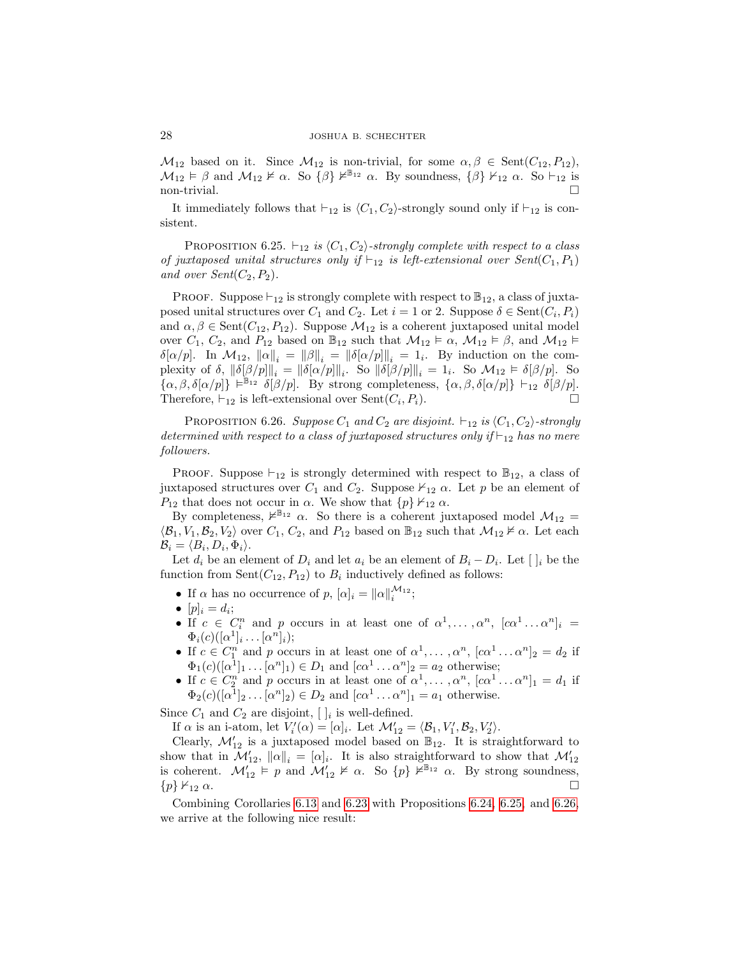$\mathcal{M}_{12}$  based on it. Since  $\mathcal{M}_{12}$  is non-trivial, for some  $\alpha, \beta \in \text{Sent}(C_{12}, P_{12}),$  $M_{12} \models \beta$  and  $M_{12} \not\vDash \alpha$ . So  $\{\beta\} \not\vDash^{\mathbb{B}_{12}} \alpha$ . By soundness,  $\{\beta\} \nvDash_{12} \alpha$ . So  $\vdash_{12}$  is  $\Box$  non-trivial.  $\Box$ 

It immediately follows that  $\vdash_{12}$  is  $\langle C_1, C_2 \rangle$ -strongly sound only if  $\vdash_{12}$  is consistent.

<span id="page-27-0"></span>PROPOSITION 6.25.  $\vdash_{12}$  is  $\langle C_1, C_2 \rangle$ -strongly complete with respect to a class of juxtaposed unital structures only if  $\vdash_{12}$  is left-extensional over  $Sent(C_1, P_1)$ and over  $Sent(C_2, P_2)$ .

PROOF. Suppose  $\vdash_{12}$  is strongly complete with respect to  $\mathbb{B}_{12}$ , a class of juxtaposed unital structures over  $C_1$  and  $C_2$ . Let  $i = 1$  or 2. Suppose  $\delta \in \text{Sent}(C_i, P_i)$ and  $\alpha, \beta \in \text{Sent}(C_{12}, P_{12})$ . Suppose  $\mathcal{M}_{12}$  is a coherent juxtaposed unital model over  $C_1$ ,  $C_2$ , and  $P_{12}$  based on  $\mathbb{B}_{12}$  such that  $\mathcal{M}_{12} \models \alpha$ ,  $\mathcal{M}_{12} \models \beta$ , and  $\mathcal{M}_{12} \models$  $\delta[\alpha/p]$ . In  $\mathcal{M}_{12}$ ,  $\|\alpha\|_i = \|\beta\|_i = \|\delta[\alpha/p]\|_i = 1_i$ . By induction on the complexity of  $\delta$ ,  $\|\delta[\beta/p]\|_i = \|\delta[\alpha/p]\|_i$ . So  $\|\delta[\beta/p]\|_i = 1_i$ . So  $\mathcal{M}_{12} \models \delta[\beta/p]$ . So  $\{\alpha,\beta,\delta[\alpha/p]\}\models^{\mathbb{B}_{12}} \delta[\beta/p]$ . By strong completeness,  $\{\alpha,\beta,\delta[\alpha/p]\}\vdash_{12} \delta[\beta/p]$ . Therefore,  $\vdash_{12}$  is left-extensional over  $\text{Sent}(C_i, P_i)$ .

<span id="page-27-1"></span>PROPOSITION 6.26. Suppose  $C_1$  and  $C_2$  are disjoint.  $\vdash_{12}$  is  $\langle C_1, C_2 \rangle$ -strongly determined with respect to a class of juxtaposed structures only if  $\vdash_{12}$  has no mere followers.

**PROOF.** Suppose  $\vdash_{12}$  is strongly determined with respect to  $\mathbb{B}_{12}$ , a class of juxtaposed structures over  $C_1$  and  $C_2$ . Suppose  $\nvdash_{12} \alpha$ . Let p be an element of  $P_{12}$  that does not occur in  $\alpha$ . We show that  $\{p\} \nvdash_{12} \alpha$ .

By completeness,  $\nvDash^{\mathbb{B}_{12}} \alpha$ . So there is a coherent juxtaposed model  $\mathcal{M}_{12}$  =  $\langle \mathcal{B}_1, V_1, \mathcal{B}_2, V_2 \rangle$  over  $C_1, C_2$ , and  $P_{12}$  based on  $\mathbb{B}_{12}$  such that  $\mathcal{M}_{12} \nvDash \alpha$ . Let each  $\mathcal{B}_i = \langle B_i, D_i, \Phi_i \rangle.$ 

Let  $d_i$  be an element of  $D_i$  and let  $a_i$  be an element of  $B_i - D_i$ . Let  $[~]_i$  be the function from  $Sent(C_{12}, P_{12})$  to  $B_i$  inductively defined as follows:

- If  $\alpha$  has no occurrence of  $p, [\alpha]_i = ||\alpha||_i^{\mathcal{M}_{12}};$
- $\bullet$   $[p]_i = d_i;$
- If  $c \in C_i^n$  and p occurs in at least one of  $\alpha^1, \ldots, \alpha^n$ ,  $[c\alpha^1 \ldots \alpha^n]_i =$  $\Phi_i(c) ([\alpha^1]_i \dots [\alpha^n]_i);$
- If  $c \in C_1^n$  and p occurs in at least one of  $\alpha^1, \dots, \alpha^n$ ,  $[c\alpha^1 \dots \alpha^n]_2 = d_2$  if  $\Phi_1(c)([\alpha^1]_1 \dots [\alpha^n]_1) \in D_1$  and  $[\alpha^1 \dots \alpha^n]_2 = a_2$  otherwise;
- If  $c \in C_2^n$  and p occurs in at least one of  $\alpha^1, \dots, \alpha^n$ ,  $[c\alpha^1 \dots \alpha^n]_1 = d_1$  if  $\Phi_2(c)([\alpha^1]_2 \dots [\alpha^n]_2) \in D_2$  and  $[c\alpha^1 \dots \alpha^n]_1 = a_1$  otherwise.

Since  $C_1$  and  $C_2$  are disjoint,  $[ \ ]_i$  is well-defined.

If  $\alpha$  is an i-atom, let  $V_i'(\alpha) = [\alpha]_i$ . Let  $\mathcal{M}'_{12} = \langle \mathcal{B}_1, V'_1, \mathcal{B}_2, V'_2 \rangle$ .

Clearly,  $\mathcal{M}'_{12}$  is a juxtaposed model based on  $\mathbb{B}_{12}$ . It is straightforward to show that in  $\mathcal{M}'_{12}$ ,  $\|\alpha\|_i = [\alpha]_i$ . It is also straightforward to show that  $\mathcal{M}'_{12}$ is coherent.  $\mathcal{M}'_{12} \models p$  and  $\mathcal{M}'_{12} \not\models \alpha$ . So  $\{p\} \not\vdash^{\mathbb{B}_{12}} \alpha$ . By strong soundness,  $\{p\} \nvdash_{12} \alpha.$ 

Combining Corollaries [6.13](#page-22-1) and [6.23](#page-26-0) with Propositions [6.24,](#page-26-2) [6.25,](#page-27-0) and [6.26,](#page-27-1) we arrive at the following nice result: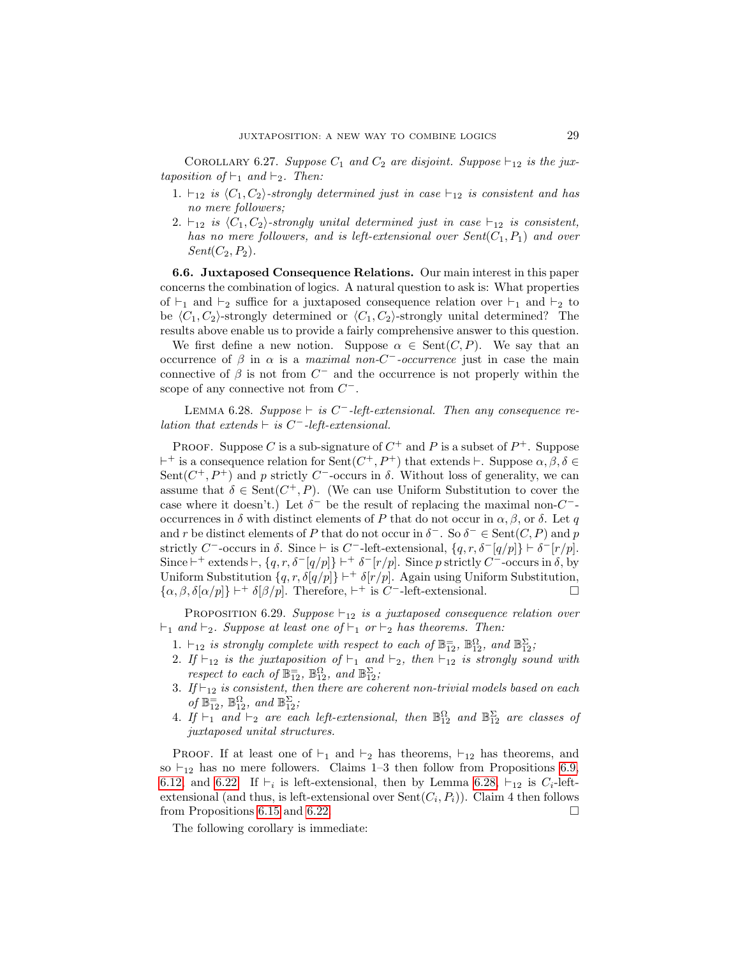COROLLARY 6.27. Suppose  $C_1$  and  $C_2$  are disjoint. Suppose  $\vdash_{12}$  is the juxtaposition of  $\vdash_1$  and  $\vdash_2$ . Then:

- 1.  $\vdash_{12}$  is  $\langle C_1, C_2 \rangle$ -strongly determined just in case  $\vdash_{12}$  is consistent and has no mere followers;
- 2.  $\vdash_{12}$  is  $\langle C_1, C_2 \rangle$ -strongly unital determined just in case  $\vdash_{12}$  is consistent, has no mere followers, and is left-extensional over  $Sent(C_1, P_1)$  and over  $Sent(C_2, P_2).$

6.6. Juxtaposed Consequence Relations. Our main interest in this paper concerns the combination of logics. A natural question to ask is: What properties of  $\vdash_1$  and  $\vdash_2$  suffice for a juxtaposed consequence relation over  $\vdash_1$  and  $\vdash_2$  to be  $\langle C_1, C_2 \rangle$ -strongly determined or  $\langle C_1, C_2 \rangle$ -strongly unital determined? The results above enable us to provide a fairly comprehensive answer to this question.

We first define a new notion. Suppose  $\alpha \in \text{Sent}(C, P)$ . We say that an occurrence of  $\beta$  in  $\alpha$  is a *maximal non-C<sup>-</sup>*-occurrence just in case the main connective of  $\beta$  is not from  $C^-$  and the occurrence is not properly within the scope of any connective not from  $C^-$ .

<span id="page-28-1"></span>LEMMA 6.28. Suppose  $\vdash$  is C<sup>−</sup>-left-extensional. Then any consequence relation that extends  $\vdash$  is C<sup>-</sup>-left-extensional.

PROOF. Suppose C is a sub-signature of  $C^+$  and P is a subset of  $P^+$ . Suppose <sup>+</sup> is a consequence relation for Sent $(C^+, P^+)$  that extends  $\vdash$ . Suppose  $\alpha, \beta, \delta \in$ Sent( $C^+$ ,  $P^+$ ) and p strictly  $C^-$ -occurs in  $\delta$ . Without loss of generality, we can assume that  $\delta \in \text{Sent}(C^+, P)$ . (We can use Uniform Substitution to cover the case where it doesn't.) Let  $\delta^-$  be the result of replacing the maximal non- $C^-$ occurrences in  $\delta$  with distinct elements of P that do not occur in  $\alpha, \beta$ , or  $\delta$ . Let q and r be distinct elements of P that do not occur in  $\delta^-$ . So  $\delta^- \in \text{Sent}(C, P)$  and p strictly C<sup>-</sup>-occurs in  $\delta$ . Since  $\vdash$  is C<sup>-</sup>-left-extensional,  $\{q, r, \delta^{-}[q/p]\} \vdash \delta^{-}[r/p]$ . Since  $\vdash^+$  extends  $\vdash$ ,  $\{q, r, \delta^{-}[q/p]\}\vdash^+ \delta^{-}[r/p]$ . Since p strictly C<sup>-</sup>-occurs in  $\delta$ , by Uniform Substitution  $\{q, r, \delta[q/p]\}$   $\vdash^+ \delta[r/p]$ . Again using Uniform Substitution,  $\{\alpha, \beta, \delta[\alpha/p]\}\vdash^+ \delta[\beta/p]$ . Therefore,  $\vdash^+$  is C<sup>-</sup>-left-extensional.

<span id="page-28-2"></span>PROPOSITION 6.29. Suppose  $\vdash_{12}$  is a juxtaposed consequence relation over  $\vdash_1$  and  $\vdash_2$ . Suppose at least one of  $\vdash_1$  or  $\vdash_2$  has theorems. Then:

- 1.  $\vdash_{12}$  is strongly complete with respect to each of  $\mathbb{B}^{-}_{12}$ ,  $\mathbb{B}^{\Omega}_{12}$ , and  $\mathbb{B}^{\Sigma}_{12}$ ;
- 2. If  $\vdash_{12}$  is the juxtaposition of  $\vdash_1$  and  $\vdash_2$ , then  $\vdash_{12}$  is strongly sound with respect to each of  $\mathbb{B}^=_{12}$ ,  $\mathbb{B}^{\Omega}_{12}$ , and  $\mathbb{B}^{\Sigma}_{12}$ ;
- 3. If  $\vdash_{12}$  is consistent, then there are coherent non-trivial models based on each of  $\mathbb{B}_{12}^=$ ,  $\mathbb{B}_{12}^{\Omega}$ , and  $\mathbb{B}_{12}^{\Sigma}$ ;
- 4. If  $\vdash_1$  and  $\vdash_2$  are each left-extensional, then  $\mathbb{B}_{12}^{\Omega}$  and  $\mathbb{B}_{12}^{\Sigma}$  are classes of juxtaposed unital structures.

PROOF. If at least one of  $\vdash_1$  and  $\vdash_2$  has theorems,  $\vdash_{12}$  has theorems, and so  $\vdash_{12}$  has no mere followers. Claims 1–3 then follow from Propositions [6.9,](#page-21-4) [6.12,](#page-22-0) and [6.22.](#page-26-3) If  $\vdash_i$  is left-extensional, then by Lemma [6.28,](#page-28-1)  $\vdash_{12}$  is  $C_i$ -leftextensional (and thus, is left-extensional over  $\text{Sent}(C_i, P_i)$ ). Claim 4 then follows from Propositions [6.15](#page-23-0) and [6.22.](#page-26-3)

<span id="page-28-0"></span>The following corollary is immediate: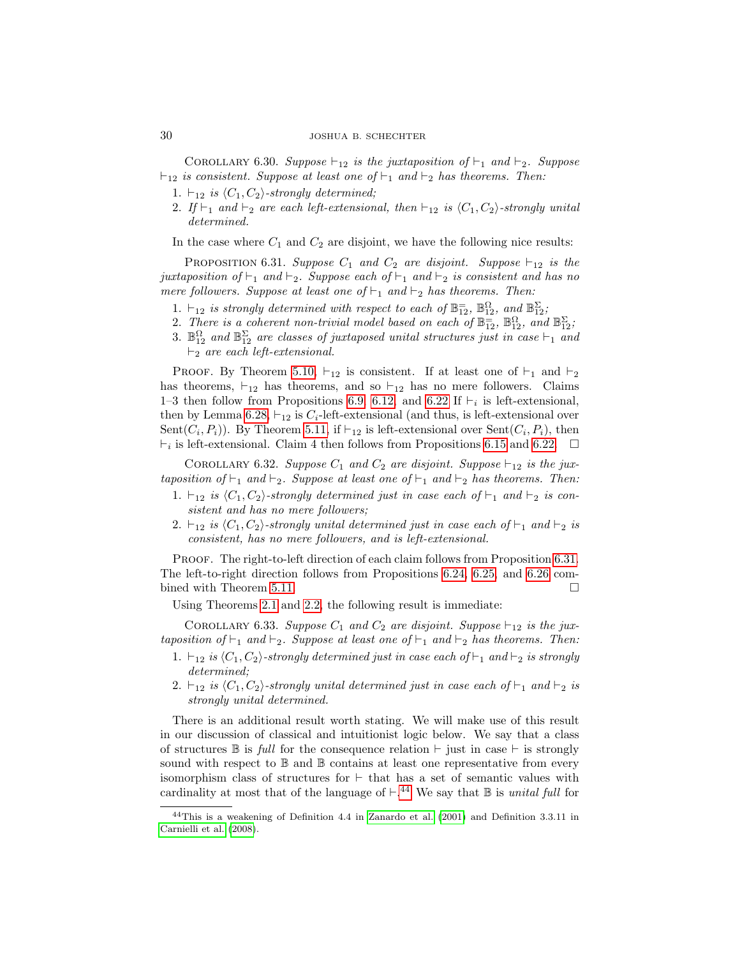# 30 JOSHUA B. SCHECHTER

COROLLARY 6.30. Suppose  $\vdash_{12}$  is the juxtaposition of  $\vdash_1$  and  $\vdash_2$ . Suppose  $\vdash_{12}$  is consistent. Suppose at least one of  $\vdash_1$  and  $\vdash_2$  has theorems. Then:

- 1.  $\vdash_{12}$  is  $\langle C_1, C_2 \rangle$ -strongly determined;
- 2. If  $\vdash_1$  and  $\vdash_2$  are each left-extensional, then  $\vdash_{12}$  is  $\langle C_1, C_2 \rangle$ -strongly unital determined.

In the case where  $C_1$  and  $C_2$  are disjoint, we have the following nice results:

<span id="page-29-0"></span>PROPOSITION 6.31. Suppose  $C_1$  and  $C_2$  are disjoint. Suppose  $\vdash_{12}$  is the juxtaposition of  $\vdash_1$  and  $\vdash_2$ . Suppose each of  $\vdash_1$  and  $\vdash_2$  is consistent and has no mere followers. Suppose at least one of  $\vdash_1$  and  $\vdash_2$  has theorems. Then:

- 1.  $\vdash_{12}$  is strongly determined with respect to each of  $\mathbb{B}^{-}_{12}$ ,  $\mathbb{B}^{\Omega}_{12}$ , and  $\mathbb{B}^{\Sigma}_{12}$ ;
- 2. There is a coherent non-trivial model based on each of  $\mathbb{B}_{12}^=$ ,  $\mathbb{B}_{12}^{\Omega}$ , and  $\mathbb{B}_{12}^{\Sigma}$ ;
- 3.  $\mathbb{B}_{12}^{\Omega}$  and  $\mathbb{B}_{12}^{\Sigma}$  are classes of juxtaposed unital structures just in case  $\vdash_1$  and  $\vdash_2$  are each left-extensional.

PROOF. By Theorem [5.10,](#page-17-3)  $\vdash_{12}$  is consistent. If at least one of  $\vdash_1$  and  $\vdash_2$ has theorems,  $\vdash_{12}$  has theorems, and so  $\vdash_{12}$  has no mere followers. Claims 1–3 then follow from Propositions [6.9,](#page-21-4) [6.12,](#page-22-0) and [6.22](#page-26-3) If  $\vdash_i$  is left-extensional, then by Lemma [6.28,](#page-28-1)  $\vdash_{12}$  is  $C_i$ -left-extensional (and thus, is left-extensional over Sent $(C_i, P_i)$ ). By Theorem [5.11,](#page-17-4) if  $\vdash_{12}$  is left-extensional over Sent $(C_i, P_i)$ , then  $\vdash_i$  is left-extensional. Claim 4 then follows from Propositions [6.15](#page-23-0) and [6.22.](#page-26-3)  $\Box$ 

<span id="page-29-2"></span>COROLLARY 6.32. Suppose  $C_1$  and  $C_2$  are disjoint. Suppose  $\vdash_{12}$  is the juxtaposition of  $\vdash_1$  and  $\vdash_2$ . Suppose at least one of  $\vdash_1$  and  $\vdash_2$  has theorems. Then:

- 1.  $\vdash_{12}$  is  $\langle C_1, C_2 \rangle$ -strongly determined just in case each of  $\vdash_1$  and  $\vdash_2$  is consistent and has no mere followers;
- 2.  $\vdash_{12}$  is  $\langle C_1, C_2 \rangle$ -strongly unital determined just in case each of  $\vdash_1$  and  $\vdash_2$  is consistent, has no mere followers, and is left-extensional.

PROOF. The right-to-left direction of each claim follows from Proposition [6.31.](#page-29-0) The left-to-right direction follows from Propositions [6.24,](#page-26-2) [6.25,](#page-27-0) and [6.26](#page-27-1) com-bined with Theorem [5.11.](#page-17-4)

Using Theorems [2.1](#page-6-7) and [2.2,](#page-6-6) the following result is immediate:

COROLLARY 6.33. Suppose  $C_1$  and  $C_2$  are disjoint. Suppose  $\vdash_{12}$  is the juxtaposition of  $\vdash_1$  and  $\vdash_2$ . Suppose at least one of  $\vdash_1$  and  $\vdash_2$  has theorems. Then:

- 1.  $\vdash_{12}$  is  $\langle C_1, C_2 \rangle$ -strongly determined just in case each of  $\vdash_1$  and  $\vdash_2$  is strongly determined;
- 2.  $\vdash_{12}$  is  $\langle C_1, C_2 \rangle$ -strongly unital determined just in case each of  $\vdash_1$  and  $\vdash_2$  is strongly unital determined.

There is an additional result worth stating. We will make use of this result in our discussion of classical and intuitionist logic below. We say that a class of structures  $\mathbb B$  is full for the consequence relation  $\vdash$  just in case  $\vdash$  is strongly sound with respect to  $\mathbb B$  and  $\mathbb B$  contains at least one representative from every isomorphism class of structures for  $\vdash$  that has a set of semantic values with cardinality at most that of the language of  $\vdash^{44}$  $\vdash^{44}$  $\vdash^{44}$  We say that  $\mathbb B$  is unital full for

<span id="page-29-1"></span><sup>44</sup>This is a weakening of Definition 4.4 in [Zanardo et al. \(2001\)](#page-48-20) and Definition 3.3.11 in [Carnielli et al. \(2008\)](#page-47-0).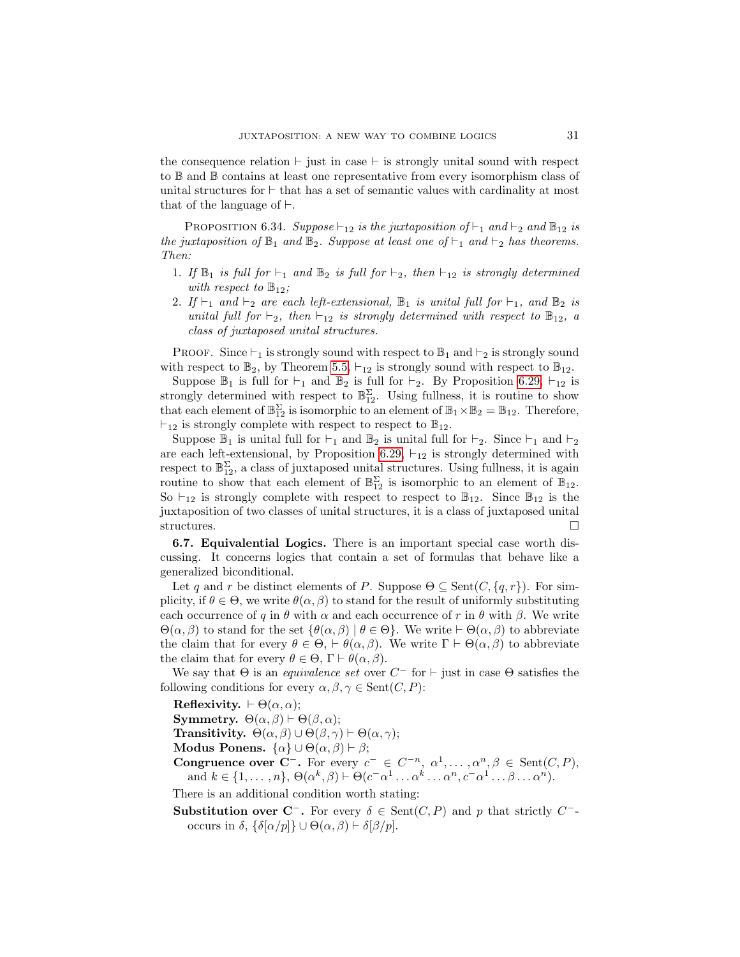the consequence relation  $\vdash$  just in case  $\vdash$  is strongly unital sound with respect to B and B contains at least one representative from every isomorphism class of unital structures for  $\vdash$  that has a set of semantic values with cardinality at most that of the language of  $\vdash$ .

<span id="page-30-1"></span>PROPOSITION 6.34. Suppose  $\vdash_{12}$  is the juxtaposition of  $\vdash_1$  and  $\vdash_2$  and  $\mathbb{B}_{12}$  is the juxtaposition of  $\mathbb{B}_1$  and  $\mathbb{B}_2$ . Suppose at least one of  $\vdash_1$  and  $\vdash_2$  has theorems. Then:

- 1. If  $\mathbb{B}_1$  is full for  $\vdash_1$  and  $\mathbb{B}_2$  is full for  $\vdash_2$ , then  $\vdash_{12}$  is strongly determined with respect to  $\mathbb{B}_{12}$ ;
- 2. If  $\vdash_1$  and  $\vdash_2$  are each left-extensional,  $\mathbb{B}_1$  is unital full for  $\vdash_1$ , and  $\mathbb{B}_2$  is unital full for  $\vdash_2$ , then  $\vdash_{12}$  is strongly determined with respect to  $\mathbb{B}_{12}$ , a class of juxtaposed unital structures.

PROOF. Since  $\vdash_1$  is strongly sound with respect to  $\mathbb{B}_1$  and  $\vdash_2$  is strongly sound with respect to  $\mathbb{B}_2$ , by Theorem [5.5,](#page-15-1)  $\vdash_{12}$  is strongly sound with respect to  $\mathbb{B}_{12}$ .

Suppose  $\mathbb{B}_1$  is full for  $\vdash_1$  and  $\mathbb{B}_2$  is full for  $\vdash_2$ . By Proposition [6.29,](#page-28-2)  $\vdash_{12}$  is strongly determined with respect to  $\mathbb{B}_{12}^{\Sigma}$ . Using fullness, it is routine to show that each element of  $\mathbb{B}_{12}^{\Sigma}$  is isomorphic to an element of  $\mathbb{B}_1 \times \mathbb{B}_2 = \mathbb{B}_{12}$ . Therefore,  $\vdash_{12}$  is strongly complete with respect to respect to  $\mathbb{B}_{12}$ .

Suppose  $\mathbb{B}_1$  is unital full for  $\vdash_1$  and  $\mathbb{B}_2$  is unital full for  $\vdash_2$ . Since  $\vdash_1$  and  $\vdash_2$ are each left-extensional, by Proposition [6.29,](#page-28-2)  $\vdash_{12}$  is strongly determined with respect to  $\mathbb{B}^{\Sigma}_{12}$ , a class of juxtaposed unital structures. Using fullness, it is again routine to show that each element of  $\mathbb{B}_{12}^{\Sigma}$  is isomorphic to an element of  $\mathbb{B}_{12}$ . So  $\vdash_{12}$  is strongly complete with respect to respect to  $\mathbb{B}_{12}$ . Since  $\mathbb{B}_{12}$  is the juxtaposition of two classes of unital structures, it is a class of juxtaposed unital structures.  $\Box$ 

6.7. Equivalential Logics. There is an important special case worth discussing. It concerns logics that contain a set of formulas that behave like a generalized biconditional.

Let q and r be distinct elements of P. Suppose  $\Theta \subseteq \text{Sent}(C, \{q, r\})$ . For simplicity, if  $\theta \in \Theta$ , we write  $\theta(\alpha, \beta)$  to stand for the result of uniformly substituting each occurrence of q in  $\theta$  with  $\alpha$  and each occurrence of r in  $\theta$  with  $\beta$ . We write  $\Theta(\alpha, \beta)$  to stand for the set  $\{\theta(\alpha, \beta) \mid \theta \in \Theta\}$ . We write  $\vdash \Theta(\alpha, \beta)$  to abbreviate the claim that for every  $\theta \in \Theta$ ,  $\vdash \theta(\alpha, \beta)$ . We write  $\Gamma \vdash \Theta(\alpha, \beta)$  to abbreviate the claim that for every  $\theta \in \Theta$ ,  $\Gamma \vdash \theta(\alpha, \beta)$ .

We say that  $\Theta$  is an *equivalence set* over  $C^-$  for  $\vdash$  just in case  $\Theta$  satisfies the following conditions for every  $\alpha, \beta, \gamma \in \text{Sent}(C, P)$ :

Reflexivity.  $\vdash \Theta(\alpha, \alpha);$ 

**Symmetry.**  $\Theta(\alpha, \beta) \vdash \Theta(\beta, \alpha);$ 

**Transitivity.**  $\Theta(\alpha, \beta) \cup \Theta(\beta, \gamma) \vdash \Theta(\alpha, \gamma);$ 

Modus Ponens.  $\{\alpha\} \cup \Theta(\alpha, \beta) \vdash \beta;$ 

Congruence over C<sup>-</sup>. For every  $c^- \in C^{-n}$ ,  $\alpha^1, \dots, \alpha^n, \beta \in \text{Sent}(C, P)$ , and  $k \in \{1, \ldots, n\}, \Theta(\alpha^k, \beta) \vdash \Theta(c^- \alpha^1 \ldots \alpha^k \ldots \alpha^n, c^- \alpha^1 \ldots \beta \ldots \alpha^n).$ 

There is an additional condition worth stating:

<span id="page-30-0"></span>Substitution over C<sup>-</sup>. For every  $\delta \in \text{Sent}(C, P)$  and p that strictly C<sup>-</sup>occurs in  $\delta$ ,  $\{\delta[\alpha/p]\}\cup \Theta(\alpha, \beta) \vdash \delta[\beta/p].$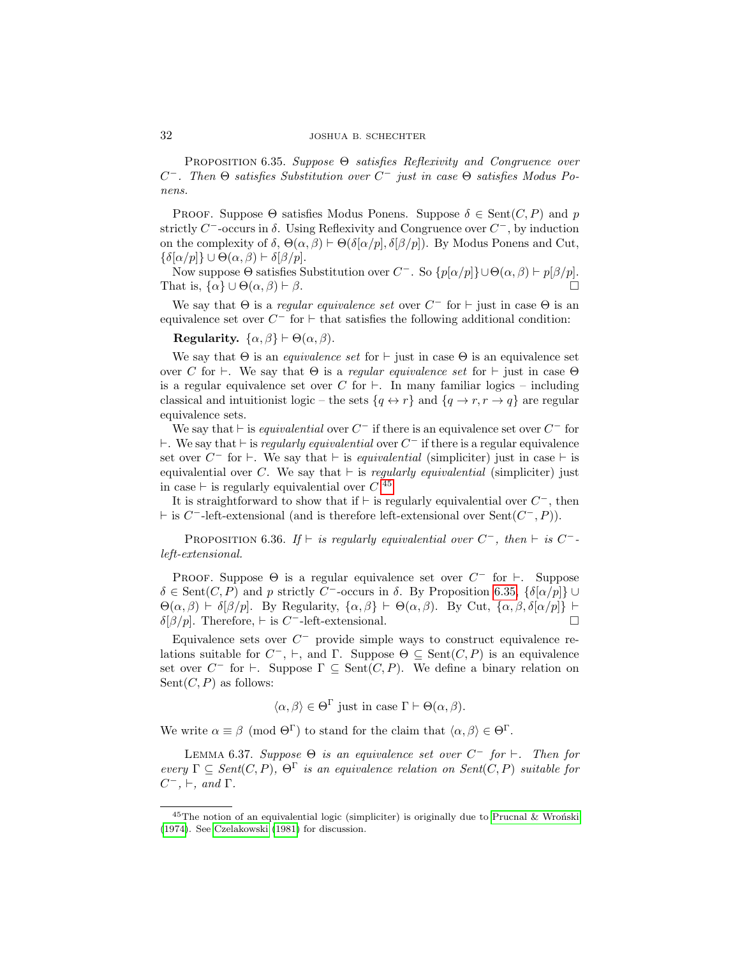# 32 JOSHUA B. SCHECHTER

PROPOSITION 6.35. Suppose  $\Theta$  satisfies Reflexivity and Congruence over C<sup>-</sup>. Then  $\Theta$  satisfies Substitution over C<sup>-</sup> just in case  $\Theta$  satisfies Modus Ponens.

PROOF. Suppose  $\Theta$  satisfies Modus Ponens. Suppose  $\delta \in \text{Sent}(C, P)$  and p strictly  $C^-$ -occurs in  $\delta$ . Using Reflexivity and Congruence over  $C^-$ , by induction on the complexity of  $\delta$ ,  $\Theta(\alpha, \beta) \vdash \Theta(\delta[\alpha/p], \delta[\beta/p])$ . By Modus Ponens and Cut,  $\{\delta[\alpha/p]\}\cup \Theta(\alpha,\beta) \vdash \delta[\beta/p].$ 

Now suppose  $\Theta$  satisfies Substitution over  $C^-$ . So  $\{p[\alpha/p]\}\cup \Theta(\alpha, \beta) \vdash p[\beta/p]$ . That is,  $\{\alpha\} \cup \Theta(\alpha, \beta) \vdash \beta$ .

We say that  $\Theta$  is a *regular equivalence set* over  $C^-$  for  $\vdash$  just in case  $\Theta$  is an equivalence set over  $C^-$  for  $\vdash$  that satisfies the following additional condition:

Regularity.  $\{\alpha, \beta\} \vdash \Theta(\alpha, \beta)$ .

We say that  $\Theta$  is an *equivalence set* for  $\vdash$  just in case  $\Theta$  is an equivalence set over C for  $\vdash$ . We say that  $\Theta$  is a *regular equivalence set* for  $\vdash$  just in case  $\Theta$ is a regular equivalence set over C for  $\vdash$ . In many familiar logics – including classical and intuitionist logic – the sets  $\{q \leftrightarrow r\}$  and  $\{q \rightarrow r, r \rightarrow q\}$  are regular equivalence sets.

We say that  $\vdash$  is *equivalential* over  $C^-$  if there is an equivalence set over  $C^-$  for  $\vdash$ . We say that  $\vdash$  is *regularly equivalential* over  $C^-$  if there is a regular equivalence set over  $C^-$  for  $\vdash$ . We say that  $\vdash$  is *equivalential* (simpliciter) just in case  $\vdash$  is equivalential over C. We say that  $\vdash$  is regularly equivalential (simpliciter) just in case  $\vdash$  is regularly equivalential over  $C^{45}$  $C^{45}$  $C^{45}$ 

It is straightforward to show that if  $\vdash$  is regularly equivalential over  $C^-$ , then  $\vdash$  is C<sup>-</sup>-left-extensional (and is therefore left-extensional over Sent(C<sup>-</sup>, P)).

<span id="page-31-2"></span>PROPOSITION 6.36. If  $\vdash$  is regularly equivalential over  $C^-$ , then  $\vdash$  is  $C^-$ left-extensional.

PROOF. Suppose  $\Theta$  is a regular equivalence set over  $C^-$  for  $\vdash$ . Suppose  $\delta \in \text{Sent}(C, P)$  and p strictly C<sup>-</sup>-occurs in  $\delta$ . By Proposition [6.35,](#page-30-0)  $\{\delta[\alpha/p]\}\cup$  $\Theta(\alpha, \beta) \vdash \delta[\beta/p]$ . By Regularity,  $\{\alpha, \beta\} \vdash \Theta(\alpha, \beta)$ . By Cut,  $\{\alpha, \beta, \delta[\alpha/p]\} \vdash$  $\delta[\beta/p]$ . Therefore,  $\vdash$  is C<sup>-</sup>-left-extensional.

Equivalence sets over  $C^-$  provide simple ways to construct equivalence relations suitable for  $C^-$ ,  $\vdash$ , and  $\Gamma$ . Suppose  $\Theta \subseteq \text{Sent}(C, P)$  is an equivalence set over  $C^-$  for  $\vdash$ . Suppose  $\Gamma \subseteq \text{Sent}(C, P)$ . We define a binary relation on  $Sent(C, P)$  as follows:

 $\langle \alpha, \beta \rangle \in \Theta^{\Gamma}$  just in case  $\Gamma \vdash \Theta(\alpha, \beta)$ .

We write  $\alpha \equiv \beta \pmod{\Theta^{\Gamma}}$  to stand for the claim that  $\langle \alpha, \beta \rangle \in \Theta^{\Gamma}$ .

<span id="page-31-1"></span>LEMMA 6.37. Suppose  $\Theta$  is an equivalence set over  $C^-$  for  $\vdash$ . Then for every  $\Gamma \subset \text{Sent}(C, P)$ ,  $\Theta^{\Gamma}$  is an equivalence relation on Sent(C, P) suitable for  $C^-$ ,  $\vdash$ , and  $\Gamma$ .

<span id="page-31-0"></span><sup>&</sup>lt;sup>45</sup>The notion of an equivalential logic (simpliciter) is originally due to Prucnal & Wron<sup>ski</sup> [\(1974\)](#page-48-24). See [Czelakowski \(1981\)](#page-48-15) for discussion.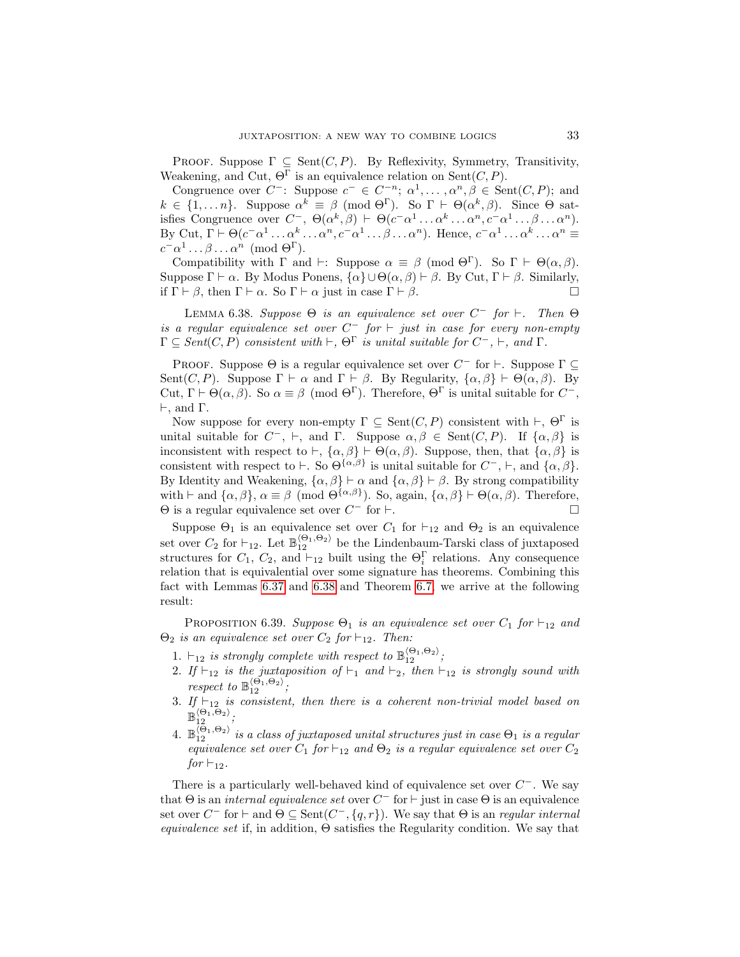PROOF. Suppose  $\Gamma \subseteq \text{Sent}(C, P)$ . By Reflexivity, Symmetry, Transitivity, Weakening, and Cut,  $\Theta^{\Gamma}$  is an equivalence relation on Sent $(C, P)$ .

Congruence over  $C^-$ : Suppose  $c^- \in C^{-n}$ ;  $\alpha^1, \dots, \alpha^n, \beta \in \text{Sent}(C, P)$ ; and  $k \in \{1, ..., n\}$ . Suppose  $\alpha^k \equiv \beta \pmod{\Theta^{\Gamma}}$ . So  $\Gamma \vdash \Theta(\alpha^k, \beta)$ . Since  $\Theta$  satisfies Congruence over  $C^-$ ,  $\Theta(\alpha^k, \beta) \vdash \Theta(c^- \alpha^1 \dots \alpha^k \dots \alpha^n, c^- \alpha^1 \dots \beta \dots \alpha^n)$ . By Cut,  $\Gamma \vdash \Theta(c^- \alpha^1 \ldots \alpha^k \ldots \alpha^n, c^- \alpha^1 \ldots \beta \ldots \alpha^n)$ . Hence,  $c^- \alpha^1 \ldots \alpha^k \ldots \alpha^n \equiv$  $c^- \alpha^1 \dots \beta \dots \alpha^n \pmod{\Theta^{\Gamma}}$ .

Compatibility with  $\Gamma$  and  $\vdash$ : Suppose  $\alpha \equiv \beta \pmod{\Theta^{\Gamma}}$ . So  $\Gamma \vdash \Theta(\alpha, \beta)$ . Suppose  $\Gamma \vdash \alpha$ . By Modus Ponens,  $\{\alpha\} \cup \Theta(\alpha, \beta) \vdash \beta$ . By Cut,  $\Gamma \vdash \beta$ . Similarly, if  $\Gamma \vdash \beta$ , then  $\Gamma \vdash \alpha$ . So  $\Gamma \vdash \alpha$  just in case  $\Gamma \vdash \beta$ .

<span id="page-32-0"></span>LEMMA 6.38. Suppose  $\Theta$  is an equivalence set over  $C^-$  for  $\vdash$ . Then  $\Theta$ is a regular equivalence set over  $C^-$  for  $\vdash$  just in case for every non-empty  $\Gamma \subseteq Sent(C, P)$  consistent with  $\vdash, \Theta^{\Gamma}$  is unital suitable for  $C^{-}, \vdash,$  and  $\Gamma$ .

PROOF. Suppose  $\Theta$  is a regular equivalence set over  $C^-$  for  $\vdash$ . Suppose  $\Gamma \subseteq$ Sent(C, P). Suppose  $\Gamma \vdash \alpha$  and  $\Gamma \vdash \beta$ . By Regularity,  $\{\alpha, \beta\} \vdash \Theta(\alpha, \beta)$ . By Cut,  $\Gamma \vdash \Theta(\alpha, \beta)$ . So  $\alpha \equiv \beta \pmod{\Theta^{\Gamma}}$ . Therefore,  $\Theta^{\Gamma}$  is unital suitable for  $C^{-}$ ,  $\vdash$ , and  $\Gamma$ .

Now suppose for every non-empty  $\Gamma \subseteq \text{Sent}(C, P)$  consistent with  $\vdash, \Theta^{\Gamma}$  is unital suitable for  $C^-$ ,  $\vdash$ , and  $\Gamma$ . Suppose  $\alpha, \beta \in \text{Sent}(C, P)$ . If  $\{\alpha, \beta\}$  is inconsistent with respect to  $\vdash$ ,  $\{\alpha,\beta\} \vdash \Theta(\alpha,\beta)$ . Suppose, then, that  $\{\alpha,\beta\}$  is consistent with respect to  $\vdash$ . So  $\Theta^{\{\alpha,\beta\}}$  is unital suitable for  $C^-$ ,  $\vdash$ , and  $\{\alpha,\beta\}$ . By Identity and Weakening,  $\{\alpha, \beta\} \vdash \alpha$  and  $\{\alpha, \beta\} \vdash \beta$ . By strong compatibility with  $\vdash$  and  $\{\alpha, \beta\}, \alpha \equiv \beta \pmod{\Theta^{\{\alpha,\beta\}}}$ . So, again,  $\{\alpha, \beta\} \vdash \Theta(\alpha, \beta)$ . Therefore,  $\Theta$  is a regular equivalence set over  $C^-$  for  $\vdash$ .

Suppose  $\Theta_1$  is an equivalence set over  $C_1$  for  $\vdash_{12}$  and  $\Theta_2$  is an equivalence set over  $C_2$  for  $\vdash_{12}$ . Let  $\mathbb{B}_{12}^{(\Theta_1,\Theta_2)}$  be the Lindenbaum-Tarski class of juxtaposed structures for  $C_1$ ,  $C_2$ , and  $\vdash_{12}$  built using the  $\Theta_i^{\Gamma}$  relations. Any consequence relation that is equivalential over some signature has theorems. Combining this fact with Lemmas [6.37](#page-31-1) and [6.38](#page-32-0) and Theorem [6.7,](#page-21-0) we arrive at the following result:

<span id="page-32-1"></span>PROPOSITION 6.39. Suppose  $\Theta_1$  is an equivalence set over  $C_1$  for  $\vdash_{12}$  and  $\Theta_2$  is an equivalence set over  $C_2$  for  $\vdash_{12}$ . Then:

- 1.  $\vdash_{12}$  is strongly complete with respect to  $\mathbb{B}_{12}^{\langle\Theta_1,\Theta_2\rangle}$ ;
- 2. If  $\vdash_{12}$  is the juxtaposition of  $\vdash_1$  and  $\vdash_2$ , then  $\vdash_{12}$  is strongly sound with respect to  $\mathbb{B}_{12}^{\langle \Theta_1, \Theta_2 \rangle}$ ;
- 3. If  $\vdash_{12}$  is consistent, then there is a coherent non-trivial model based on  $\mathbb{B}_{12}^{\langle\Theta_1,\Theta_2\rangle};$
- 4.  $\mathbb{B}_{12}^{\langle \Theta_1,\Theta_2\rangle}$  is a class of juxtaposed unital structures just in case  $\Theta_1$  is a regular equivalence set over  $C_1$  for  $\vdash_{12}$  and  $\Theta_2$  is a regular equivalence set over  $C_2$ for  $\vdash_{12}$ .

There is a particularly well-behaved kind of equivalence set over  $C^-$ . We say that  $\Theta$  is an *internal equivalence set* over  $C^-$  for  $\vdash$  just in case  $\Theta$  is an equivalence set over  $C^-$  for  $\vdash$  and  $\Theta \subseteq \text{Sent}(C^-,\lbrace q,r \rbrace)$ . We say that  $\Theta$  is an *regular internal equivalence set* if, in addition,  $\Theta$  satisfies the Regularity condition. We say that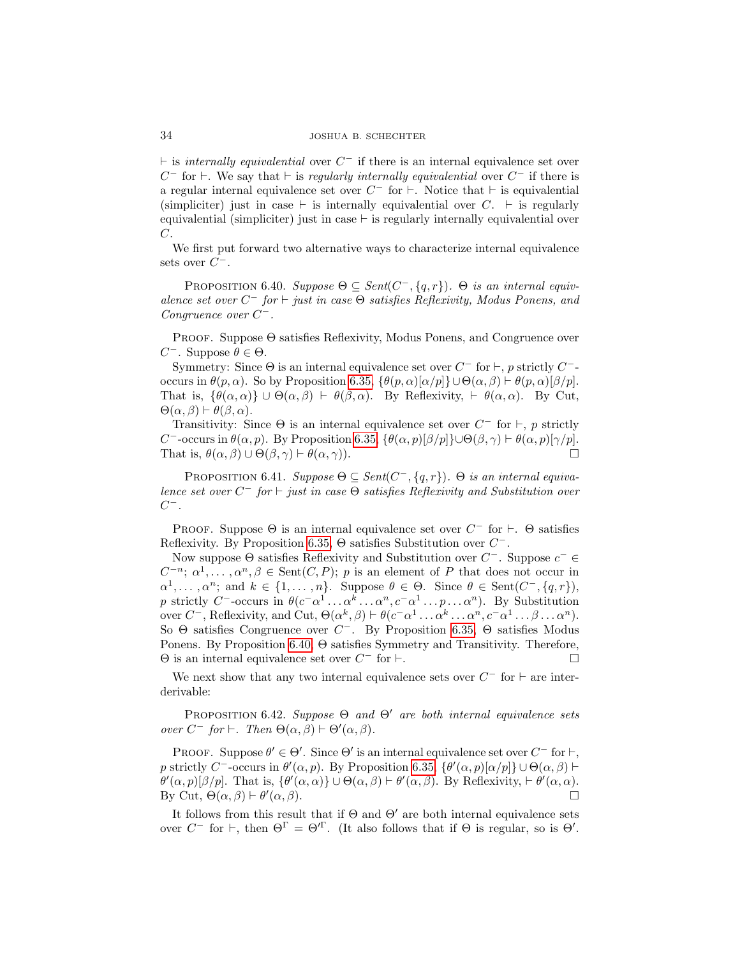$\vdash$  is *internally equivalential* over  $C^-$  if there is an internal equivalence set over  $C^-$  for  $\vdash$ . We say that  $\vdash$  is regularly internally equivalential over  $C^-$  if there is a regular internal equivalence set over  $C^-$  for  $\vdash$ . Notice that  $\vdash$  is equivalential (simpliciter) just in case  $\vdash$  is internally equivalential over  $C. \vdash$  is regularly equivalential (simpliciter) just in case  $\vdash$  is regularly internally equivalential over  $C$ .

We first put forward two alternative ways to characterize internal equivalence sets over  $C^-$ .

<span id="page-33-0"></span>PROPOSITION 6.40. Suppose  $\Theta \subseteq Sent(C^{-}, \{q, r\})$ .  $\Theta$  is an internal equivalence set over  $C^-$  for  $\vdash$  just in case  $\Theta$  satisfies Reflexivity, Modus Ponens, and Congruence over  $C^-$ .

Proof. Suppose Θ satisfies Reflexivity, Modus Ponens, and Congruence over  $C^-$ . Suppose θ ∈ Θ.

Symmetry: Since  $\Theta$  is an internal equivalence set over  $C^-$  for  $\vdash$ , p strictly  $C^-$ occurs in  $\theta(p,\alpha)$ . So by Proposition [6.35,](#page-30-0)  $\{\theta(p,\alpha)[\alpha/p]\}\cup \Theta(\alpha,\beta) \vdash \theta(p,\alpha)[\beta/p].$ That is,  $\{\theta(\alpha,\alpha)\}\cup\Theta(\alpha,\beta)\vdash \theta(\beta,\alpha)$ . By Reflexivity,  $\vdash \theta(\alpha,\alpha)$ . By Cut,  $\Theta(\alpha, \beta) \vdash \theta(\beta, \alpha).$ 

Transitivity: Since  $\Theta$  is an internal equivalence set over  $C^-$  for  $\vdash, p$  strictly C<sup>-</sup>-occurs in  $\theta(\alpha, p)$ . By Proposition [6.35,](#page-30-0)  $\{\theta(\alpha, p)[\beta/p]\}\cup \Theta(\beta, \gamma) \vdash \theta(\alpha, p)[\gamma/p]$ . That is,  $\theta(\alpha, \beta) \cup \Theta(\beta, \gamma) \vdash \theta(\alpha, \gamma)$ ).

PROPOSITION 6.41. Suppose  $\Theta \subseteq Sent(C^{-}, \{q, r\})$ .  $\Theta$  is an internal equivalence set over  $C^-$  for  $\vdash$  just in case  $\Theta$  satisfies Reflexivity and Substitution over  $C^-$ .

PROOF. Suppose  $\Theta$  is an internal equivalence set over  $C^-$  for  $\vdash$ .  $\Theta$  satisfies Reflexivity. By Proposition [6.35,](#page-30-0)  $\Theta$  satisfies Substitution over  $C^-$ .

Now suppose  $\Theta$  satisfies Reflexivity and Substitution over  $C^-$ . Suppose  $c^- \in \Theta$  $C^{-n}$ ;  $\alpha^1, \ldots, \alpha^n, \beta \in \text{Sent}(C, P)$ ; p is an element of P that does not occur in  $\alpha^1, \ldots, \alpha^n$ ; and  $k \in \{1, \ldots, n\}$ . Suppose  $\theta \in \Theta$ . Since  $\theta \in \text{Sent}(C^-, \{q, r\})$ , p strictly C<sup>-</sup>-occurs in  $\theta(c^- \alpha^1 \dots \alpha^k \dots \alpha^n, c^- \alpha^1 \dots p \dots \alpha^n)$ . By Substitution over  $C^-$ , Reflexivity, and Cut,  $\Theta(\alpha^k, \beta) \vdash \theta(c^- \alpha^1 \dots \alpha^k \dots \alpha^n, c^- \alpha^1 \dots \beta \dots \alpha^n)$ . So  $\Theta$  satisfies Congruence over  $C^-$ . By Proposition [6.35,](#page-30-0)  $\Theta$  satisfies Modus Ponens. By Proposition [6.40,](#page-33-0) Θ satisfies Symmetry and Transitivity. Therefore,  $\Theta$  is an internal equivalence set over  $C^-$  for  $\vdash$ .

We next show that any two internal equivalence sets over  $C^-$  for  $\vdash$  are interderivable:

<span id="page-33-1"></span>PROPOSITION 6.42. Suppose  $\Theta$  and  $\Theta'$  are both internal equivalence sets over  $C^-$  for  $\vdash$ . Then  $\Theta(\alpha, \beta) \vdash \Theta'(\alpha, \beta)$ .

PROOF. Suppose  $\theta' \in \Theta'$ . Since  $\Theta'$  is an internal equivalence set over  $C^-$  for  $\vdash$ , p strictly C<sup>-</sup>-occurs in  $\theta'(\alpha, p)$ . By Proposition [6.35,](#page-30-0)  $\{\theta'(\alpha, p)[\alpha/p]\}\cup \Theta(\alpha, \beta)$  $\theta'(\alpha, p)[\beta/p]$ . That is,  $\{\theta'(\alpha, \alpha)\}\cup \Theta(\alpha, \beta) \vdash \theta'(\alpha, \beta)$ . By Reflexivity,  $\vdash \theta'(\alpha, \alpha)$ . By Cut,  $\Theta(\alpha, \beta) \vdash \theta'$  $(\alpha, \beta)$ .

It follows from this result that if  $\Theta$  and  $\Theta'$  are both internal equivalence sets over  $C^-$  for  $\vdash$ , then  $\Theta^{\Gamma} = \Theta'^{\Gamma}$ . (It also follows that if  $\Theta$  is regular, so is  $\Theta'$ .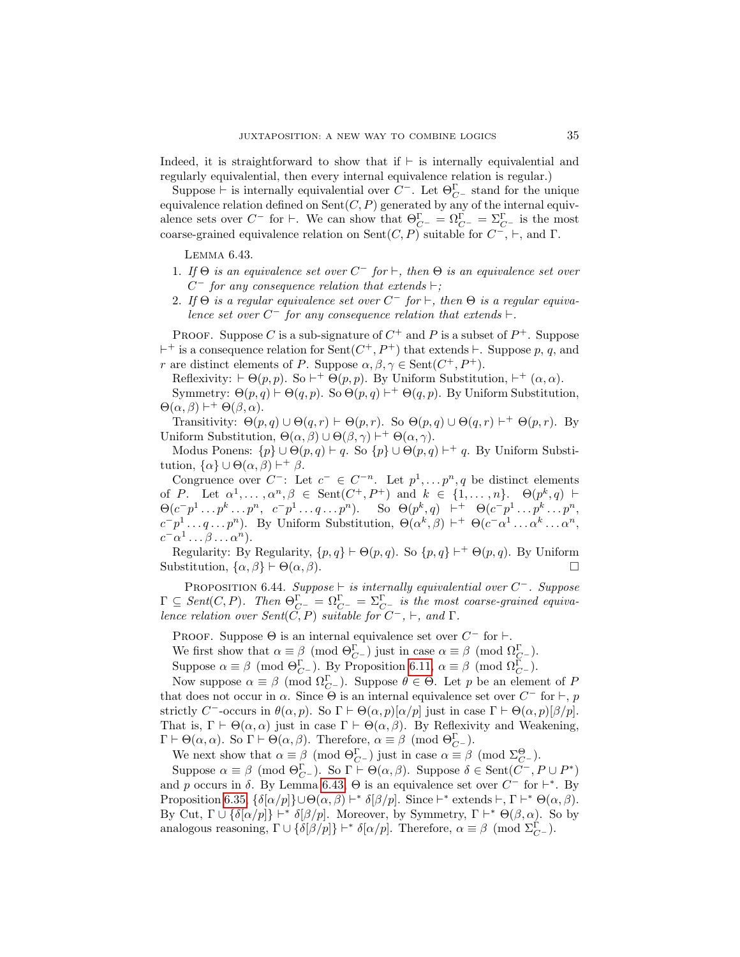Indeed, it is straightforward to show that if  $\vdash$  is internally equivalential and regularly equivalential, then every internal equivalence relation is regular.)

Suppose  $\vdash$  is internally equivalential over  $C^{-}$ . Let  $\Theta_{C^{-}}^{\Gamma}$  stand for the unique equivalence relation defined on  $\text{Sent}(C, P)$  generated by any of the internal equivalence sets over  $C^-$  for  $\vdash$ . We can show that  $\Theta_{C^-}^{\Gamma} = \Omega_{C^-}^{\Gamma} = \Sigma_{C^-}^{\Gamma}$  is the most coarse-grained equivalence relation on Sent $(C, P)$  suitable for  $C^-$ ,  $\vdash$ , and  $\Gamma$ .

<span id="page-34-0"></span>Lemma 6.43.

- 1. If  $\Theta$  is an equivalence set over  $C^-$  for  $\vdash$ , then  $\Theta$  is an equivalence set over  $C^-$  for any consequence relation that extends  $\vdash;$
- 2. If  $\Theta$  is a regular equivalence set over  $C^-$  for  $\vdash$ , then  $\Theta$  is a regular equivalence set over  $C^-$  for any consequence relation that extends  $\vdash$ .

PROOF. Suppose C is a sub-signature of  $C^+$  and P is a subset of  $P^+$ . Suppose  $+$  is a consequence relation for Sent $(C^+, P^+)$  that extends  $\vdash$ . Suppose p, q, and r are distinct elements of P. Suppose  $\alpha, \beta, \gamma \in \text{Sent}(C^+, P^+).$ 

Reflexivity:  $\vdash \Theta(p, p)$ . So  $\vdash^+ \Theta(p, p)$ . By Uniform Substitution,  $\vdash^+ (\alpha, \alpha)$ .

Symmetry:  $\Theta(p,q) \vdash \Theta(q,p)$ . So  $\Theta(p,q) \vdash^+ \Theta(q,p)$ . By Uniform Substitution,  $\Theta(\alpha, \beta) \vdash^{+} \Theta(\beta, \alpha).$ 

Transitivity:  $\Theta(p,q) \cup \Theta(q,r) \vdash \Theta(p,r)$ . So  $\Theta(p,q) \cup \Theta(q,r) \vdash^{+} \Theta(p,r)$ . By Uniform Substitution,  $\Theta(\alpha, \beta) \cup \Theta(\beta, \gamma) \vdash^{+} \Theta(\alpha, \gamma)$ .

Modus Ponens:  $\{p\} \cup \Theta(p,q) \vdash q$ . So  $\{p\} \cup \Theta(p,q) \vdash^+ q$ . By Uniform Substitution,  $\{\alpha\} \cup \Theta(\alpha, \beta) \vdash^{+} \beta$ .

Congruence over  $C^-$ : Let  $c^- \in C^{-n}$ . Let  $p^1, \ldots, p^n, q$  be distinct elements of P. Let  $\alpha^1, \ldots, \alpha^n, \beta \in \text{Sent}(C^+, P^+)$  and  $k \in \{1, \ldots, n\}$ .  $\Theta(p^k, q)$   $\vdash$  $\Theta(c^-p^1 \dots p^k \dots p^n, \ c^-p^1 \dots q \dots p^n).$  So  $\Theta(p^k, q)$   $\vdash^+ \Theta(c^-p^1 \dots p^k \dots p^n,$  $c^-p^1 \ldots q \ldots p^n$ ). By Uniform Substitution,  $\Theta(\alpha^k, \beta) \vdash^+ \Theta(c^- \alpha^1 \ldots \alpha^k \ldots \alpha^n)$  $c^- \alpha^1 \ldots \beta \ldots \alpha^n$ ).

Regularity: By Regularity,  $\{p,q\} \vdash \Theta(p,q)$ . So  $\{p,q\} \vdash^+ \Theta(p,q)$ . By Uniform Substitution,  $\{\alpha, \beta\} \vdash \Theta(\alpha, \beta)$ .

<span id="page-34-1"></span>PROPOSITION 6.44. Suppose  $\vdash$  is internally equivalential over  $C^-$ . Suppose  $\Gamma \subseteq Sent(C,P)$ . Then  $\Theta_{C^{-}}^{\Gamma} = \Omega_{C^{-}}^{\Gamma} = \Sigma_{C^{-}}^{\Gamma}$  is the most coarse-grained equivalence relation over  $Sent(\tilde{C}, P)$  suitable for  $C^-$ ,  $\vdash$ , and  $\Gamma$ .

PROOF. Suppose  $\Theta$  is an internal equivalence set over  $C^-$  for  $\vdash$ .

We first show that  $\alpha \equiv \beta \pmod{\Theta_{C^-}^{\Gamma}}$  just in case  $\alpha \equiv \beta \pmod{\Omega_{C^-}^{\Gamma}}$ .

Suppose  $\alpha \equiv \beta \pmod{\Theta_{C^-}^{\Gamma}}$ . By Proposition [6.11,](#page-22-2)  $\alpha \equiv \beta \pmod{\Omega_{C^-}^{\Gamma}}$ .

Now suppose  $\alpha \equiv \beta \pmod{\Omega_{C^-}^{\Gamma}}$ . Suppose  $\theta \in \Theta$ . Let p be an element of P that does not occur in  $\alpha$ . Since  $\Theta$  is an internal equivalence set over  $C^-$  for  $\vdash$ , p strictly C<sup>-</sup>-occurs in  $\theta(\alpha, p)$ . So  $\Gamma \vdash \Theta(\alpha, p)[\alpha/p]$  just in case  $\Gamma \vdash \Theta(\alpha, p)[\beta/p]$ . That is,  $\Gamma \vdash \Theta(\alpha, \alpha)$  just in case  $\Gamma \vdash \Theta(\alpha, \beta)$ . By Reflexivity and Weakening,  $\Gamma \vdash \Theta(\alpha, \alpha)$ . So  $\Gamma \vdash \Theta(\alpha, \beta)$ . Therefore,  $\alpha \equiv \beta \pmod{\Theta_{C}^{\Gamma}}$ .

We next show that  $\alpha \equiv \beta \pmod{\Theta_{C^-}^{\Gamma}}$  just in case  $\alpha \equiv \beta \pmod{\Sigma_{C^-}^{\Theta}}$ .

Suppose  $\alpha \equiv \beta \pmod{\Theta_{C}^{\Gamma}}$ . So  $\Gamma \vdash \Theta(\alpha, \beta)$ . Suppose  $\delta \in \text{Sent}(C^-, P \cup P^*)$ and p occurs in  $\delta$ . By Lemma [6.43,](#page-34-0)  $\Theta$  is an equivalence set over  $C^-$  for  $\vdash^*$ . By Proposition [6.35,](#page-30-0)  $\{\delta[\alpha/p]\}\cup \Theta(\alpha,\beta) \vdash^* \delta[\beta/p]$ . Since  $\vdash^*$  extends  $\vdash, \Gamma \vdash^* \Theta(\alpha,\beta)$ . By Cut,  $\Gamma \cup {\delta[\alpha/p]}$  | \*  $\delta[\beta/p]$ . Moreover, by Symmetry,  $\Gamma \vdash^* \Theta(\beta, \alpha)$ . So by analogous reasoning,  $\Gamma \cup {\{\delta[\beta/p]\}} \vdash^* \delta[\alpha/p]$ . Therefore,  $\alpha \equiv \beta \pmod{\Sigma_{C^-}^{\Gamma}}$ .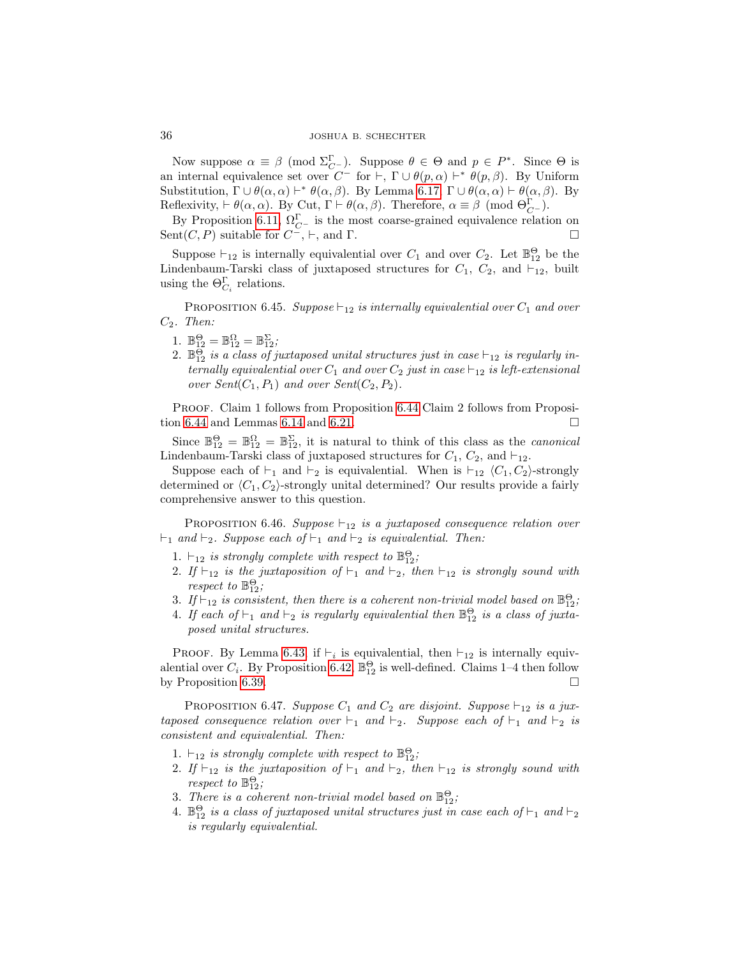Now suppose  $\alpha \equiv \beta \pmod{\Sigma_{C}^{\Gamma}}$ . Suppose  $\theta \in \Theta$  and  $p \in P^*$ . Since  $\Theta$  is an internal equivalence set over  $C^-$  for  $\vdash, \Gamma \cup \theta(p, \alpha) \vdash^* \theta(p, \beta)$ . By Uniform Substitution,  $\Gamma \cup \theta(\alpha, \alpha) \vdash^* \theta(\alpha, \beta)$ . By Lemma [6.17,](#page-24-1)  $\Gamma \cup \theta(\alpha, \alpha) \vdash \theta(\alpha, \beta)$ . By Reflexivity,  $\vdash \theta(\alpha, \alpha)$ . By Cut,  $\Gamma \vdash \theta(\alpha, \beta)$ . Therefore,  $\alpha \equiv \beta \pmod{\Theta_{C}^{\Gamma}}$ .

By Proposition [6.11,](#page-22-2)  $\Omega_{C}^{\Gamma}$  is the most coarse-grained equivalence relation on Sent $(C, P)$  suitable for  $C^{\sim}$ ,  $\vdash$ , and  $\Gamma$ .

Suppose  $\vdash_{12}$  is internally equivalential over  $C_1$  and over  $C_2$ . Let  $\mathbb{B}^{\Theta}_{12}$  be the Lindenbaum-Tarski class of juxtaposed structures for  $C_1$ ,  $C_2$ , and  $\vdash_{12}$ , built using the  $\Theta_{C_i}^{\Gamma}$  relations.

PROPOSITION 6.45. Suppose  $\vdash_{12}$  is internally equivalential over  $C_1$  and over  $C_2$ . Then:

- 1.  $\mathbb{B}_{12}^{\Theta} = \mathbb{B}_{12}^{\Omega} = \mathbb{B}_{12}^{\Sigma};$
- 2.  $\mathbb{B}_{12}^{\widetilde{\Theta}}$  is a class of juxtaposed unital structures just in case  $\vdash_{12}$  is regularly internally equivalential over  $C_1$  and over  $C_2$  just in case  $\vdash_{12}$  is left-extensional over  $Sent(C_1, P_1)$  and over  $Sent(C_2, P_2)$ .

Proof. Claim 1 follows from Proposition [6.44](#page-34-1) Claim 2 follows from Proposi-tion [6.44](#page-34-1) and Lemmas [6.14](#page-22-3) and [6.21.](#page-25-2)

Since  $\mathbb{B}_{12}^{\Theta} = \mathbb{B}_{12}^{\Omega} = \mathbb{B}_{12}^{\Sigma}$ , it is natural to think of this class as the *canonical* Lindenbaum-Tarski class of juxtaposed structures for  $C_1$ ,  $C_2$ , and  $\vdash_{12}$ .

Suppose each of  $\vdash_1$  and  $\vdash_2$  is equivalential. When is  $\vdash_{12} \langle C_1, C_2 \rangle$ -strongly determined or  $\langle C_1, C_2 \rangle$ -strongly unital determined? Our results provide a fairly comprehensive answer to this question.

<span id="page-35-0"></span>PROPOSITION 6.46. Suppose  $\vdash_{12}$  is a juxtaposed consequence relation over  $\vdash_1$  and  $\vdash_2$ . Suppose each of  $\vdash_1$  and  $\vdash_2$  is equivalential. Then:

- 1.  $\vdash_{12}$  is strongly complete with respect to  $\mathbb{B}^{\Theta}_{12}$ ;
- 2. If  $\vdash_{12}$  is the juxtaposition of  $\vdash_1$  and  $\vdash_2$ , then  $\vdash_{12}$  is strongly sound with respect to  $\mathbb{B}^{\Theta}_{12}$ ;
- 3. If  $\vdash_{12}$  is consistent, then there is a coherent non-trivial model based on  $\mathbb{B}^{\Theta}_{12}$ ;
- 4. If each of  $\vdash_1$  and  $\vdash_2$  is regularly equivalential then  $\mathbb{B}^{\Theta}_{12}$  is a class of juxtaposed unital structures.

PROOF. By Lemma [6.43,](#page-34-0) if  $\vdash_i$  is equivalential, then  $\vdash_{12}$  is internally equivalential over  $C_i$ . By Proposition [6.42,](#page-33-1)  $\mathbb{B}_{12}^{\Theta}$  is well-defined. Claims 1-4 then follow by Proposition [6.39.](#page-32-1)

PROPOSITION 6.47. Suppose  $C_1$  and  $C_2$  are disjoint. Suppose  $\vdash_{12}$  is a juxtaposed consequence relation over  $\vdash_1$  and  $\vdash_2$ . Suppose each of  $\vdash_1$  and  $\vdash_2$  is consistent and equivalential. Then:

- 1.  $\vdash_{12}$  is strongly complete with respect to  $\mathbb{B}^{\Theta}_{12}$ ;
- 2. If  $\vdash_{12}$  is the juxtaposition of  $\vdash_1$  and  $\vdash_2$ , then  $\vdash_{12}$  is strongly sound with respect to  $\mathbb{B}^{\Theta}_{12}$ ;
- 3. There is a coherent non-trivial model based on  $\mathbb{B}^{\Theta}_{12}$ ;
- 4.  $\mathbb{B}^{\Theta}_{12}$  is a class of juxtaposed unital structures just in case each of  $\vdash_1$  and  $\vdash_2$ is regularly equivalential.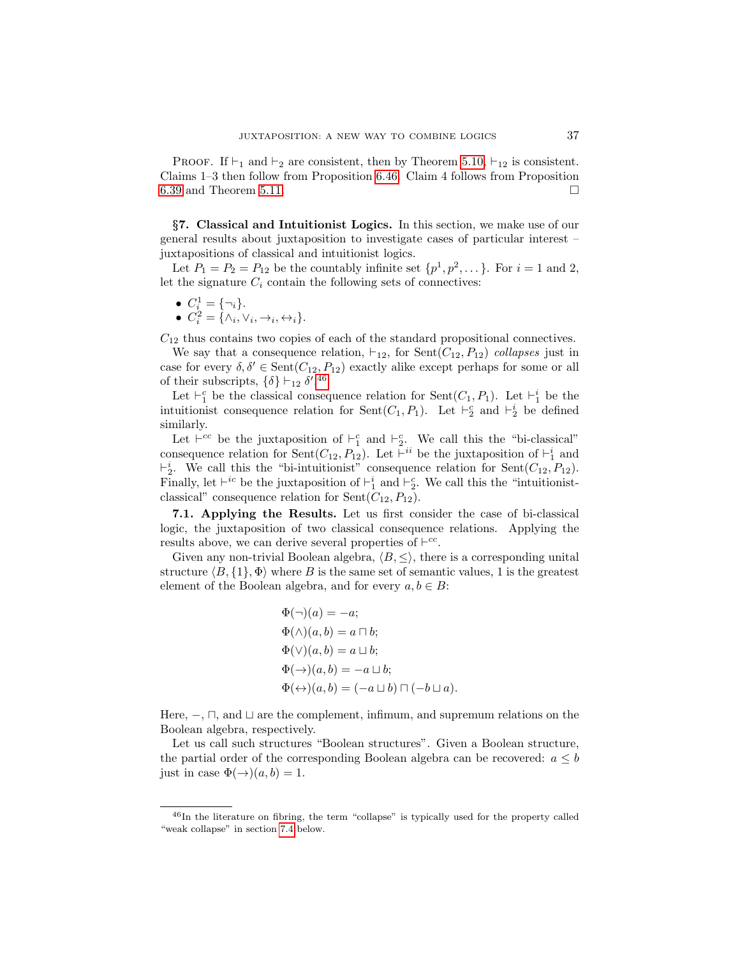**PROOF.** If  $\vdash_1$  and  $\vdash_2$  are consistent, then by Theorem [5.10,](#page-17-3)  $\vdash_{12}$  is consistent. Claims 1–3 then follow from Proposition [6.46.](#page-35-0) Claim 4 follows from Proposition [6.39](#page-32-1) and Theorem [5.11.](#page-17-4)  $\Box$ 

§7. Classical and Intuitionist Logics. In this section, we make use of our general results about juxtaposition to investigate cases of particular interest – juxtapositions of classical and intuitionist logics.

Let  $P_1 = P_2 = P_{12}$  be the countably infinite set  $\{p^1, p^2, \dots\}$ . For  $i = 1$  and 2, let the signature  $C_i$  contain the following sets of connectives:

$$
\bullet \ \ C_i^1 = \{\neg_i\}.
$$

• 
$$
C_i^2 = {\wedge_i, \vee_i, \rightarrow_i, \leftrightarrow_i}.
$$

 $C_{12}$  thus contains two copies of each of the standard propositional connectives.

We say that a consequence relation,  $\vdash_{12}$ , for Sent( $C_{12}, P_{12}$ ) collapses just in case for every  $\delta, \delta' \in \text{Sent}(C_{12}, P_{12})$  exactly alike except perhaps for some or all of their subscripts,  $\{\delta\} \vdash_{12} \delta'.^{46}$  $\{\delta\} \vdash_{12} \delta'.^{46}$  $\{\delta\} \vdash_{12} \delta'.^{46}$ 

Let  $\vdash_1^c$  be the classical consequence relation for  $\text{Sent}(C_1, P_1)$ . Let  $\vdash_1^i$  be the intuitionist consequence relation for  $\text{Sent}(C_1, P_1)$ . Let  $\vdash_2^c$  and  $\vdash_2^i$  be defined similarly.

Let  $\vdash^{cc}$  be the juxtaposition of  $\vdash_1^c$  and  $\vdash_2^c$ . We call this the "bi-classical" consequence relation for Sent $(C_{12}, P_{12})$ . Let  $\vdash^{ii}$  be the juxtaposition of  $\vdash_1^i$  and  $\vdash_2^i$ . We call this the "bi-intuitionist" consequence relation for Sent( $C_{12}, P_{12}$ ). Finally, let  $\vdash^{ic}$  be the juxtaposition of  $\vdash_1^i$  and  $\vdash_2^c$ . We call this the "intuitionistclassical" consequence relation for  $Sent(C_{12}, P_{12})$ .

7.1. Applying the Results. Let us first consider the case of bi-classical logic, the juxtaposition of two classical consequence relations. Applying the results above, we can derive several properties of  $\vdash^{cc}$ .

Given any non-trivial Boolean algebra,  $\langle B, \leq \rangle$ , there is a corresponding unital structure  $\langle B, \{1\}, \Phi \rangle$  where B is the same set of semantic values, 1 is the greatest element of the Boolean algebra, and for every  $a, b \in B$ :

$$
\Phi(\neg)(a) = -a; \n\Phi(\wedge)(a, b) = a \sqcap b; \n\Phi(\vee)(a, b) = a \sqcup b; \n\Phi(\rightarrow)(a, b) = -a \sqcup b; \n\Phi(\leftrightarrow)(a, b) = (-a \sqcup b) \sqcap (-b \sqcup a).
$$

Here,  $\Box$ , and  $\Box$  are the complement, infimum, and supremum relations on the Boolean algebra, respectively.

Let us call such structures "Boolean structures". Given a Boolean structure, the partial order of the corresponding Boolean algebra can be recovered:  $a \leq b$ just in case  $\Phi(\rightarrow)(a, b) = 1$ .

<span id="page-36-0"></span> $^{46}$ In the literature on fibring, the term "collapse" is typically used for the property called "weak collapse" in section [7.4](#page-43-0) below.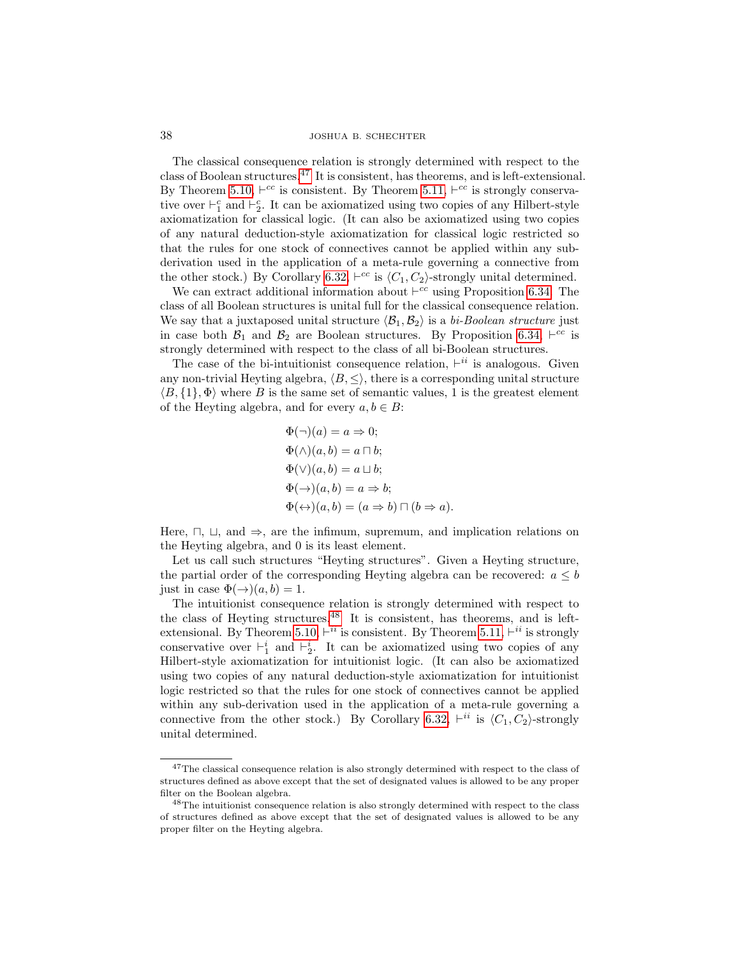The classical consequence relation is strongly determined with respect to the class of Boolean structures.[47](#page-37-0) It is consistent, has theorems, and is left-extensional. By Theorem [5.10,](#page-17-3)  $\vdash^{cc}$  is consistent. By Theorem [5.11,](#page-17-4)  $\vdash^{cc}$  is strongly conservative over  $\vdash_1^c$  and  $\vdash_2^c$ . It can be axiomatized using two copies of any Hilbert-style axiomatization for classical logic. (It can also be axiomatized using two copies of any natural deduction-style axiomatization for classical logic restricted so that the rules for one stock of connectives cannot be applied within any subderivation used in the application of a meta-rule governing a connective from the other stock.) By Corollary [6.32,](#page-29-2)  $\vdash^{cc}$  is  $\langle C_1, C_2 \rangle$ -strongly unital determined.

We can extract additional information about  $\vdash^{cc}$  using Proposition [6.34.](#page-30-1) The class of all Boolean structures is unital full for the classical consequence relation. We say that a juxtaposed unital structure  $\langle B_1, B_2 \rangle$  is a bi-Boolean structure just in case both  $\mathcal{B}_1$  and  $\mathcal{B}_2$  are Boolean structures. By Proposition [6.34,](#page-30-1)  $\vdash^{cc}$  is strongly determined with respect to the class of all bi-Boolean structures.

The case of the bi-intuitionist consequence relation,  $\vdash^{ii}$  is analogous. Given any non-trivial Heyting algebra,  $\langle B, \leq \rangle$ , there is a corresponding unital structure  $\langle B, \{1\}, \Phi \rangle$  where B is the same set of semantic values, 1 is the greatest element of the Heyting algebra, and for every  $a, b \in B$ :

$$
\Phi(\neg)(a) = a \Rightarrow 0;
$$
  
\n
$$
\Phi(\wedge)(a, b) = a \sqcap b;
$$
  
\n
$$
\Phi(\vee)(a, b) = a \sqcup b;
$$
  
\n
$$
\Phi(\rightarrow)(a, b) = a \Rightarrow b;
$$
  
\n
$$
\Phi(\leftrightarrow)(a, b) = (a \Rightarrow b) \sqcap (b \Rightarrow a).
$$

Here,  $\sqcap$ ,  $\sqcup$ , and  $\Rightarrow$ , are the infimum, supremum, and implication relations on the Heyting algebra, and 0 is its least element.

Let us call such structures "Heyting structures". Given a Heyting structure, the partial order of the corresponding Heyting algebra can be recovered:  $a \leq b$ just in case  $\Phi(\rightarrow)(a, b) = 1$ .

The intuitionist consequence relation is strongly determined with respect to the class of Heyting structures.  $48$  It is consistent, has theorems, and is left-extensional. By Theorem [5.10,](#page-17-3)  $\vdash^{ii}$  is consistent. By Theorem [5.11,](#page-17-4)  $\vdash^{ii}$  is strongly conservative over  $\vdash_1^i$  and  $\vdash_2^i$ . It can be axiomatized using two copies of any Hilbert-style axiomatization for intuitionist logic. (It can also be axiomatized using two copies of any natural deduction-style axiomatization for intuitionist logic restricted so that the rules for one stock of connectives cannot be applied within any sub-derivation used in the application of a meta-rule governing a connective from the other stock.) By Corollary [6.32,](#page-29-2)  $\vdash^{ii}$  is  $\langle C_1, C_2 \rangle$ -strongly unital determined.

<span id="page-37-0"></span> $^{47}\mathrm{The}$  classical consequence relation is also strongly determined with respect to the class of structures defined as above except that the set of designated values is allowed to be any proper filter on the Boolean algebra.

<span id="page-37-1"></span><sup>&</sup>lt;sup>48</sup>The intuitionist consequence relation is also strongly determined with respect to the class of structures defined as above except that the set of designated values is allowed to be any proper filter on the Heyting algebra.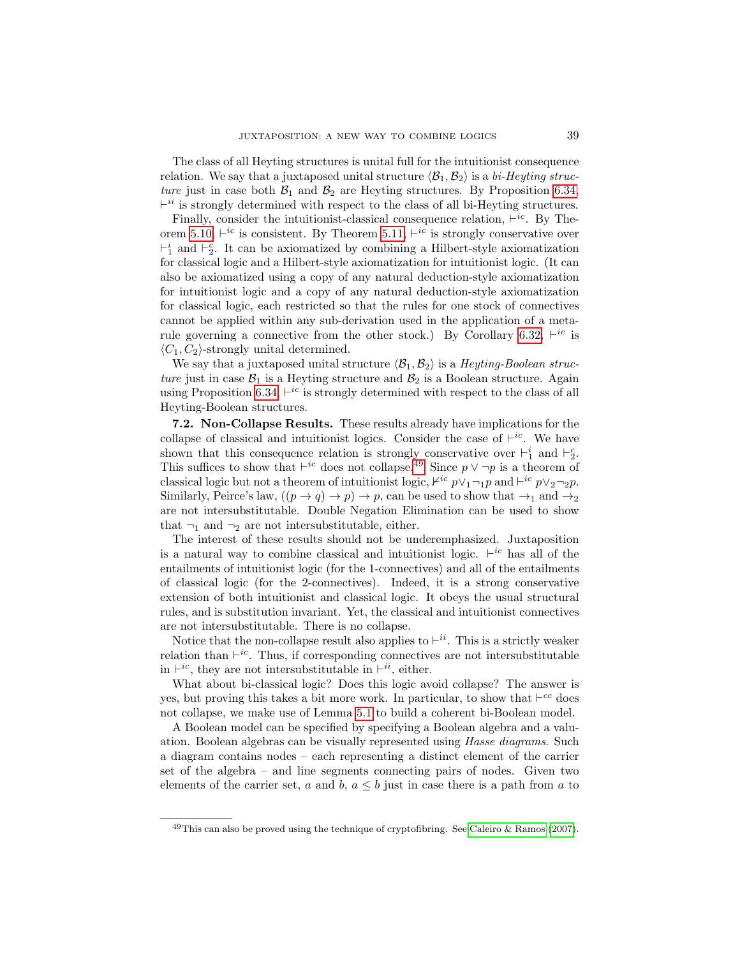The class of all Heyting structures is unital full for the intuitionist consequence relation. We say that a juxtaposed unital structure  $\langle \mathcal{B}_1, \mathcal{B}_2 \rangle$  is a bi-Heyting structure just in case both  $\mathcal{B}_1$  and  $\mathcal{B}_2$  are Heyting structures. By Proposition [6.34,](#page-30-1)  $\vdash^{ii}$  is strongly determined with respect to the class of all bi-Heyting structures.

Finally, consider the intuitionist-classical consequence relation,  $\vdash^{ic}$ . By The-orem [5.10,](#page-17-3)  $\vdash^{ic}$  is consistent. By Theorem [5.11,](#page-17-4)  $\vdash^{ic}$  is strongly conservative over  $\vdash_1^i$  and  $\vdash_2^c$ . It can be axiomatized by combining a Hilbert-style axiomatization for classical logic and a Hilbert-style axiomatization for intuitionist logic. (It can also be axiomatized using a copy of any natural deduction-style axiomatization for intuitionist logic and a copy of any natural deduction-style axiomatization for classical logic, each restricted so that the rules for one stock of connectives cannot be applied within any sub-derivation used in the application of a meta-rule governing a connective from the other stock.) By Corollary [6.32,](#page-29-2)  $\vdash^{ic}$  is  $\langle C_1, C_2 \rangle$ -strongly unital determined.

We say that a juxtaposed unital structure  $\langle B_1, B_2 \rangle$  is a Heyting-Boolean structure just in case  $\mathcal{B}_1$  is a Heyting structure and  $\mathcal{B}_2$  is a Boolean structure. Again using Proposition [6.34,](#page-30-1)  $\vdash^{ic}$  is strongly determined with respect to the class of all Heyting-Boolean structures.

7.2. Non-Collapse Results. These results already have implications for the collapse of classical and intuitionist logics. Consider the case of  $\vdash^{ic}$ . We have shown that this consequence relation is strongly conservative over  $\vdash_1^i$  and  $\vdash_2^c$ . This suffices to show that  $\vdash^{ic}$  does not collapse.<sup>[49](#page-38-0)</sup> Since  $p \vee \neg p$  is a theorem of classical logic but not a theorem of intuitionist logic,  $\not\vdash^{ic} p \lor_1 \neg_1 p$  and  $\vdash^{ic} p \lor_2 \neg_2 p$ . Similarly, Peirce's law,  $((p \rightarrow q) \rightarrow p) \rightarrow p$ , can be used to show that  $\rightarrow_1$  and  $\rightarrow_2$ are not intersubstitutable. Double Negation Elimination can be used to show that  $\neg_1$  and  $\neg_2$  are not intersubstitutable, either.

The interest of these results should not be underemphasized. Juxtaposition is a natural way to combine classical and intuitionist logic.  $\vdash^{ic}$  has all of the entailments of intuitionist logic (for the 1-connectives) and all of the entailments of classical logic (for the 2-connectives). Indeed, it is a strong conservative extension of both intuitionist and classical logic. It obeys the usual structural rules, and is substitution invariant. Yet, the classical and intuitionist connectives are not intersubstitutable. There is no collapse.

Notice that the non-collapse result also applies to  $\vdash^{ii}$ . This is a strictly weaker relation than  $\vdash^{ic}$ . Thus, if corresponding connectives are not intersubstitutable in  $\vdash^{ic}$ , they are not intersubstitutable in  $\vdash^{ii}$ , either.

What about bi-classical logic? Does this logic avoid collapse? The answer is yes, but proving this takes a bit more work. In particular, to show that  $\vdash^{cc}$  does not collapse, we make use of Lemma [5.1](#page-13-0) to build a coherent bi-Boolean model.

A Boolean model can be specified by specifying a Boolean algebra and a valuation. Boolean algebras can be visually represented using Hasse diagrams. Such a diagram contains nodes – each representing a distinct element of the carrier set of the algebra – and line segments connecting pairs of nodes. Given two elements of the carrier set, a and b,  $a \leq b$  just in case there is a path from a to

<span id="page-38-0"></span> $^{49}$ This can also be proved using the technique of cryptofibring. See [Caleiro & Ramos \(2007\)](#page-47-3).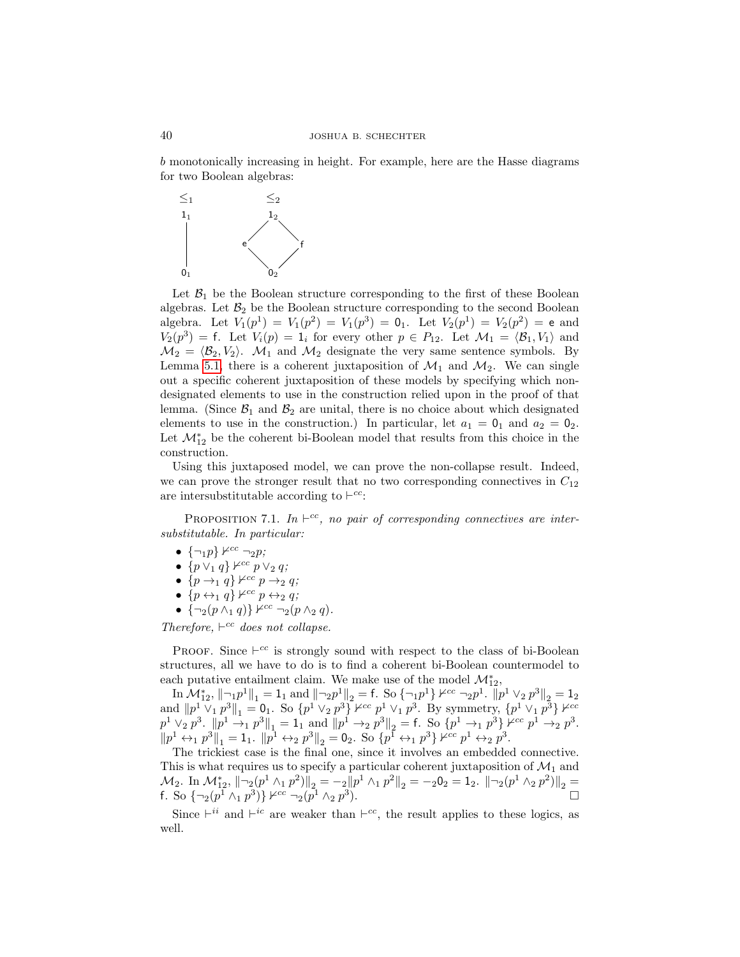b monotonically increasing in height. For example, here are the Hasse diagrams for two Boolean algebras:



Let  $\mathcal{B}_1$  be the Boolean structure corresponding to the first of these Boolean algebras. Let  $\mathcal{B}_2$  be the Boolean structure corresponding to the second Boolean algebra. Let  $V_1(p^1) = V_1(p^2) = V_1(p^3) = 0_1$ . Let  $V_2(p^1) = V_2(p^2) = e$  and  $V_2(p^3) = f$ . Let  $V_i(p) = 1_i$  for every other  $p \in P_{12}$ . Let  $\mathcal{M}_1 = \langle \mathcal{B}_1, V_1 \rangle$  and  $\mathcal{M}_2 = \langle \mathcal{B}_2, V_2 \rangle$ .  $\mathcal{M}_1$  and  $\mathcal{M}_2$  designate the very same sentence symbols. By Lemma [5.1,](#page-13-0) there is a coherent juxtaposition of  $\mathcal{M}_1$  and  $\mathcal{M}_2$ . We can single out a specific coherent juxtaposition of these models by specifying which nondesignated elements to use in the construction relied upon in the proof of that lemma. (Since  $\mathcal{B}_1$  and  $\mathcal{B}_2$  are unital, there is no choice about which designated elements to use in the construction.) In particular, let  $a_1 = 0_1$  and  $a_2 = 0_2$ . Let  $\mathcal{M}^*_{12}$  be the coherent bi-Boolean model that results from this choice in the construction.

Using this juxtaposed model, we can prove the non-collapse result. Indeed, we can prove the stronger result that no two corresponding connectives in  $C_{12}$ are intersubstitutable according to  $\vdash^{cc}$ .

PROPOSITION 7.1. In  $\vdash^{cc}$ , no pair of corresponding connectives are intersubstitutable. In particular:

- $\{\neg_1 p\} \nvDash^{cc} \neg_2 p;$
- $\{p \vee_1 q\} \nvDash^{cc} p \vee_2 q;$
- $\{p \rightarrow_1 q\}$   $\nvdash^{cc} p \rightarrow_2 q;$
- $\{p \leftrightarrow_1 q\} \nvDash^{cc} p \leftrightarrow_2 q;$
- $\{\neg_2(p \wedge_1 q)\}$   $\nvDash^{cc} \neg_2(p \wedge_2 q)$ .

Therefore,  $\vdash^{cc}$  does not collapse.

PROOF. Since  $\vdash^{cc}$  is strongly sound with respect to the class of bi-Boolean structures, all we have to do is to find a coherent bi-Boolean countermodel to each putative entailment claim. We make use of the model  $\mathcal{M}^*_{12},$ 

 $\text{Im } \mathcal{M}_{12}^*, \| \neg_1 p^1 \|_1 = 1_1 \text{ and } \| \neg_2 p^1 \|_2 = \text{f. So } \{ \neg_1 p^1 \} \nvdash^{cc} \neg_2 p^1. \overline{||} p^1 \vee_2 p^3 \|_2 = 1_2$ and  $||p^1 \vee_1 p^3||_1 = 0_1$ . So  $\{p^1 \vee_2 p^3\}$   $\nvdash^{cc} p^1 \vee_1 p^3$ . By symmetry,  $\{p^1 \vee_1 p^3\}$   $\nvdash^{cc}$  $p^{1} \vee_{2} p^{3}$ .  $||p^{1} \rightarrow_{1} p^{3}||_{1} = 1$  and  $||p^{1} \rightarrow_{2} p^{3}||_{2} = f$ . So  $\{p^{1} \rightarrow_{1} p^{3}\}$   $\forall^{cc} p^{1} \rightarrow_{2} p^{3}$ .  $||p^{1} \leftrightarrow_{1} p^{3}||_{1} = 1_{1}. ||p^{1} \leftrightarrow_{2} p^{3}||_{2} = 0_{2}.$  So  $\{p^{1} \leftrightarrow_{1} p^{3}\} \nleftrightarrow_{2} p^{3}.$ 

The trickiest case is the final one, since it involves an embedded connective. This is what requires us to specify a particular coherent juxtaposition of  $\mathcal{M}_1$  and  $\mathcal{M}_2$ . In  $\mathcal{M}_{12}^*$ ,  $||\neg_2(p^1 \wedge_1 p^2)||_2 = -2||p^1 \wedge_1 p^2||_2 = -20_2 = 1_2$ .  $||\neg_2(p^1 \wedge_2 p^2)||_2 =$ f. So  $\{\neg_2(p^1 \wedge_1 p^3)\}\nvarrow{cc} \neg_2(p^1 \wedge_2 p^3)$ .

Since  $\vdash^{ii}$  and  $\vdash^{ic}$  are weaker than  $\vdash^{cc}$ , the result applies to these logics, as well.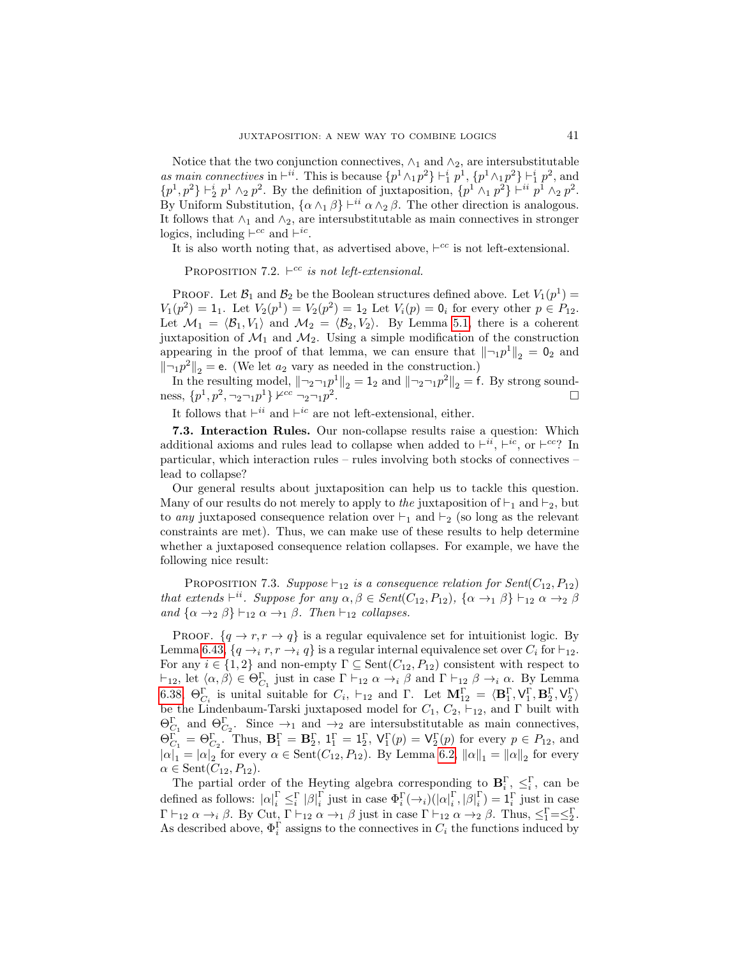Notice that the two conjunction connectives,  $\wedge_1$  and  $\wedge_2$ , are intersubstitutable as main connectives in  $\vdash^{ii}$ . This is because  $\{p^1 \wedge_1 p^2\} \vdash^i_1 p^1, \{p^1 \wedge_1 p^2\} \vdash^i_1 p^2$ , and  $\{p^1, p^2\} \vdash_2^i p^1 \wedge_2 p^2$ . By the definition of juxtaposition,  $\{p^1 \wedge_1 p^2\} \vdash_{i}^i p^1 \wedge_2 p^2$ . By Uniform Substitution,  $\{\alpha \wedge_1 \beta\} \vdash^{ii} \alpha \wedge_2 \beta$ . The other direction is analogous. It follows that  $\wedge_1$  and  $\wedge_2$ , are intersubstitutable as main connectives in stronger logics, including  $\vdash^{cc}$  and  $\vdash^{ic}$ .

It is also worth noting that, as advertised above,  $\vdash^{cc}$  is not left-extensional.

PROPOSITION 7.2.  $\vdash^{cc}$  is not left-extensional.

PROOF. Let  $\mathcal{B}_1$  and  $\mathcal{B}_2$  be the Boolean structures defined above. Let  $V_1(p^1)$  =  $V_1(p^2) = 1_1$ . Let  $V_2(p^1) = V_2(p^2) = 1_2$  Let  $V_i(p) = 0_i$  for every other  $p \in P_{12}$ . Let  $\mathcal{M}_1 = \langle \mathcal{B}_1, V_1 \rangle$  and  $\mathcal{M}_2 = \langle \mathcal{B}_2, V_2 \rangle$ . By Lemma [5.1,](#page-13-0) there is a coherent juxtaposition of  $\mathcal{M}_1$  and  $\mathcal{M}_2$ . Using a simple modification of the construction appearing in the proof of that lemma, we can ensure that  $\|\neg p^1\|_2 = 0_2$  and  $\|\neg_1 p^2\|_2 = e$ . (We let  $a_2$  vary as needed in the construction.)

In the resulting model,  $\|\neg_2\neg_1 p^1\|_2 = 1_2$  and  $\|\neg_2\neg_1 p^2\|_2 = f$ . By strong soundness,  $\{p^1, p^2, \neg_2 \neg_1 p^1\}$   $\nvdash^{cc} \neg_2 \neg_1 p^2$ .

It follows that  $\vdash^{ii}$  and  $\vdash^{ic}$  are not left-extensional, either.

7.3. Interaction Rules. Our non-collapse results raise a question: Which additional axioms and rules lead to collapse when added to  $\vdash^{ii}$ ,  $\vdash^{ic}$ , or  $\vdash^{cc}$ ? In particular, which interaction rules – rules involving both stocks of connectives – lead to collapse?

Our general results about juxtaposition can help us to tackle this question. Many of our results do not merely to apply to the juxtaposition of  $\vdash_1$  and  $\vdash_2$ , but to *any* juxtaposed consequence relation over  $\vdash_1$  and  $\vdash_2$  (so long as the relevant constraints are met). Thus, we can make use of these results to help determine whether a juxtaposed consequence relation collapses. For example, we have the following nice result:

<span id="page-40-0"></span>PROPOSITION 7.3. Suppose  $\vdash_{12}$  is a consequence relation for Sent(C<sub>12</sub>, P<sub>12</sub>) that extends  $\vdash^{ii}$ . Suppose for any  $\alpha, \beta \in Sent(C_{12}, P_{12}), \{\alpha \rightarrow_1 \beta\} \vdash_{12} \alpha \rightarrow_2 \beta$ and  $\{\alpha \rightarrow_2 \beta\} \vdash_{12} \alpha \rightarrow_1 \beta$ . Then  $\vdash_{12}$  collapses.

PROOF.  $\{q \rightarrow r, r \rightarrow q\}$  is a regular equivalence set for intuitionist logic. By Lemma [6.43,](#page-34-0)  $\{q \rightarrow_i r, r \rightarrow_i q\}$  is a regular internal equivalence set over  $C_i$  for  $\vdash_{12}$ . For any  $i \in \{1,2\}$  and non-empty  $\Gamma \subseteq \text{Sent}(C_{12}, P_{12})$  consistent with respect to  $\vdash_{12}$ , let  $\langle \alpha, \beta \rangle \in \Theta_{C_1}^{\Gamma}$  just in case  $\Gamma \vdash_{12} \alpha \rightarrow_i \beta$  and  $\Gamma \vdash_{12} \beta \rightarrow_i \alpha$ . By Lemma [6.38,](#page-32-0)  $\Theta_{C_i}^{\Gamma}$  is unital suitable for  $C_i$ ,  $\vdash_{12}$  and  $\Gamma$ . Let  $\mathbf{M}_{12}^{\Gamma} = \langle \mathbf{B}_1^{\Gamma}, \mathsf{V}_1^{\Gamma}, \mathbf{B}_2^{\Gamma}, \mathsf{V}_2^{\Gamma} \rangle$ be the Lindenbaum-Tarski juxtaposed model for  $C_1$ ,  $C_2$ ,  $\vdash_{12}$ , and  $\Gamma$  built with  $\Theta_{C_1}^{\Gamma}$  and  $\Theta_{C_2}^{\Gamma}$ . Since  $\to_1$  and  $\to_2$  are intersubstitutable as main connectives,  $\Theta_{C_1}^{\Gamma} = \Theta_{C_2}^{\Gamma}$ . Thus,  $\mathbf{B}_1^{\Gamma} = \mathbf{B}_2^{\Gamma}$ ,  $\mathbf{1}_1^{\Gamma} = \mathbf{1}_2^{\Gamma}$ ,  $\mathsf{V}_1^{\Gamma}(p) = \mathsf{V}_2^{\Gamma}(p)$  for every  $p \in P_{12}$ , and  $|\alpha|_1 = |\alpha|_2$  for every  $\alpha \in \text{Sent}(C_{12}, P_{12})$ . By Lemma [6.2,](#page-18-1)  $\|\alpha\|_1 = \|\alpha\|_2$  for every  $\alpha \in \text{Sent}(C_{12}, P_{12}).$ 

The partial order of the Heyting algebra corresponding to  $\mathbf{B}_i^{\Gamma}$ ,  $\leq_i^{\Gamma}$ , can be defined as follows:  $|\alpha|_i^{\Gamma} \leq_i^{\Gamma} |\beta|_i^{\Gamma}$  just in case  $\Phi_i^{\Gamma}(\rightarrow_i)(|\alpha|_i^{\Gamma}, |\beta|_i^{\Gamma}) = \mathbf{1}_i^{\Gamma}$  just in case  $\Gamma \vdash_{12} \alpha \rightarrow_i \beta$ . By Cut,  $\Gamma \vdash_{12} \alpha \rightarrow_1 \beta$  just in case  $\Gamma \vdash_{12} \alpha \rightarrow_2 \beta$ . Thus,  $\leq_1^{\Gamma} = \leq_2^{\Gamma}$ . As described above,  $\Phi_i^{\Gamma}$  assigns to the connectives in  $C_i$  the functions induced by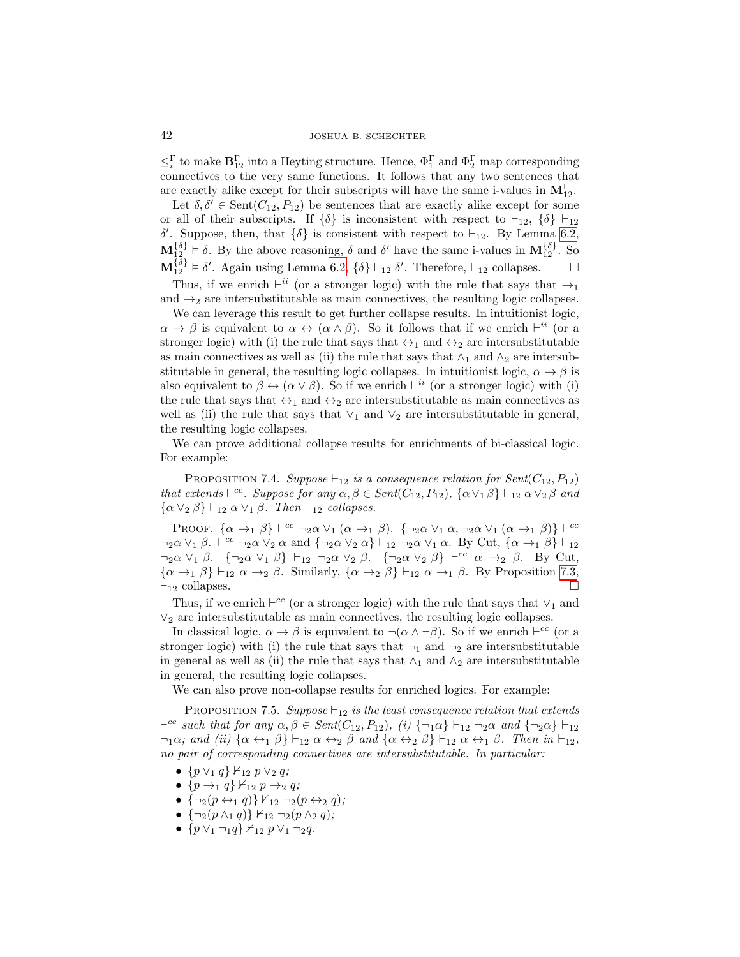$\leq_i^{\Gamma}$  to make  $\mathbf{B}_{12}^{\Gamma}$  into a Heyting structure. Hence,  $\Phi_1^{\Gamma}$  and  $\Phi_2^{\Gamma}$  map corresponding connectives to the very same functions. It follows that any two sentences that are exactly alike except for their subscripts will have the same i-values in  $\mathbf{M}_{12}^{\Gamma}$ .

Let  $\delta, \delta' \in \text{Sent}(C_{12}, P_{12})$  be sentences that are exactly alike except for some or all of their subscripts. If  $\{\delta\}$  is inconsistent with respect to  $\vdash_{12}$ ,  $\{\delta\} \vdash_{12}$ δ'. Suppose, then, that  $\{\delta\}$  is consistent with respect to  $\vdash_{12}$ . By Lemma [6.2,](#page-18-1)  $\mathbf{M}_{12}^{\{\delta\}} \models \delta$ . By the above reasoning,  $\delta$  and  $\delta'$  have the same i-values in  $\mathbf{M}_{12}^{\{\delta\}}$ . So  $\mathbf{M}_{12}^{\{\delta\}} \models \delta'$ . Again using Lemma [6.2,](#page-18-1)  $\{\delta\} \vdash_{12} \delta'$ . Therefore,  $\vdash_{12}$  collapses.  $\Box$ 

Thus, if we enrich  $\vdash^{ii}$  (or a stronger logic) with the rule that says that  $\rightarrow_1$ and  $\rightarrow_2$  are intersubstitutable as main connectives, the resulting logic collapses.

We can leverage this result to get further collapse results. In intuitionist logic,  $\alpha \to \beta$  is equivalent to  $\alpha \leftrightarrow (\alpha \wedge \beta)$ . So it follows that if we enrich  $\vdash^{ii}$  (or a stronger logic) with (i) the rule that says that  $\leftrightarrow_1$  and  $\leftrightarrow_2$  are intersubstitutable as main connectives as well as (ii) the rule that says that  $\wedge_1$  and  $\wedge_2$  are intersubstitutable in general, the resulting logic collapses. In intuitionist logic,  $\alpha \to \beta$  is also equivalent to  $\beta \leftrightarrow (\alpha \vee \beta)$ . So if we enrich  $\vdash^{ii}$  (or a stronger logic) with (i) the rule that says that  $\leftrightarrow_1$  and  $\leftrightarrow_2$  are intersubstitutable as main connectives as well as (ii) the rule that says that  $\vee_1$  and  $\vee_2$  are intersubstitutable in general, the resulting logic collapses.

We can prove additional collapse results for enrichments of bi-classical logic. For example:

PROPOSITION 7.4. Suppose  $\vdash_{12}$  is a consequence relation for Sent(C<sub>12</sub>, P<sub>12</sub>) that extends  $\vdash^{cc}$ . Suppose for any  $\alpha, \beta \in Sent(C_{12}, P_{12}), \{\alpha \vee_1 \beta\} \vdash_{12} \alpha \vee_2 \beta$  and  $\{\alpha \vee_2 \beta\} \vdash_{12} \alpha \vee_1 \beta$ . Then  $\vdash_{12}$  collapses.

PROOF.  $\{\alpha \rightarrow_1 \beta\} \vdash^{cc} \neg_2 \alpha \vee_1 (\alpha \rightarrow_1 \beta)$ .  $\{\neg_2 \alpha \vee_1 \alpha, \neg_2 \alpha \vee_1 (\alpha \rightarrow_1 \beta)\} \vdash^{cc}$  $\neg_2\alpha \vee_1\beta$ .  $\vdash^{cc} \neg_2\alpha \vee_2 \alpha$  and  $\{\neg_2\alpha \vee_2 \alpha\} \vdash_{12} \neg_2\alpha \vee_1 \alpha$ . By Cut,  $\{\alpha \rightarrow_1 \beta\} \vdash_{12}$  $\neg_2\alpha \vee_1 \beta$ .  $\{\neg_2\alpha \vee_1 \beta\} \vdash_{12} \neg_2\alpha \vee_2 \beta$ .  $\{\neg_2\alpha \vee_2 \beta\} \vdash^{cc} \alpha \rightarrow_2 \beta$ . By Cut,  $\{\alpha \rightarrow_1 \beta\} \vdash_{12} \alpha \rightarrow_2 \beta$ . Similarly,  $\{\alpha \rightarrow_2 \beta\} \vdash_{12} \alpha \rightarrow_1 \beta$ . By Proposition [7.3,](#page-40-0)  $\vdash_{12}$  collapses.

Thus, if we enrich  $\vdash^{cc}$  (or a stronger logic) with the rule that says that  $\vee_1$  and  $\vee_2$  are intersubstitutable as main connectives, the resulting logic collapses.

In classical logic,  $\alpha \to \beta$  is equivalent to  $\neg(\alpha \land \neg \beta)$ . So if we enrich  $\vdash^{cc}$  (or a stronger logic) with (i) the rule that says that  $\neg_1$  and  $\neg_2$  are intersubstitutable in general as well as (ii) the rule that says that  $\wedge_1$  and  $\wedge_2$  are intersubstitutable in general, the resulting logic collapses.

We can also prove non-collapse results for enriched logics. For example:

<span id="page-41-0"></span>PROPOSITION 7.5. Suppose  $\vdash_{12}$  is the least consequence relation that extends  $\vdash^{cc} such that for any  $\alpha, \beta \in Sent(C_{12}, P_{12}), (i) \{\neg_1\alpha\} \vdash_{12} \neg_2\alpha \text{ and } \{\neg_2\alpha\} \vdash_{12}$$  $\neg_1\alpha$ ; and (ii)  $\{\alpha \leftrightarrow_1 \beta\} \vdash_{12} \alpha \leftrightarrow_2 \beta$  and  $\{\alpha \leftrightarrow_2 \beta\} \vdash_{12} \alpha \leftrightarrow_1 \beta$ . Then in  $\vdash_{12}$ , no pair of corresponding connectives are intersubstitutable. In particular:

- $\{p \vee_1 q\} \nvdash_{12} p \vee_2 q;$
- $\{p \rightarrow_1 q\} \nvdash_{12} p \rightarrow_2 q;$
- $\{\neg_2(p \leftrightarrow_1 q)\}\nvdash_{12} \neg_2(p \leftrightarrow_2 q);$
- ${\neg_2(p \wedge_1 q)} \nvdash_{12} \neg_2(p \wedge_2 q);$
- $\{p \vee_1 \neg_1 q\} \nvdash_{12} p \vee_1 \neg_2 q.$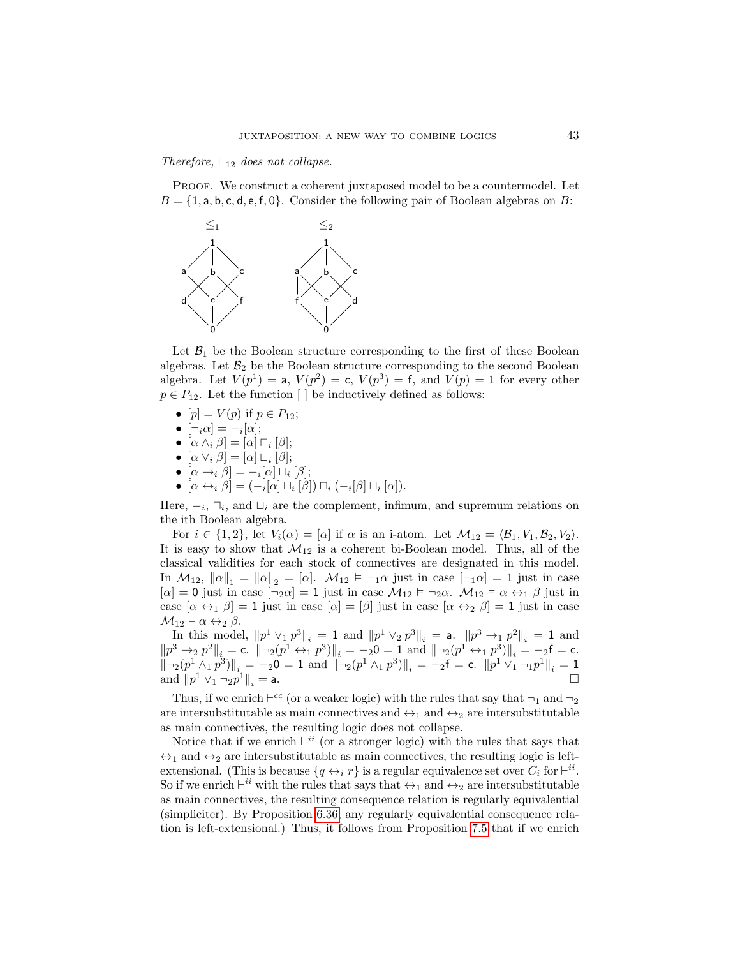Therefore,  $\vdash_{12}$  does not collapse.

PROOF. We construct a coherent juxtaposed model to be a countermodel. Let  $B = \{1, a, b, c, d, e, f, 0\}$ . Consider the following pair of Boolean algebras on B:



Let  $\mathcal{B}_1$  be the Boolean structure corresponding to the first of these Boolean algebras. Let  $B_2$  be the Boolean structure corresponding to the second Boolean algebra. Let  $V(p^1) = a$ ,  $V(p^2) = c$ ,  $V(p^3) = f$ , and  $V(p) = 1$  for every other  $p \in P_{12}$ . Let the function [ ] be inductively defined as follows:

- $[p] = V(p)$  if  $p \in P_{12}$ ;
- $[\neg_i \alpha] = -i[\alpha];$
- $[\alpha \wedge_i \beta] = [\alpha] \sqcap_i [\beta];$
- $[\alpha \vee_i \beta] = [\alpha] \sqcup_i [\beta];$
- $[\alpha \rightarrow_i \beta] = -i[\alpha] \sqcup_i [\beta];$
- $[\alpha \leftrightarrow_i \beta] = (-i[\alpha] \sqcup_i [\beta]) \sqcap_i (-i[\beta] \sqcup_i [\alpha]).$

Here,  $-<sub>i</sub>$ ,  $\sqcap<sub>i</sub>$ , and  $\sqcup<sub>i</sub>$  are the complement, infimum, and supremum relations on the ith Boolean algebra.

For  $i \in \{1,2\}$ , let  $V_i(\alpha) = [\alpha]$  if  $\alpha$  is an i-atom. Let  $\mathcal{M}_{12} = \langle \mathcal{B}_1, V_1, \mathcal{B}_2, V_2 \rangle$ . It is easy to show that  $\mathcal{M}_{12}$  is a coherent bi-Boolean model. Thus, all of the classical validities for each stock of connectives are designated in this model. In  $\mathcal{M}_{12}$ ,  $\|\alpha\|_1 = \|\alpha\|_2 = [\alpha]$ .  $\mathcal{M}_{12} \models \neg_1 \alpha$  just in case  $[\neg_1 \alpha] = 1$  just in case  $[\alpha] = 0$  just in case  $[\neg_2 \alpha] = 1$  just in case  $\mathcal{M}_{12} \models \neg_2 \alpha$ .  $\mathcal{M}_{12} \models \alpha \leftrightarrow_1 \beta$  just in case  $[\alpha \leftrightarrow_1 \beta] = 1$  just in case  $[\alpha] = [\beta]$  just in case  $[\alpha \leftrightarrow_2 \beta] = 1$  just in case  $\mathcal{M}_{12} \models \alpha \leftrightarrow_2 \beta$ .

In this model,  $||p^1 \vee_1 p^3||_i = 1$  and  $||p^1 \vee_2 p^3||_i = a$ .  $||p^3 \rightarrow_1 p^2||_i = 1$  and  $||p^3 \rightarrow_2 p^2||_i = \text{c. } ||\neg_2(p^1 \leftrightarrow_1 p^3)||_i = -20 = 1 \text{ and } ||\neg_2(p^1 \leftrightarrow_1 p^3)||_i = -2\text{f} = \text{c.}$  $\|\neg_2(p^1 \wedge_1 p^3)\|_i = -20 = 1$  and  $\|\neg_2(p^1 \wedge_1 p^3)\|_i = -2$ f = c.  $\|p^1 \vee_1 \neg_1 p^1\|_i = 1$ and  $||p^1 \vee_1 \neg_2 p$  $\|f\|_i =$  a.

Thus, if we enrich  $\vdash^{cc}$  (or a weaker logic) with the rules that say that  $\neg_1$  and  $\neg_2$ are intersubstitutable as main connectives and  $\leftrightarrow_1$  and  $\leftrightarrow_2$  are intersubstitutable as main connectives, the resulting logic does not collapse.

Notice that if we enrich  $\vdash^{ii}$  (or a stronger logic) with the rules that says that  $\leftrightarrow_1$  and  $\leftrightarrow_2$  are intersubstitutable as main connectives, the resulting logic is leftextensional. (This is because  $\{q \leftrightarrow_i r\}$  is a regular equivalence set over  $C_i$  for  $\vdash^{ii}$ . So if we enrich  $\vdash^{ii}$  with the rules that says that  $\leftrightarrow_1$  and  $\leftrightarrow_2$  are intersubstitutable as main connectives, the resulting consequence relation is regularly equivalential (simpliciter). By Proposition [6.36,](#page-31-2) any regularly equivalential consequence relation is left-extensional.) Thus, it follows from Proposition [7.5](#page-41-0) that if we enrich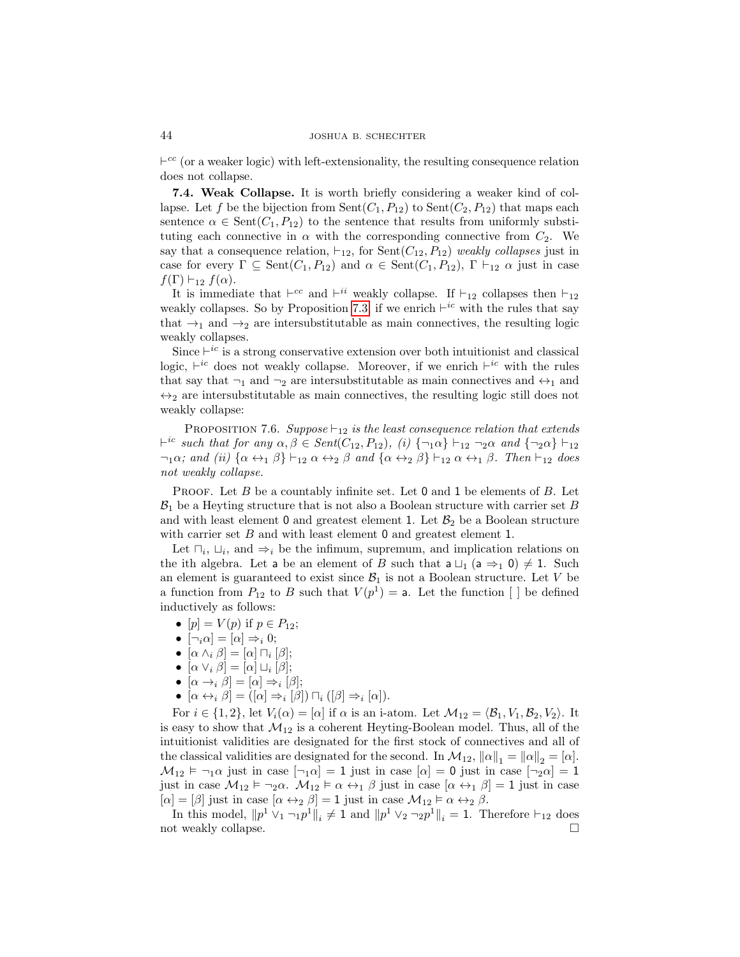$\vdash^{cc}$  (or a weaker logic) with left-extensionality, the resulting consequence relation does not collapse.

<span id="page-43-0"></span>7.4. Weak Collapse. It is worth briefly considering a weaker kind of collapse. Let f be the bijection from  $Sent(C_1, P_{12})$  to  $Sent(C_2, P_{12})$  that maps each sentence  $\alpha \in \text{Sent}(C_1, P_{12})$  to the sentence that results from uniformly substituting each connective in  $\alpha$  with the corresponding connective from  $C_2$ . We say that a consequence relation,  $\vdash_{12}$ , for Sent $(C_{12}, P_{12})$  weakly collapses just in case for every  $\Gamma \subseteq \text{Sent}(C_1, P_{12})$  and  $\alpha \in \text{Sent}(C_1, P_{12}), \Gamma \vdash_{12} \alpha$  just in case  $f(\Gamma) \vdash_{12} f(\alpha)$ .

It is immediate that  $\vdash^{cc}$  and  $\vdash^{ii}$  weakly collapse. If  $\vdash_{12}$  collapses then  $\vdash_{12}$ weakly collapses. So by Proposition [7.3,](#page-40-0) if we enrich  $\vdash^{ic}$  with the rules that say that  $\rightarrow_1$  and  $\rightarrow_2$  are intersubstitutable as main connectives, the resulting logic weakly collapses.

Since  $\vdash^{ic}$  is a strong conservative extension over both intuitionist and classical logic,  $\vdash^{ic}$  does not weakly collapse. Moreover, if we enrich  $\vdash^{ic}$  with the rules that say that  $\neg_1$  and  $\neg_2$  are intersubstitutable as main connectives and  $\leftrightarrow_1$  and  $\leftrightarrow_2$  are intersubstitutable as main connectives, the resulting logic still does not weakly collapse:

PROPOSITION 7.6. Suppose  $\vdash_{12}$  is the least consequence relation that extends  $\vdash^{ic} such that for any  $\alpha, \beta \in Sent(C_{12}, P_{12}), (i) \{\neg_1\alpha\} \vdash_{12} \neg_2\alpha \text{ and } \{\neg_2\alpha\} \vdash_{12}$$  $\neg_1 \alpha$ ; and (ii)  $\{\alpha \leftrightarrow_1 \beta\} \vdash_{12} \alpha \leftrightarrow_2 \beta$  and  $\{\alpha \leftrightarrow_2 \beta\} \vdash_{12} \alpha \leftrightarrow_1 \beta$ . Then  $\vdash_{12}$  does not weakly collapse.

PROOF. Let B be a countably infinite set. Let  $0$  and  $1$  be elements of B. Let  $B_1$  be a Heyting structure that is not also a Boolean structure with carrier set B and with least element 0 and greatest element 1. Let  $\mathcal{B}_2$  be a Boolean structure with carrier set  $B$  and with least element 0 and greatest element 1.

Let  $\sqcap_i$ ,  $\sqcup_i$ , and  $\Rightarrow_i$  be the infimum, supremum, and implication relations on the ith algebra. Let a be an element of B such that  $a \sqcup_1 (a \Rightarrow_1 0) \neq 1$ . Such an element is guaranteed to exist since  $\mathcal{B}_1$  is not a Boolean structure. Let V be a function from  $P_{12}$  to B such that  $V(p^1) = a$ . Let the function [] be defined inductively as follows:

- $[p] = V(p)$  if  $p \in P_{12}$ ;
- $[\neg_i \alpha] = [\alpha] \Rightarrow_i 0;$
- $[\alpha \wedge_i \beta] = [\alpha] \sqcap_i [\beta];$
- $[\alpha \vee_i \beta] = [\alpha] \sqcup_i [\beta];$
- $[\alpha \rightarrow_i \beta] = [\alpha] \Rightarrow_i [\beta];$
- $[\alpha \leftrightarrow_i \beta] = ([\alpha] \Rightarrow_i [\beta]) \sqcap_i ([\beta] \Rightarrow_i [\alpha]).$

For  $i \in \{1,2\}$ , let  $V_i(\alpha) = [\alpha]$  if  $\alpha$  is an i-atom. Let  $\mathcal{M}_{12} = \langle \mathcal{B}_1, V_1, \mathcal{B}_2, V_2 \rangle$ . It is easy to show that  $\mathcal{M}_{12}$  is a coherent Heyting-Boolean model. Thus, all of the intuitionist validities are designated for the first stock of connectives and all of the classical validities are designated for the second. In  $\mathcal{M}_{12}$ ,  $\|\alpha\|_1 = \|\alpha\|_2 = [\alpha]$ .  $\mathcal{M}_{12} \models \neg_1 \alpha$  just in case  $[\neg_1 \alpha] = 1$  just in case  $[\alpha] = 0$  just in case  $[\neg_2 \alpha] = 1$ just in case  $\mathcal{M}_{12} \models \neg_2 \alpha$ .  $\mathcal{M}_{12} \models \alpha \leftrightarrow_1 \beta$  just in case  $[\alpha \leftrightarrow_1 \beta] = 1$  just in case  $[\alpha]=[\beta]$  just in case  $[\alpha \leftrightarrow_2 \beta]=1$  just in case  $\mathcal{M}_{12} \vDash \alpha \leftrightarrow_2 \beta$ .

In this model,  $||p^{1} \vee_{1} \neg_{1} p^{1}||_{i} \neq 1$  and  $||p^{1} \vee_{2} \neg_{2} p^{1}||_{i} = 1$ . Therefore  $\vdash_{12}$  does not weakly collapse.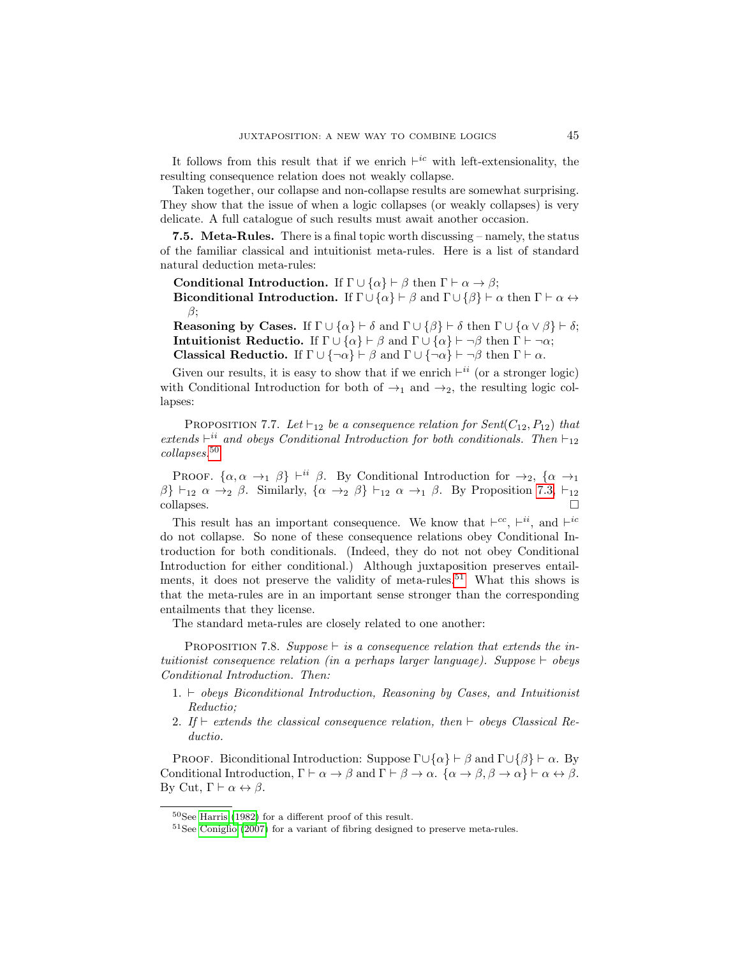It follows from this result that if we enrich  $\vdash^{ic}$  with left-extensionality, the resulting consequence relation does not weakly collapse.

Taken together, our collapse and non-collapse results are somewhat surprising. They show that the issue of when a logic collapses (or weakly collapses) is very delicate. A full catalogue of such results must await another occasion.

**7.5. Meta-Rules.** There is a final topic worth discussing – namely, the status of the familiar classical and intuitionist meta-rules. Here is a list of standard natural deduction meta-rules:

Conditional Introduction. If  $\Gamma \cup {\alpha} \vdash \beta$  then  $\Gamma \vdash \alpha \to \beta$ ;

Biconditional Introduction. If  $\Gamma \cup {\{\alpha\}} \vdash \beta$  and  $\Gamma \cup {\{\beta\}} \vdash \alpha$  then  $\Gamma \vdash \alpha \leftrightarrow \beta$ β;

**Reasoning by Cases.** If  $\Gamma \cup \{\alpha\} \vdash \delta$  and  $\Gamma \cup \{\beta\} \vdash \delta$  then  $\Gamma \cup \{\alpha \vee \beta\} \vdash \delta$ ; **Intuitionist Reductio.** If  $\Gamma \cup \{\alpha\} \vdash \beta$  and  $\Gamma \cup \{\alpha\} \vdash \neg \beta$  then  $\Gamma \vdash \neg \alpha$ ; **Classical Reductio.** If  $\Gamma \cup \{\neg \alpha\} \vdash \beta$  and  $\Gamma \cup \{\neg \alpha\} \vdash \neg \beta$  then  $\Gamma \vdash \alpha$ .

Given our results, it is easy to show that if we enrich  $\vdash^{ii}$  (or a stronger logic) with Conditional Introduction for both of  $\rightarrow_1$  and  $\rightarrow_2$ , the resulting logic collapses:

PROPOSITION 7.7. Let  $\vdash_{12}$  be a consequence relation for Sent(C<sub>12</sub>, P<sub>12</sub>) that extends  $\vdash^{ii}$  and obeys Conditional Introduction for both conditionals. Then  $\vdash_{12}$ collapses.[50](#page-44-0)

PROOF.  $\{\alpha, \alpha \rightarrow_1 \beta\} \vdash^{ii} \beta$ . By Conditional Introduction for  $\rightarrow_2$ ,  $\{\alpha \rightarrow_1 \beta\}$  $\beta$  +  $\beta$   $\alpha$   $\rightarrow$   $\beta$ . Similarly,  $\{\alpha \rightarrow 2 \ \beta\}$  +  $\beta$   $\alpha$   $\rightarrow$   $\beta$ . By Proposition [7.3,](#page-40-0)  $\vdash$   $\vdash$   $\alpha$  $\Box$ collapses.  $\Box$ 

This result has an important consequence. We know that  $\vdash^{cc}$ ,  $\vdash^{ii}$ , and  $\vdash^{ic}$ do not collapse. So none of these consequence relations obey Conditional Introduction for both conditionals. (Indeed, they do not not obey Conditional Introduction for either conditional.) Although juxtaposition preserves entail-ments, it does not preserve the validity of meta-rules.<sup>[51](#page-44-1)</sup> What this shows is that the meta-rules are in an important sense stronger than the corresponding entailments that they license.

The standard meta-rules are closely related to one another:

PROPOSITION 7.8. Suppose  $\vdash$  is a consequence relation that extends the intuitionist consequence relation (in a perhaps larger language). Suppose  $\vdash$  obeys Conditional Introduction. Then:

- 1.  $\vdash$  obeys Biconditional Introduction, Reasoning by Cases, and Intuitionist Reductio;
- 2. If  $\vdash$  extends the classical consequence relation, then  $\vdash$  obeys Classical Reductio.

PROOF. Biconditional Introduction: Suppose  $\Gamma \cup \{\alpha\} \vdash \beta$  and  $\Gamma \cup \{\beta\} \vdash \alpha$ . By Conditional Introduction,  $\Gamma \vdash \alpha \rightarrow \beta$  and  $\Gamma \vdash \beta \rightarrow \alpha$ .  $\{\alpha \rightarrow \beta, \beta \rightarrow \alpha\} \vdash \alpha \leftrightarrow \beta$ . By Cut,  $\Gamma \vdash \alpha \leftrightarrow \beta$ .

<span id="page-44-0"></span><sup>50</sup>See [Harris \(1982\)](#page-48-2) for a different proof of this result.

<span id="page-44-1"></span><sup>51</sup>See [Coniglio \(2007\)](#page-47-5) for a variant of fibring designed to preserve meta-rules.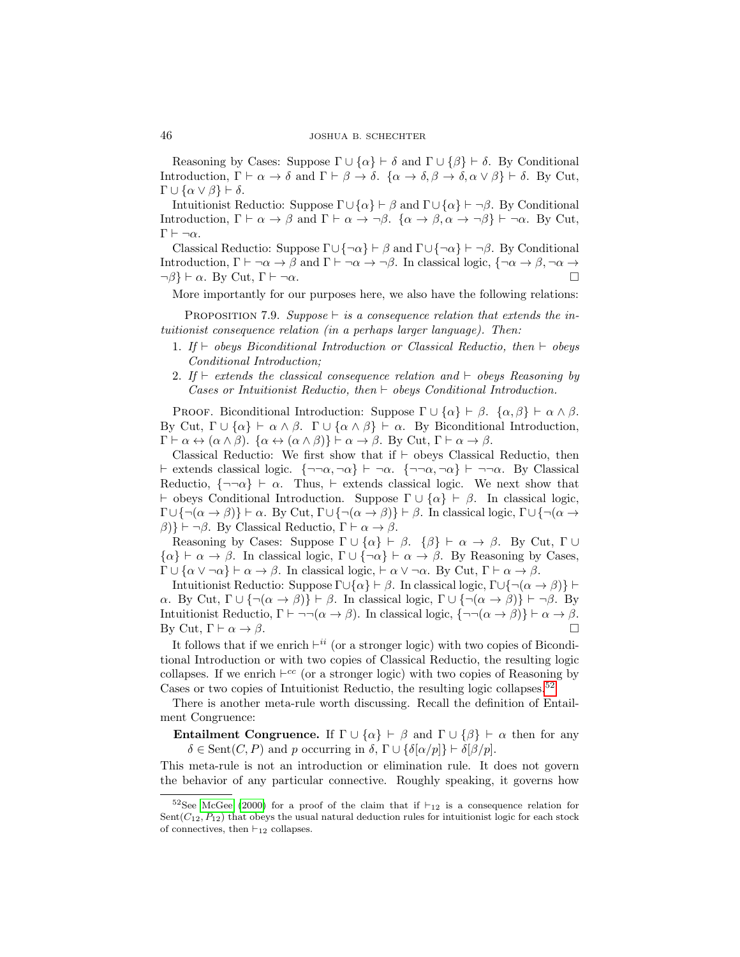Reasoning by Cases: Suppose  $\Gamma \cup \{\alpha\} \vdash \delta$  and  $\Gamma \cup \{\beta\} \vdash \delta$ . By Conditional Introduction,  $\Gamma \vdash \alpha \to \delta$  and  $\Gamma \vdash \beta \to \delta$ .  $\{\alpha \to \delta, \beta \to \delta, \alpha \lor \beta\} \vdash \delta$ . By Cut,  $\Gamma \cup {\alpha \vee \beta} \vdash \delta.$ 

Intuitionist Reductio: Suppose  $\Gamma \cup \{\alpha\} \vdash \beta$  and  $\Gamma \cup \{\alpha\} \vdash \neg \beta$ . By Conditional Introduction,  $\Gamma \vdash \alpha \to \beta$  and  $\Gamma \vdash \alpha \to \neg \beta$ .  $\{\alpha \to \beta, \alpha \to \neg \beta\} \vdash \neg \alpha$ . By Cut,  $Γ ⊢ ¬α.$ 

Classical Reductio: Suppose  $\Gamma \cup \{\neg \alpha\} \vdash \beta$  and  $\Gamma \cup \{\neg \alpha\} \vdash \neg \beta$ . By Conditional Introduction,  $\Gamma \vdash \neg \alpha \rightarrow \beta$  and  $\Gamma \vdash \neg \alpha \rightarrow \neg \beta$ . In classical logic,  $\{\neg \alpha \rightarrow \beta, \neg \alpha \rightarrow \beta, \neg \alpha \rightarrow \beta, \neg \alpha \rightarrow \beta, \neg \alpha \rightarrow \beta, \neg \alpha \rightarrow \beta, \neg \alpha \rightarrow \beta, \neg \alpha \rightarrow \beta, \neg \alpha \rightarrow \beta, \neg \alpha \rightarrow \beta, \neg \alpha \rightarrow \beta, \neg \alpha \rightarrow \beta, \neg \alpha \rightarrow \beta, \neg \alpha \rightarrow \beta, \neg \alpha \rightarrow \beta, \neg \alpha \rightarrow \beta, \neg$  $\neg \beta$   $\vdash \alpha$ . By Cut,  $\Gamma \vdash \neg \alpha$ .

More importantly for our purposes here, we also have the following relations:

PROPOSITION 7.9. Suppose  $\vdash$  is a consequence relation that extends the intuitionist consequence relation (in a perhaps larger language). Then:

- 1. If  $\vdash$  obeys Biconditional Introduction or Classical Reductio, then  $\vdash$  obeys Conditional Introduction;
- 2. If  $\vdash$  extends the classical consequence relation and  $\vdash$  obeys Reasoning by Cases or Intuitionist Reductio, then  $\vdash$  obeys Conditional Introduction.

PROOF. Biconditional Introduction: Suppose  $\Gamma \cup {\alpha} \vdash \beta$ .  ${\alpha, \beta} \vdash \alpha \wedge \beta$ . By Cut,  $\Gamma \cup {\alpha} \vdash \alpha \wedge \beta$ .  $\Gamma \cup {\alpha} \wedge \beta \vdash \alpha$ . By Biconditional Introduction,  $\Gamma \vdash \alpha \leftrightarrow (\alpha \wedge \beta)$ .  $\{\alpha \leftrightarrow (\alpha \wedge \beta)\}\vdash \alpha \rightarrow \beta$ . By Cut,  $\Gamma \vdash \alpha \rightarrow \beta$ .

Classical Reductio: We first show that if  $\vdash$  obeys Classical Reductio, then  $\vdash$  extends classical logic. { $\neg\neg\alpha, \neg\alpha$ }  $\vdash \neg\neg\alpha, \neg\alpha$ }  $\vdash \neg\neg\alpha$ . By Classical Reductio,  $\{\neg \neg \alpha\} \vdash \alpha$ . Thus,  $\vdash$  extends classical logic. We next show that  $\vdash$  obeys Conditional Introduction. Suppose  $\Gamma \cup \{\alpha\} \vdash \beta$ . In classical logic,  $\Gamma \cup \{\neg(\alpha \to \beta)\}\vdash \alpha$ . By Cut,  $\Gamma \cup \{\neg(\alpha \to \beta)\}\vdash \beta$ . In classical logic,  $\Gamma \cup \{\neg(\alpha \to \beta)\}\vdash \alpha$ . β)}  $\vdash \neg \beta$ . By Classical Reductio, Γ  $\vdash \alpha \rightarrow \beta$ .

Reasoning by Cases: Suppose  $\Gamma \cup \{\alpha\} \vdash \beta$ .  $\{\beta\} \vdash \alpha \rightarrow \beta$ . By Cut,  $\Gamma \cup$  $\{\alpha\} \vdash \alpha \to \beta$ . In classical logic,  $\Gamma \cup \{\neg \alpha\} \vdash \alpha \to \beta$ . By Reasoning by Cases,  $\Gamma \cup \{\alpha \vee \neg \alpha\} \vdash \alpha \rightarrow \beta$ . In classical logic,  $\vdash \alpha \vee \neg \alpha$ . By Cut,  $\Gamma \vdash \alpha \rightarrow \beta$ .

Intuitionist Reductio: Suppose  $\Gamma \cup \{\alpha\} \vdash \beta$ . In classical logic,  $\Gamma \cup \{\neg(\alpha \to \beta)\}\vdash$  $\alpha$ . By Cut,  $\Gamma \cup \{\neg(\alpha \to \beta)\}\vdash \beta$ . In classical logic,  $\Gamma \cup \{\neg(\alpha \to \beta)\}\vdash \neg \beta$ . By Intuitionist Reductio,  $\Gamma \vdash \neg \neg(\alpha \to \beta)$ . In classical logic,  $\{\neg \neg(\alpha \to \beta)\}\vdash \alpha \to \beta$ . By Cut,  $\Gamma \vdash \alpha \to \beta$ .

It follows that if we enrich  $\vdash^{ii}$  (or a stronger logic) with two copies of Biconditional Introduction or with two copies of Classical Reductio, the resulting logic collapses. If we enrich  $\vdash^{cc}$  (or a stronger logic) with two copies of Reasoning by Cases or two copies of Intuitionist Reductio, the resulting logic collapses.<sup>[52](#page-45-0)</sup>

There is another meta-rule worth discussing. Recall the definition of Entailment Congruence:

**Entailment Congruence.** If  $\Gamma \cup \{\alpha\} \vdash \beta$  and  $\Gamma \cup \{\beta\} \vdash \alpha$  then for any  $\delta \in \text{Sent}(C, P)$  and p occurring in  $\delta$ ,  $\Gamma \cup \{\delta[\alpha/p]\}\vdash \delta[\beta/p].$ 

This meta-rule is not an introduction or elimination rule. It does not govern the behavior of any particular connective. Roughly speaking, it governs how

<span id="page-45-0"></span><sup>&</sup>lt;sup>52</sup>See [McGee \(2000\)](#page-48-1) for a proof of the claim that if  $\vdash_{12}$  is a consequence relation for Sent $(C_{12}, P_{12})$  that obeys the usual natural deduction rules for intuitionist logic for each stock of connectives, then  $\vdash_{12}$  collapses.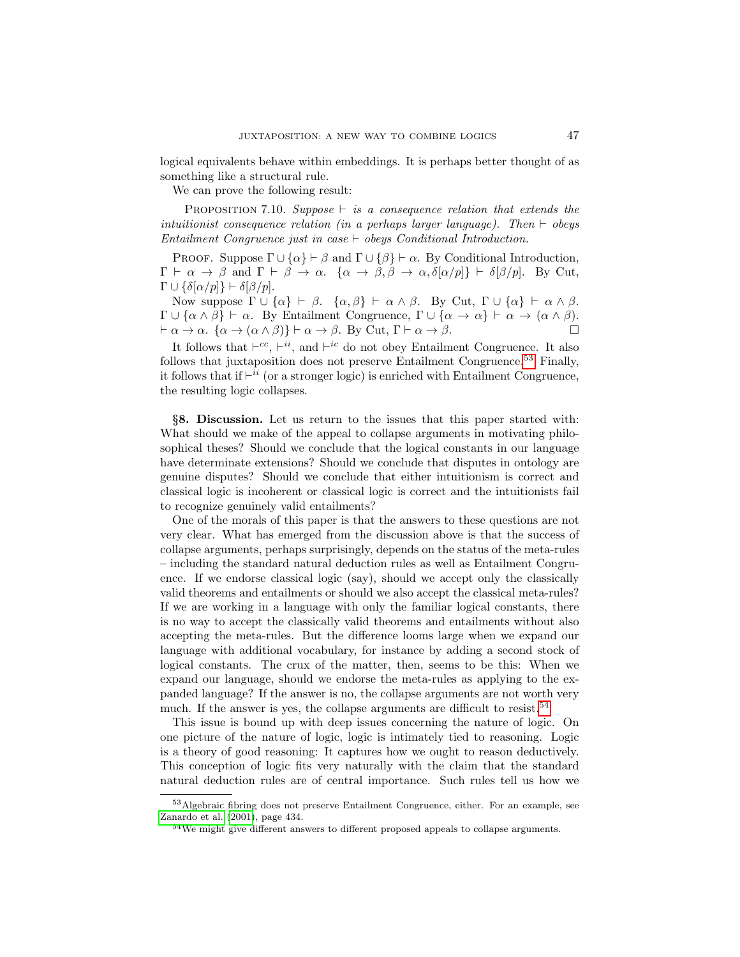logical equivalents behave within embeddings. It is perhaps better thought of as something like a structural rule.

We can prove the following result:

PROPOSITION 7.10. Suppose  $\vdash$  is a consequence relation that extends the intuitionist consequence relation (in a perhaps larger language). Then  $\vdash$  obeys Entailment Congruence just in case  $\vdash$  obeys Conditional Introduction.

PROOF. Suppose  $\Gamma \cup \{\alpha\} \vdash \beta$  and  $\Gamma \cup \{\beta\} \vdash \alpha$ . By Conditional Introduction,  $\Gamma \vdash \alpha \to \beta$  and  $\Gamma \vdash \beta \to \alpha$ .  $\{\alpha \to \beta, \beta \to \alpha, \delta[\alpha/p]\} \vdash \delta[\beta/p]$ . By Cut,  $\Gamma \cup {\{\delta[\alpha/p]\}} \vdash \delta[\beta/p].$ 

Now suppose  $\Gamma \cup \{\alpha\} \vdash \beta$ .  $\{\alpha, \beta\} \vdash \alpha \wedge \beta$ . By Cut,  $\Gamma \cup \{\alpha\} \vdash \alpha \wedge \beta$ .  $\Gamma \cup {\alpha \wedge \beta} \vdash \alpha$ . By Entailment Congruence,  $\Gamma \cup {\alpha \rightarrow \alpha} \vdash \alpha \rightarrow (\alpha \wedge \beta)$ .  $\vdash \alpha \to \alpha$ .  $\{\alpha \to (\alpha \wedge \beta)\}\vdash \alpha \to \beta$ . By Cut,  $\Gamma \vdash \alpha \to \beta$ .

It follows that  $\vdash^{cc}$ ,  $\vdash^{ii}$ , and  $\vdash^{ic}$  do not obey Entailment Congruence. It also follows that juxtaposition does not preserve Entailment Congruence.<sup>[53](#page-46-0)</sup> Finally, it follows that if  $\vdash^{ii}$  (or a stronger logic) is enriched with Entailment Congruence, the resulting logic collapses.

§8. Discussion. Let us return to the issues that this paper started with: What should we make of the appeal to collapse arguments in motivating philosophical theses? Should we conclude that the logical constants in our language have determinate extensions? Should we conclude that disputes in ontology are genuine disputes? Should we conclude that either intuitionism is correct and classical logic is incoherent or classical logic is correct and the intuitionists fail to recognize genuinely valid entailments?

One of the morals of this paper is that the answers to these questions are not very clear. What has emerged from the discussion above is that the success of collapse arguments, perhaps surprisingly, depends on the status of the meta-rules – including the standard natural deduction rules as well as Entailment Congruence. If we endorse classical logic (say), should we accept only the classically valid theorems and entailments or should we also accept the classical meta-rules? If we are working in a language with only the familiar logical constants, there is no way to accept the classically valid theorems and entailments without also accepting the meta-rules. But the difference looms large when we expand our language with additional vocabulary, for instance by adding a second stock of logical constants. The crux of the matter, then, seems to be this: When we expand our language, should we endorse the meta-rules as applying to the expanded language? If the answer is no, the collapse arguments are not worth very much. If the answer is yes, the collapse arguments are difficult to resist.<sup>[54](#page-46-1)</sup>

This issue is bound up with deep issues concerning the nature of logic. On one picture of the nature of logic, logic is intimately tied to reasoning. Logic is a theory of good reasoning: It captures how we ought to reason deductively. This conception of logic fits very naturally with the claim that the standard natural deduction rules are of central importance. Such rules tell us how we

<span id="page-46-0"></span><sup>53</sup>Algebraic fibring does not preserve Entailment Congruence, either. For an example, see [Zanardo et al. \(2001\)](#page-48-20), page 434.

<span id="page-46-1"></span><sup>54</sup>We might give different answers to different proposed appeals to collapse arguments.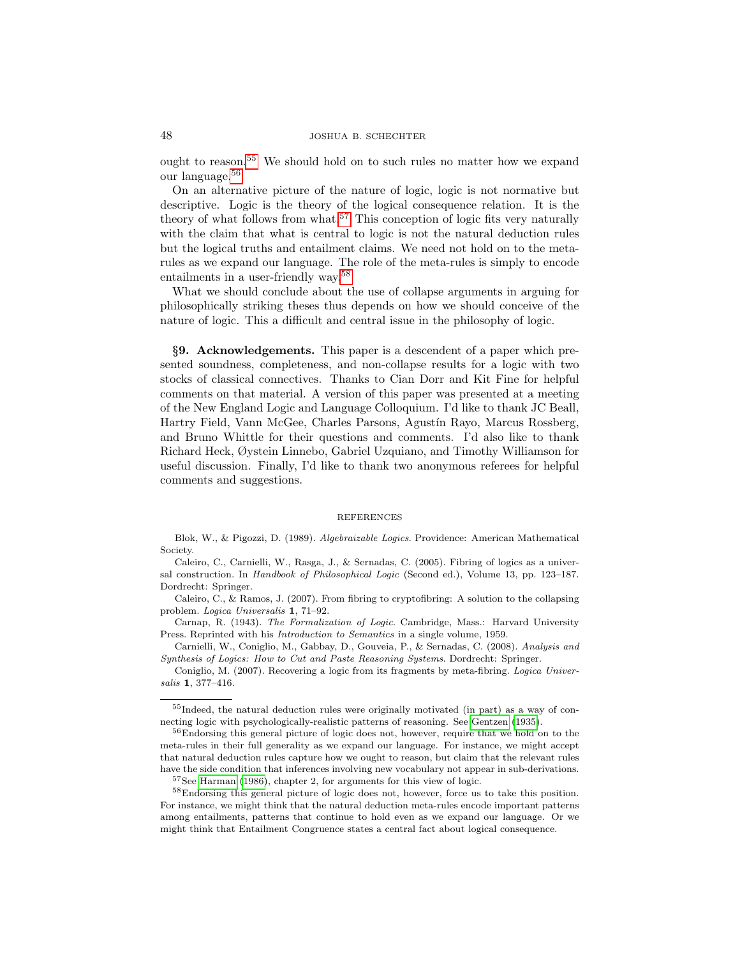# 48 JOSHUA B. SCHECHTER

ought to reason.[55](#page-47-6) We should hold on to such rules no matter how we expand our language.[56](#page-47-7)

On an alternative picture of the nature of logic, logic is not normative but descriptive. Logic is the theory of the logical consequence relation. It is the theory of what follows from what.<sup>[57](#page-47-8)</sup> This conception of logic fits very naturally with the claim that what is central to logic is not the natural deduction rules but the logical truths and entailment claims. We need not hold on to the metarules as we expand our language. The role of the meta-rules is simply to encode entailments in a user-friendly way.[58](#page-47-9)

What we should conclude about the use of collapse arguments in arguing for philosophically striking theses thus depends on how we should conceive of the nature of logic. This a difficult and central issue in the philosophy of logic.

§9. Acknowledgements. This paper is a descendent of a paper which presented soundness, completeness, and non-collapse results for a logic with two stocks of classical connectives. Thanks to Cian Dorr and Kit Fine for helpful comments on that material. A version of this paper was presented at a meeting of the New England Logic and Language Colloquium. I'd like to thank JC Beall, Hartry Field, Vann McGee, Charles Parsons, Agustín Rayo, Marcus Rossberg, and Bruno Whittle for their questions and comments. I'd also like to thank Richard Heck, Øystein Linnebo, Gabriel Uzquiano, and Timothy Williamson for useful discussion. Finally, I'd like to thank two anonymous referees for helpful comments and suggestions.

#### REFERENCES

<span id="page-47-4"></span>Blok, W., & Pigozzi, D. (1989). Algebraizable Logics. Providence: American Mathematical Society.

<span id="page-47-1"></span>Caleiro, C., Carnielli, W., Rasga, J., & Sernadas, C. (2005). Fibring of logics as a universal construction. In Handbook of Philosophical Logic (Second ed.), Volume 13, pp. 123–187. Dordrecht: Springer.

<span id="page-47-3"></span>Caleiro, C., & Ramos, J. (2007). From fibring to cryptofibring: A solution to the collapsing problem. Logica Universalis 1, 71–92.

<span id="page-47-2"></span>Carnap, R. (1943). The Formalization of Logic. Cambridge, Mass.: Harvard University Press. Reprinted with his Introduction to Semantics in a single volume, 1959.

<span id="page-47-0"></span>Carnielli, W., Coniglio, M., Gabbay, D., Gouveia, P., & Sernadas, C. (2008). Analysis and Synthesis of Logics: How to Cut and Paste Reasoning Systems. Dordrecht: Springer.

<span id="page-47-5"></span>Coniglio, M. (2007). Recovering a logic from its fragments by meta-fibring. Logica Universalis 1, 377–416.

<span id="page-47-6"></span><sup>55</sup>Indeed, the natural deduction rules were originally motivated (in part) as a way of connecting logic with psychologically-realistic patterns of reasoning. See [Gentzen \(1935\)](#page-48-25).

<span id="page-47-7"></span><sup>&</sup>lt;sup>56</sup>Endorsing this general picture of logic does not, however, require that we hold on to the meta-rules in their full generality as we expand our language. For instance, we might accept that natural deduction rules capture how we ought to reason, but claim that the relevant rules have the side condition that inferences involving new vocabulary not appear in sub-derivations.

<span id="page-47-9"></span><span id="page-47-8"></span><sup>&</sup>lt;sup>57</sup>See [Harman \(1986\)](#page-48-26), chapter 2, for arguments for this view of logic.

<sup>58</sup>Endorsing this general picture of logic does not, however, force us to take this position. For instance, we might think that the natural deduction meta-rules encode important patterns among entailments, patterns that continue to hold even as we expand our language. Or we might think that Entailment Congruence states a central fact about logical consequence.